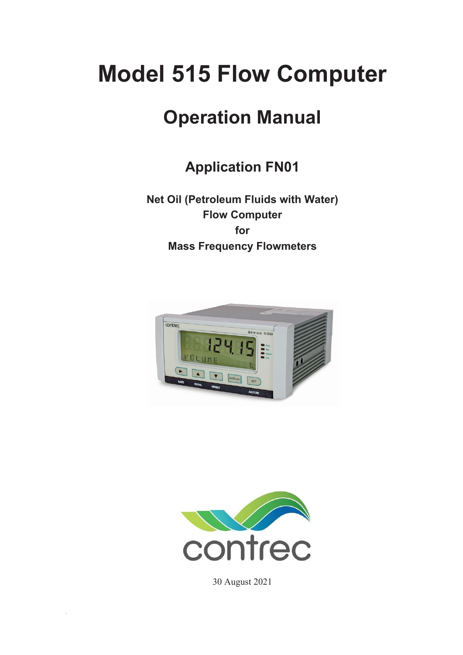# **Model 515 Flow Computer**

# **Operation Manual**

# **Application FN01**

**Net Oil (Petroleum Fluids with Water) Flow Computer for Mass Frequency Flowmeters** 





30 August 2021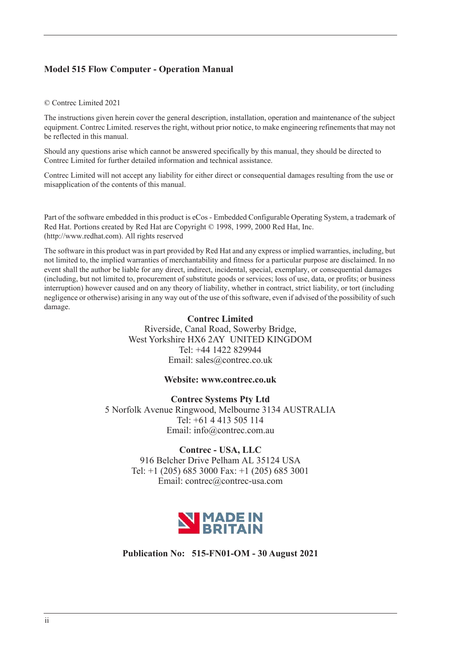#### **Model 515 Flow Computer - Operation Manual**

#### © Contrec Limited 2021

The instructions given herein cover the general description, installation, operation and maintenance of the subject equipment. Contrec Limited. reserves the right, without prior notice, to make engineering refinements that may not be reflected in this manual.

Should any questions arise which cannot be answered specifically by this manual, they should be directed to Contrec Limited for further detailed information and technical assistance.

Contrec Limited will not accept any liability for either direct or consequential damages resulting from the use or misapplication of the contents of this manual.

Part of the software embedded in this product is eCos - Embedded Configurable Operating System, a trademark of Red Hat. Portions created by Red Hat are Copyright © 1998, 1999, 2000 Red Hat, Inc. (http://www.redhat.com). All rights reserved

The software in this product was in part provided by Red Hat and any express or implied warranties, including, but not limited to, the implied warranties of merchantability and fitness for a particular purpose are disclaimed. In no event shall the author be liable for any direct, indirect, incidental, special, exemplary, or consequential damages (including, but not limited to, procurement of substitute goods or services; loss of use, data, or profits; or business interruption) however caused and on any theory of liability, whether in contract, strict liability, or tort (including negligence or otherwise) arising in any way out of the use of this software, even if advised of the possibility of such damage.

#### **Contrec Limited**

Riverside, Canal Road, Sowerby Bridge, West Yorkshire HX6 2AY UNITED KINGDOM Tel: +44 1422 829944 Email: sales@contrec.co.uk

#### **Website: www.contrec.co.uk**

**Contrec Systems Pty Ltd** 5 Norfolk Avenue Ringwood, Melbourne 3134 AUSTRALIA Tel: +61 4 413 505 114 Email: info@contrec.com.au

#### **Contrec - USA, LLC**

916 Belcher Drive Pelham AL 35124 USA Tel: +1 (205) 685 3000 Fax: +1 (205) 685 3001 Email: contrec@contrec-usa.com



**Publication No: 515-FN01-OM - 30 August 2021**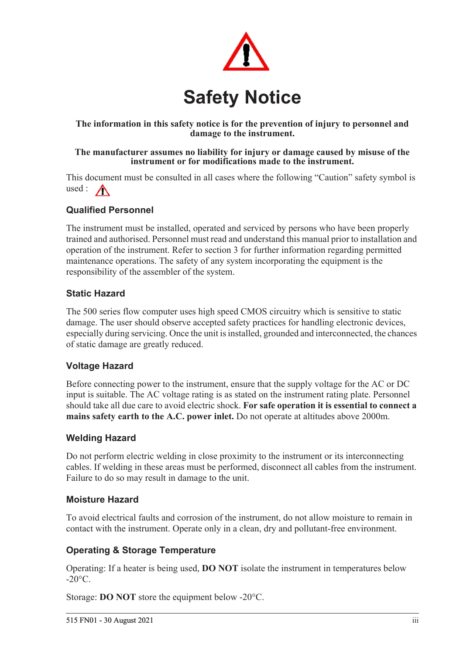

#### **The information in this safety notice is for the prevention of injury to personnel and damage to the instrument.**

#### **The manufacturer assumes no liability for injury or damage caused by misuse of the instrument or for modifications made to the instrument.**

This document must be consulted in all cases where the following "Caution" safety symbol is used :  $\bigwedge$ 

### **Qualified Personnel**

The instrument must be installed, operated and serviced by persons who have been properly trained and authorised. Personnel must read and understand this manual prior to installation and operation of the instrument. Refer to section 3 for further information regarding permitted maintenance operations. The safety of any system incorporating the equipment is the responsibility of the assembler of the system.

### **Static Hazard**

The 500 series flow computer uses high speed CMOS circuitry which is sensitive to static damage. The user should observe accepted safety practices for handling electronic devices, especially during servicing. Once the unit is installed, grounded and interconnected, the chances of static damage are greatly reduced.

#### **Voltage Hazard**

Before connecting power to the instrument, ensure that the supply voltage for the AC or DC input is suitable. The AC voltage rating is as stated on the instrument rating plate. Personnel should take all due care to avoid electric shock. **For safe operation it is essential to connect a mains safety earth to the A.C. power inlet.** Do not operate at altitudes above 2000m.

#### **Welding Hazard**

Do not perform electric welding in close proximity to the instrument or its interconnecting cables. If welding in these areas must be performed, disconnect all cables from the instrument. Failure to do so may result in damage to the unit.

#### **Moisture Hazard**

To avoid electrical faults and corrosion of the instrument, do not allow moisture to remain in contact with the instrument. Operate only in a clean, dry and pollutant-free environment.

#### **Operating & Storage Temperature**

Operating: If a heater is being used, **DO NOT** isolate the instrument in temperatures below  $-20^{\circ}$ C.

Storage: **DO NOT** store the equipment below -20°C.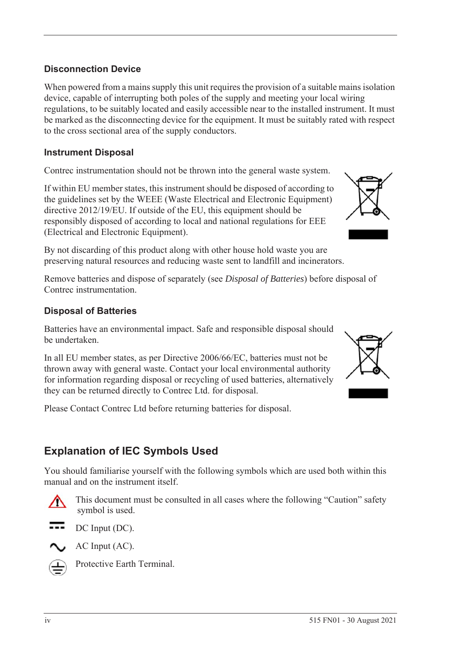#### **Disconnection Device**

When powered from a mains supply this unit requires the provision of a suitable mains isolation device, capable of interrupting both poles of the supply and meeting your local wiring regulations, to be suitably located and easily accessible near to the installed instrument. It must be marked as the disconnecting device for the equipment. It must be suitably rated with respect to the cross sectional area of the supply conductors.

#### **Instrument Disposal**

Contrec instrumentation should not be thrown into the general waste system.

If within EU member states, this instrument should be disposed of according to the guidelines set by the WEEE (Waste Electrical and Electronic Equipment) directive 2012/19/EU. If outside of the EU, this equipment should be responsibly disposed of according to local and national regulations for EEE (Electrical and Electronic Equipment).

By not discarding of this product along with other house hold waste you are preserving natural resources and reducing waste sent to landfill and incinerators.

Remove batteries and dispose of separately (see *Disposal of Batteries*) before disposal of Contrec instrumentation.

#### **Disposal of Batteries**

Batteries have an environmental impact. Safe and responsible disposal should be undertaken.

In all EU member states, as per Directive 2006/66/EC, batteries must not be thrown away with general waste. Contact your local environmental authority for information regarding disposal or recycling of used batteries, alternatively they can be returned directly to Contrec Ltd. for disposal.

Please Contact Contrec Ltd before returning batteries for disposal.

# **Explanation of IEC Symbols Used**

You should familiarise yourself with the following symbols which are used both within this manual and on the instrument itself.



 This document must be consulted in all cases where the following "Caution" safety symbol is used.







Protective Earth Terminal.



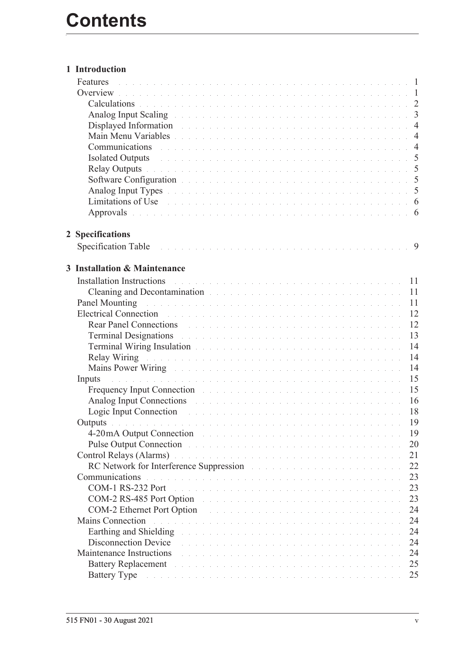| 1 Introduction                                                                                                                                                                                                                      |  |  |  |  |  |  |  |  |    |
|-------------------------------------------------------------------------------------------------------------------------------------------------------------------------------------------------------------------------------------|--|--|--|--|--|--|--|--|----|
| Features                                                                                                                                                                                                                            |  |  |  |  |  |  |  |  |    |
|                                                                                                                                                                                                                                     |  |  |  |  |  |  |  |  |    |
| Calculations de la communication de la communication de la communication de la communication de la communication                                                                                                                    |  |  |  |  |  |  |  |  |    |
|                                                                                                                                                                                                                                     |  |  |  |  |  |  |  |  |    |
| Displayed Information and a contract of the contract of the contract of the contract of the 4                                                                                                                                       |  |  |  |  |  |  |  |  |    |
|                                                                                                                                                                                                                                     |  |  |  |  |  |  |  |  |    |
| Communications experience and the contract of the contract of the contract of the contract of the contract of the contract of the contract of the contract of the contract of the contract of the contract of the contract of       |  |  |  |  |  |  |  |  |    |
| Isolated Outputs and a contract the contract of the contract of the contract of the contract of the S                                                                                                                               |  |  |  |  |  |  |  |  |    |
| Relay Outputs in the contract of the contract of the contract of the contract of the contract of the S                                                                                                                              |  |  |  |  |  |  |  |  |    |
|                                                                                                                                                                                                                                     |  |  |  |  |  |  |  |  |    |
| Analog Input Types and a contract the contract of the contract of the contract of the 5                                                                                                                                             |  |  |  |  |  |  |  |  |    |
| Limitations of Use the community of the community of the community of the community of the community of the community of the community of the community of the community of the community of the community of the community of      |  |  |  |  |  |  |  |  |    |
| Approvals and continuous continuous continuous continuous continuous continuous 6                                                                                                                                                   |  |  |  |  |  |  |  |  |    |
|                                                                                                                                                                                                                                     |  |  |  |  |  |  |  |  |    |
| 2 Specifications                                                                                                                                                                                                                    |  |  |  |  |  |  |  |  |    |
|                                                                                                                                                                                                                                     |  |  |  |  |  |  |  |  |    |
|                                                                                                                                                                                                                                     |  |  |  |  |  |  |  |  |    |
| 3 Installation & Maintenance                                                                                                                                                                                                        |  |  |  |  |  |  |  |  |    |
| . The second contract of the second contract of the second contract $\sim 11$<br><b>Installation Instructions</b>                                                                                                                   |  |  |  |  |  |  |  |  |    |
| Cleaning and Decontamination and the contract of the contract of the contract of the contract of the contract of the contract of the contract of the contract of the contract of the contract of the contract of the contract       |  |  |  |  |  |  |  |  | 11 |
| Panel Mounting research and contract the contract of the contract of the contract of the contract of the contract of the contract of the contract of the contract of the contract of the contract of the contract of the contr      |  |  |  |  |  |  |  |  | 11 |
| Electrical Connection and a construction of the contract of the contract of the contract of the contract of the                                                                                                                     |  |  |  |  |  |  |  |  | 12 |
| Rear Panel Connections and the contract of the contract of the contract of the contract of the contract of the contract of the contract of the contract of the contract of the contract of the contract of the contract of the      |  |  |  |  |  |  |  |  | 12 |
| Terminal Designations and a contract the contract of the contract of the contract of the contract of the contract of the contract of the contract of the contract of the contract of the contract of the contract of the contr      |  |  |  |  |  |  |  |  | 13 |
| Terminal Wiring Insulation and a contract of the contract of the contract of the contract of the contract of the contract of the contract of the contract of the contract of the contract of the contract of the contract of t      |  |  |  |  |  |  |  |  | 14 |
| Relay Wiring the common contract of the common contract of the common contract of the common contract of the common contract of the common contract of the common contract of the common contract of the common contract of th      |  |  |  |  |  |  |  |  | 14 |
| Mains Power Wiring <b>Experience Communication</b> Communication and Communication Communication Communication Communication Communication Communication Communication Communication Communication Communication Communication Comm |  |  |  |  |  |  |  |  | 14 |
| a constitución de la caractería de la caractería de la caractería de la caractería de la caractería de la cara<br>Inputs                                                                                                            |  |  |  |  |  |  |  |  | 15 |
| Frequency Input Connection and a construction of the contract of the contract of the contract of the contract of the contract of the contract of the contract of the contract of the contract of the contract of the contract       |  |  |  |  |  |  |  |  | 15 |
| Analog Input Connections and a contract the contract of the contract of the state of the state of the state of the state of the state of the state of the state of the state of the state of the state of the state of the sta      |  |  |  |  |  |  |  |  |    |
| Logic Input Connection and a contract the contract of the contract of the contract of the 18                                                                                                                                        |  |  |  |  |  |  |  |  |    |
|                                                                                                                                                                                                                                     |  |  |  |  |  |  |  |  | 19 |
| 4-20 mA Output Connection and a contract of the contract of the contract of the contract of the contract of the contract of the contract of the contract of the contract of the contract of the contract of the contract of th      |  |  |  |  |  |  |  |  | 19 |
| Pulse Output Connection and a constant of the contract of the contract of the contract of the connection                                                                                                                            |  |  |  |  |  |  |  |  | 20 |
| Control Relays (Alarms) and a control of the control of the control of the control of the control of the control of the control of the control of the control of the control of the control of the control of the control of t      |  |  |  |  |  |  |  |  | 21 |
| RC Network for Interference Suppression and a contract to the contract of the set of the set of the set of the                                                                                                                      |  |  |  |  |  |  |  |  | 22 |
| Communications<br>.<br>In the second complete the complete state of the complete state of the complete state of the second complete s                                                                                               |  |  |  |  |  |  |  |  | 23 |
| COM-1 RS-232 Port<br>.<br>The contract of the contract of the contract of the contract of the contract of the contract of the contract o                                                                                            |  |  |  |  |  |  |  |  | 23 |
|                                                                                                                                                                                                                                     |  |  |  |  |  |  |  |  | 23 |
| COM-2 RS-485 Port Option                                                                                                                                                                                                            |  |  |  |  |  |  |  |  | 24 |
| COM-2 Ethernet Port Option                                                                                                                                                                                                          |  |  |  |  |  |  |  |  |    |
| <b>Mains Connection</b><br>.<br>In the second complete state of the second complete state of the second complete state of the second complete                                                                                       |  |  |  |  |  |  |  |  | 24 |
| <b>Earthing and Shielding Executive Construction Construction Construction Construction</b>                                                                                                                                         |  |  |  |  |  |  |  |  | 24 |
| Disconnection Device<br>.<br>In decidence of the contract of the contract of the contract of the contract of the contract of the contract of                                                                                        |  |  |  |  |  |  |  |  | 24 |
| Maintenance Instructions<br>.<br>The contract of the contract of the contract of the contract of the contract of the contract of the contract of                                                                                    |  |  |  |  |  |  |  |  | 24 |
| Battery Replacement and a substitution of the contract of the contract of the contract of the contract of the contract of the contract of the contract of the contract of the contract of the contract of the contract of the       |  |  |  |  |  |  |  |  | 25 |
| Battery Type and a substitution of the state of the state of the state of the state of the state of the state of the state of the state of the state of the state of the state of the state of the state of the state of the s      |  |  |  |  |  |  |  |  | 25 |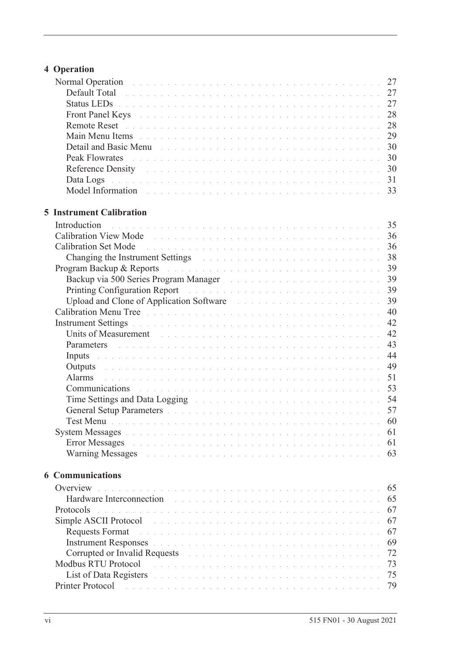# **[4 Operation](#page-36-0)**

| Normal Operation and a construction of the contract of the construction of the 27                                                                                                                                                                     |  |  |  |  |  |  |  |  |    |
|-------------------------------------------------------------------------------------------------------------------------------------------------------------------------------------------------------------------------------------------------------|--|--|--|--|--|--|--|--|----|
| Default Total de la commune de la commune de la commune de la commune de la commune de 27                                                                                                                                                             |  |  |  |  |  |  |  |  |    |
| Status LEDs <b>Election Community 22</b> Status 27                                                                                                                                                                                                    |  |  |  |  |  |  |  |  |    |
| Front Panel Keys and a construction of the construction of the construction of 28                                                                                                                                                                     |  |  |  |  |  |  |  |  |    |
|                                                                                                                                                                                                                                                       |  |  |  |  |  |  |  |  |    |
| Main Menu Items received and contract the contract of the contract of the 29                                                                                                                                                                          |  |  |  |  |  |  |  |  |    |
|                                                                                                                                                                                                                                                       |  |  |  |  |  |  |  |  |    |
|                                                                                                                                                                                                                                                       |  |  |  |  |  |  |  |  |    |
| Reference Density and a contract the contract of the contract of the contract of the 30                                                                                                                                                               |  |  |  |  |  |  |  |  |    |
| Data Logs de la componentación de la componentación de la componentación de 31                                                                                                                                                                        |  |  |  |  |  |  |  |  |    |
| Model Information and the contract of the contract of the contract of the contract of the contract of the contract of the contract of the contract of the contract of the contract of the contract of the contract of the cont                        |  |  |  |  |  |  |  |  |    |
|                                                                                                                                                                                                                                                       |  |  |  |  |  |  |  |  |    |
| <b>5 Instrument Calibration</b>                                                                                                                                                                                                                       |  |  |  |  |  |  |  |  |    |
| Introduction and a construction of the construction of the construction of the construction of the 35                                                                                                                                                 |  |  |  |  |  |  |  |  |    |
| Calibration View Mode residence in the contract of the contract of the State of the State of the State of the S                                                                                                                                       |  |  |  |  |  |  |  |  |    |
|                                                                                                                                                                                                                                                       |  |  |  |  |  |  |  |  |    |
| Changing the Instrument Settings and a contract of the contract of the settings of the settings of the contract of the settings of the settings of the settings of the settings of the settings of the settings of the setting                        |  |  |  |  |  |  |  |  |    |
| Program Backup & Reports and a contract to the contract of the contract of the 39                                                                                                                                                                     |  |  |  |  |  |  |  |  |    |
|                                                                                                                                                                                                                                                       |  |  |  |  |  |  |  |  |    |
|                                                                                                                                                                                                                                                       |  |  |  |  |  |  |  |  |    |
|                                                                                                                                                                                                                                                       |  |  |  |  |  |  |  |  |    |
|                                                                                                                                                                                                                                                       |  |  |  |  |  |  |  |  |    |
|                                                                                                                                                                                                                                                       |  |  |  |  |  |  |  |  |    |
| Units of Measurement the company of the company of the company of the company of the company of the company of                                                                                                                                        |  |  |  |  |  |  |  |  | 42 |
| Parameters and the contract of the contract of the contract of the contract of the contract of the contract of                                                                                                                                        |  |  |  |  |  |  |  |  | 43 |
| Inputs and a construction of the construction of the construction of the construction of the construction of the construction of the construction of the construction of the construction of the construction of the construct                        |  |  |  |  |  |  |  |  | 44 |
| Outputs de la commune de la commune de la commune de la commune de la commune de 49                                                                                                                                                                   |  |  |  |  |  |  |  |  |    |
| Alarms and a contract the contract of the contract of the contract of the 51                                                                                                                                                                          |  |  |  |  |  |  |  |  |    |
| Communications research and contract the contract of the contract of the set of the 53                                                                                                                                                                |  |  |  |  |  |  |  |  |    |
| Time Settings and Data Logging The Community of the Settings and Data Logging Theory of the Community of the S                                                                                                                                        |  |  |  |  |  |  |  |  |    |
| General Setup Parameters and a contract the contract of the contract of the state of the 57                                                                                                                                                           |  |  |  |  |  |  |  |  |    |
|                                                                                                                                                                                                                                                       |  |  |  |  |  |  |  |  |    |
| Test Menu di contra la construcción de la contra la contra la construcción de $60$                                                                                                                                                                    |  |  |  |  |  |  |  |  | 61 |
| System Messages research and a resonance of the contract of the contract of the state of the state of the state of the state of the state of the state of the state of the state of the state of the state of the state of the                        |  |  |  |  |  |  |  |  | 61 |
|                                                                                                                                                                                                                                                       |  |  |  |  |  |  |  |  | 63 |
| Warning Messages and a contract the contract of the contract of the contract of the contract of the contract of                                                                                                                                       |  |  |  |  |  |  |  |  |    |
| <b>6 Communications</b>                                                                                                                                                                                                                               |  |  |  |  |  |  |  |  |    |
|                                                                                                                                                                                                                                                       |  |  |  |  |  |  |  |  | 65 |
| Hardware Interconnection and the contract of the contract of the contract of the contract of the contract of the contract of the contract of the contract of the contract of the contract of the contract of the contract of t                        |  |  |  |  |  |  |  |  | 65 |
| Protocols<br>and the contract of the contract of the contract of the contract of the contract of the contract of the contract of                                                                                                                      |  |  |  |  |  |  |  |  | 67 |
| Simple ASCII Protocol<br>.<br>In the second complete state of the second complete state of the second complete state of the second complete                                                                                                           |  |  |  |  |  |  |  |  | 67 |
|                                                                                                                                                                                                                                                       |  |  |  |  |  |  |  |  | 67 |
| <b>Requests Format</b><br>.<br>In the second contract of the second contract of the second contract of the second contract of the second cont                                                                                                         |  |  |  |  |  |  |  |  | 69 |
| Instrument Responses and a contract the contract of the contract of the contract of the contract of the contract of the contract of the contract of the contract of the contract of the contract of the contract of the contra                        |  |  |  |  |  |  |  |  | 72 |
| Corrupted or Invalid Requests and a substitution of the contract of the contract of the contract of the contract of the contract of the contract of the contract of the contract of the contract of the contract of the contra<br>Modbus RTU Protocol |  |  |  |  |  |  |  |  | 73 |
| .<br>In decision de la característica de la característica de la característica de la característica de la caracter                                                                                                                                   |  |  |  |  |  |  |  |  | 75 |
| List of Data Registers and a conservation of the conservation of the conservation of the conservation of the conservation of the conservation of the conservation of the conservation of the conservation of the conservation<br>Printer Protocol     |  |  |  |  |  |  |  |  | 79 |
| de la caractería de la caractería de la caractería de la caractería de la caractería de la caractería                                                                                                                                                 |  |  |  |  |  |  |  |  |    |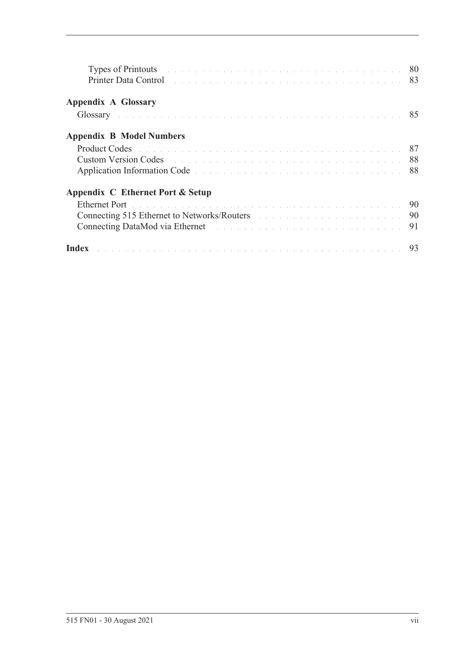| Types of Printouts and a contract the contract of the contract of the contract of the SO                                                                                                                                       |  |
|--------------------------------------------------------------------------------------------------------------------------------------------------------------------------------------------------------------------------------|--|
| <b>Appendix A Glossary</b>                                                                                                                                                                                                     |  |
| <b>Appendix B Model Numbers</b>                                                                                                                                                                                                |  |
| Product Codes de la communicación de la communicación de la communicación de la ST                                                                                                                                             |  |
|                                                                                                                                                                                                                                |  |
| Application Information Code enterity and the contract of the contract of the 88                                                                                                                                               |  |
| Appendix C Ethernet Port & Setup                                                                                                                                                                                               |  |
| Ethernet Port de la communication de la communication de la communication de la communication de la communication de la communication de la communication de la communication de la communication de la communication de la co |  |
| Connecting 515 Ethernet to Networks/Routers and a substitution of the state of the 190                                                                                                                                         |  |
| Connecting DataMod via Ethernet and a substitution of the state of the state of the 191                                                                                                                                        |  |
| Index resources a construction of the contract of the construction of the 93                                                                                                                                                   |  |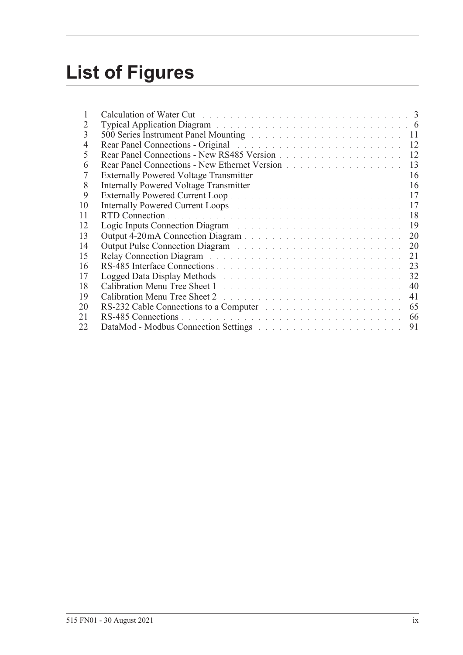# **List of Figures**

| 1  | Calculation of Water Cut entering the service contract of the service of the service of the service of the service of the service of the service of the service of the service of the service of the service of the service of      |    |
|----|-------------------------------------------------------------------------------------------------------------------------------------------------------------------------------------------------------------------------------------|----|
| 2  | <b>Typical Application Diagram</b> and the contract of the contract of the contract of the contract of the contract of the contract of the contract of the contract of the contract of the contract of the contract of the contract |    |
| 3  | 500 Series Instrument Panel Mounting and a contract of the series of the 11                                                                                                                                                         |    |
| 4  | Rear Panel Connections - Original entrepreneur and the contract of the state of the 12                                                                                                                                              |    |
| 5  | Rear Panel Connections - New RS485 Version                                                                                                                                                                                          | 12 |
| 6  | Rear Panel Connections - New Ethernet Version                                                                                                                                                                                       | 13 |
| 7  | Externally Powered Voltage Transmitter Marshall and Alexandre and Alexandre and Alexandre and                                                                                                                                       | 16 |
| 8  | Internally Powered Voltage Transmitter Marshall and Alexandre and Alexandre and Alexandre and Alexandre and Alexandre and Alexandre and Alexandre and Alexandre and Alexandre and Alexandre and Alexandre and Alexandre and Al      | 16 |
| 9  |                                                                                                                                                                                                                                     | 17 |
| 10 | Internally Powered Current Loops and a contract to the contract of the contract of                                                                                                                                                  | 17 |
| 11 |                                                                                                                                                                                                                                     | 18 |
| 12 | Logic Inputs Connection Diagram and a substitution of the set of the set of the set of the set of the set of the set of the set of the set of the set of the set of the set of the set of the set of the set of the set of the      | 19 |
| 13 | Output 4-20mA Connection Diagram and a connection of the connection of the Diagram and a connection of the connection of the connection of the connection of the connection of the connection of the connection of the connect      | 20 |
| 14 | Output Pulse Connection Diagram and a connection of the Connection of the Diagram                                                                                                                                                   | 20 |
| 15 | Relay Connection Diagram Albert and Albert and Albert and Albert and Albert and Albert and Albert and Albert and Albert and Albert and Albert and Albert and Albert and Albert and Albert and Albert and Albert and Albert and      | 21 |
| 16 |                                                                                                                                                                                                                                     | 23 |
| 17 | Logged Data Display Methods and the contract of the contract of the contract of the contract of the contract of the contract of the contract of the contract of the contract of the contract of the contract of the contract o      | 32 |
| 18 |                                                                                                                                                                                                                                     | 40 |
| 19 |                                                                                                                                                                                                                                     | 41 |
| 20 | RS-232 Cable Connections to a Computer entertainment of the state of the state of the state of the state of the state of the state of the state of the state of the state of the state of the state of the state of the state       | 65 |
| 21 | RS-485 Connections                                                                                                                                                                                                                  | 66 |
| 22 | DataMod - Modbus Connection Settings and a connection of the settings of the settings of the settings of the settings of the settings of the settings of the settings of the settings of the settings of the settings of the s      | 91 |
|    |                                                                                                                                                                                                                                     |    |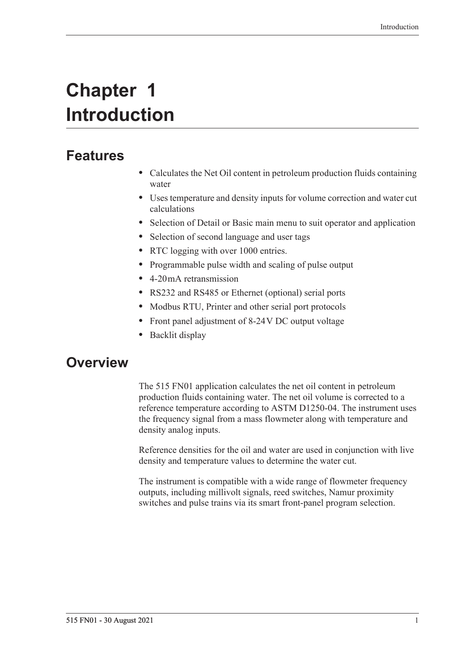# <span id="page-10-0"></span>**Chapter 1 Introduction**

# <span id="page-10-1"></span>**Features**

- **•** Calculates the Net Oil content in petroleum production fluids containing water
- **•** Uses temperature and density inputs for volume correction and water cut calculations
- **•** Selection of Detail or Basic main menu to suit operator and application
- **•** Selection of second language and user tags
- RTC logging with over 1000 entries.
- **•** Programmable pulse width and scaling of pulse output
- **•** 4-20 mA retransmission
- **•** RS232 and RS485 or Ethernet (optional) serial ports
- **•** Modbus RTU, Printer and other serial port protocols
- **•** Front panel adjustment of 8-24 V DC output voltage
- **•** Backlit display

# <span id="page-10-2"></span>**Overview**

The 515 FN01 application calculates the net oil content in petroleum production fluids containing water. The net oil volume is corrected to a reference temperature according to ASTM D1250-04. The instrument uses the frequency signal from a mass flowmeter along with temperature and density analog inputs.

Reference densities for the oil and water are used in conjunction with live density and temperature values to determine the water cut.

The instrument is compatible with a wide range of flowmeter frequency outputs, including millivolt signals, reed switches, Namur proximity switches and pulse trains via its smart front-panel program selection.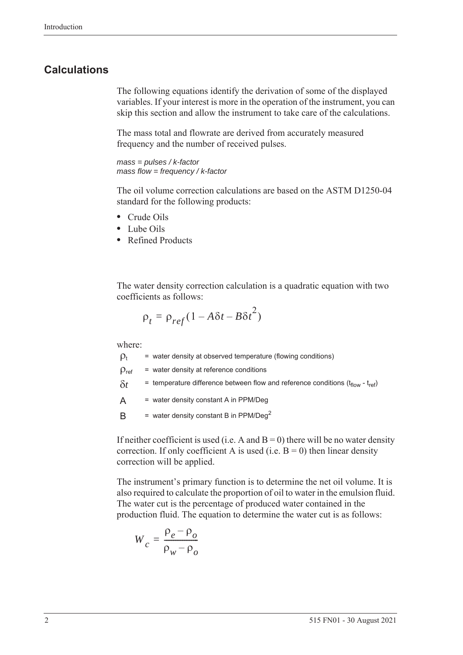#### <span id="page-11-0"></span>**Calculations**

The following equations identify the derivation of some of the displayed variables. If your interest is more in the operation of the instrument, you can skip this section and allow the instrument to take care of the calculations.

The mass total and flowrate are derived from accurately measured frequency and the number of received pulses.

*mass = pulses / k-factor mass flow = frequency / k-factor*

The oil volume correction calculations are based on the ASTM D1250-04 standard for the following products:

- **•** Crude Oils
- **•** Lube Oils
- **•** Refined Products

The water density correction calculation is a quadratic equation with two coefficients as follows:

$$
\rho_t = \rho_{ref} (1 - A\delta t - B\delta t^2)
$$

where:

| $\rho_{t}$          | $=$ water density at observed temperature (flowing conditions)                            |
|---------------------|-------------------------------------------------------------------------------------------|
| $\rho_{\text{ref}}$ | = water density at reference conditions                                                   |
| $\delta t$          | = temperature difference between flow and reference conditions ( $t_{flow}$ - $t_{ref}$ ) |
| A                   | $=$ water density constant A in PPM/Deg                                                   |
| B                   | = water density constant B in PPM/Deg <sup>2</sup>                                        |
|                     |                                                                                           |

If neither coefficient is used (i.e. A and  $B = 0$ ) there will be no water density correction. If only coefficient A is used (i.e.  $B = 0$ ) then linear density correction will be applied.

The instrument's primary function is to determine the net oil volume. It is also required to calculate the proportion of oil to water in the emulsion fluid. The water cut is the percentage of produced water contained in the production fluid. The equation to determine the water cut is as follows:

$$
W_c = \frac{\rho_e - \rho_o}{\rho_w - \rho_o}
$$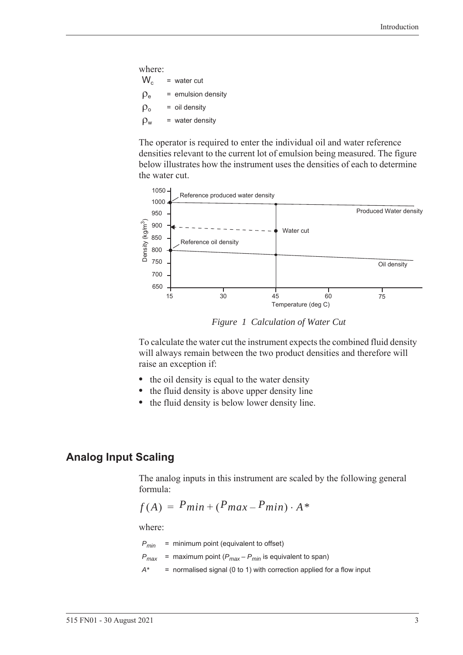where:  $W_c$  = water cut  $\rho_e$  = emulsion density  $\rho_{0}$  = oil density  $\rho_w$  = water density

The operator is required to enter the individual oil and water reference densities relevant to the current lot of emulsion being measured. The figure below illustrates how the instrument uses the densities of each to determine the water cut.



*Figure 1 Calculation of Water Cut*

<span id="page-12-1"></span>To calculate the water cut the instrument expects the combined fluid density will always remain between the two product densities and therefore will raise an exception if:

- the oil density is equal to the water density
- the fluid density is above upper density line
- the fluid density is below lower density line.

## <span id="page-12-0"></span>**Analog Input Scaling**

The analog inputs in this instrument are scaled by the following general formula:

$$
f(A) = Pmin + (Pmax - Pmin) \cdot A^*
$$

where:

 $P_{min}$  = minimum point (equivalent to offset)

 $P_{max}$  = maximum point ( $P_{max} - P_{min}$  is equivalent to span)

*A\** = normalised signal (0 to 1) with correction applied for a flow input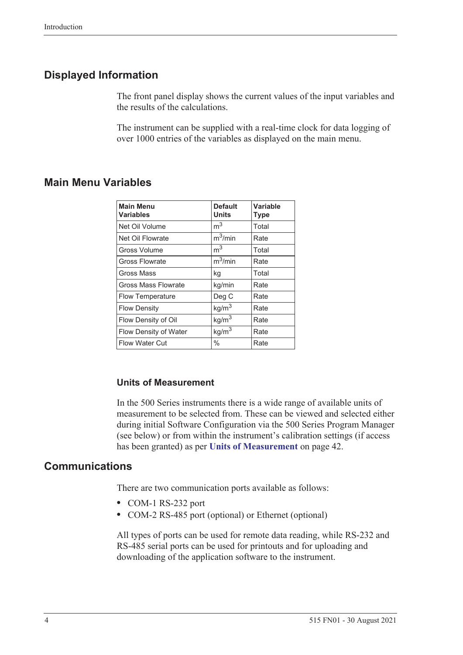# <span id="page-13-0"></span>**Displayed Information**

The front panel display shows the current values of the input variables and the results of the calculations.

The instrument can be supplied with a real-time clock for data logging of over 1000 entries of the variables as displayed on the main menu.

### <span id="page-13-1"></span>**Main Menu Variables**

| <b>Main Menu</b><br>Variables | <b>Default</b><br><b>Units</b> | Variable<br><b>Type</b> |
|-------------------------------|--------------------------------|-------------------------|
| Net Oil Volume                | m <sup>3</sup>                 | Total                   |
| Net Oil Flowrate              | $m^3/m$ in                     | Rate                    |
| Gross Volume                  | m <sup>3</sup>                 | Total                   |
| <b>Gross Flowrate</b>         | $m^3/m$ in                     | Rate                    |
| Gross Mass                    | kg                             | Total                   |
| <b>Gross Mass Flowrate</b>    | kg/min                         | Rate                    |
| <b>Flow Temperature</b>       | Deg C                          | Rate                    |
| <b>Flow Density</b>           | kg/m <sup>3</sup>              | Rate                    |
| Flow Density of Oil           | kg/m <sup>3</sup>              | Rate                    |
| Flow Density of Water         | kg/m <sup>3</sup>              | Rate                    |
| <b>Flow Water Cut</b>         | $\%$                           | Rate                    |

#### **Units of Measurement**

In the 500 Series instruments there is a wide range of available units of measurement to be selected from. These can be viewed and selected either during initial Software Configuration via the 500 Series Program Manager (see below) or from within the instrument's calibration settings (if access has been granted) as per **[Units of Measurement](#page-51-2)** on page 42.

### <span id="page-13-2"></span>**Communications**

There are two communication ports available as follows:

- **•** COM-1 RS-232 port
- **•** COM-2 RS-485 port (optional) or Ethernet (optional)

All types of ports can be used for remote data reading, while RS-232 and RS-485 serial ports can be used for printouts and for uploading and downloading of the application software to the instrument.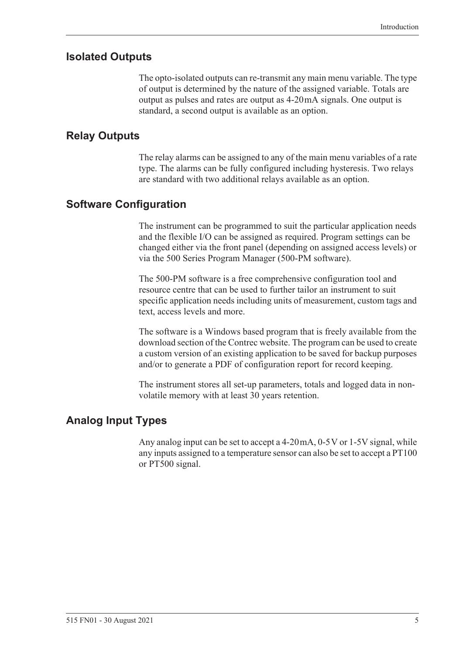## <span id="page-14-0"></span>**Isolated Outputs**

The opto-isolated outputs can re-transmit any main menu variable. The type of output is determined by the nature of the assigned variable. Totals are output as pulses and rates are output as 4-20 mA signals. One output is standard, a second output is available as an option.

# <span id="page-14-1"></span>**Relay Outputs**

The relay alarms can be assigned to any of the main menu variables of a rate type. The alarms can be fully configured including hysteresis. Two relays are standard with two additional relays available as an option.

# <span id="page-14-2"></span>**Software Configuration**

The instrument can be programmed to suit the particular application needs and the flexible I/O can be assigned as required. Program settings can be changed either via the front panel (depending on assigned access levels) or via the 500 Series Program Manager (500-PM software).

The 500-PM software is a free comprehensive configuration tool and resource centre that can be used to further tailor an instrument to suit specific application needs including units of measurement, custom tags and text, access levels and more.

The software is a Windows based program that is freely available from the download section of the Contrec website. The program can be used to create a custom version of an existing application to be saved for backup purposes and/or to generate a PDF of configuration report for record keeping.

The instrument stores all set-up parameters, totals and logged data in nonvolatile memory with at least 30 years retention.

# <span id="page-14-3"></span>**Analog Input Types**

Any analog input can be set to accept a 4-20 mA, 0-5 V or 1-5 V signal, while any inputs assigned to a temperature sensor can also be set to accept a PT100 or PT500 signal.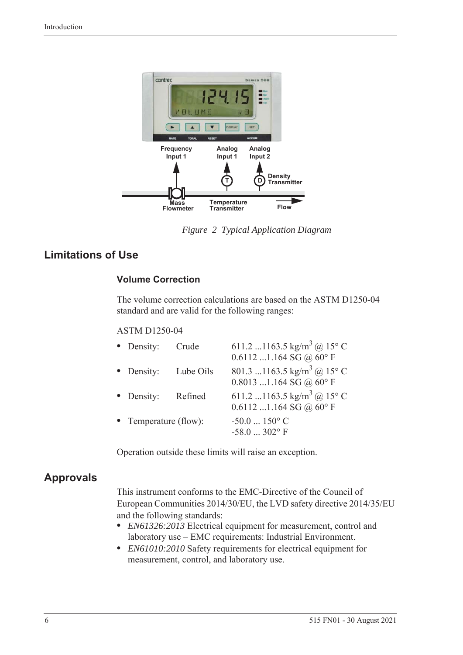

*Figure 2 Typical Application Diagram*

# <span id="page-15-0"></span>**Limitations of Use**

### <span id="page-15-2"></span>**Volume Correction**

The volume correction calculations are based on the ASTM D1250-04 standard and are valid for the following ranges:

#### ASTM D1250-04

| • Density:            | Crude     | 611.2 1163.5 kg/m <sup>3</sup> @ 15° C<br>$0.6112$ 1.164 SG @ 60° F |
|-----------------------|-----------|---------------------------------------------------------------------|
| • Density:            | Lube Oils | 801.3 1163.5 kg/m <sup>3</sup> @ 15° C<br>$0.8013$ 1.164 SG @ 60° F |
| • Density:            | Refined   | 611.2 1163.5 kg/m <sup>3</sup> @ 15° C<br>$0.6112$ 1.164 SG @ 60° F |
| • Temperature (flow): |           | $-50.0$ $150^{\circ}$ C<br>$-58.0$ 302° F                           |

Operation outside these limits will raise an exception.

# <span id="page-15-1"></span>**Approvals**

This instrument conforms to the EMC-Directive of the Council of European Communities 2014/30/EU, the LVD safety directive 2014/35/EU and the following standards:

- **•** *EN61326:2013* Electrical equipment for measurement, control and laboratory use – EMC requirements: Industrial Environment.
- **•** *EN61010:2010* Safety requirements for electrical equipment for measurement, control, and laboratory use.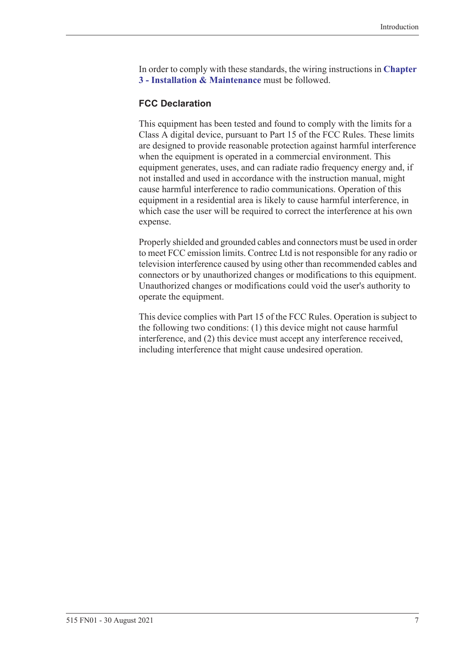In order to comply with these standards, the wiring instructions in **[Chapter](#page-20-5)  [3 - Installation & Maintenance](#page-20-5)** must be followed.

#### **FCC Declaration**

This equipment has been tested and found to comply with the limits for a Class A digital device, pursuant to Part 15 of the FCC Rules. These limits are designed to provide reasonable protection against harmful interference when the equipment is operated in a commercial environment. This equipment generates, uses, and can radiate radio frequency energy and, if not installed and used in accordance with the instruction manual, might cause harmful interference to radio communications. Operation of this equipment in a residential area is likely to cause harmful interference, in which case the user will be required to correct the interference at his own expense.

Properly shielded and grounded cables and connectors must be used in order to meet FCC emission limits. Contrec Ltd is not responsible for any radio or television interference caused by using other than recommended cables and connectors or by unauthorized changes or modifications to this equipment. Unauthorized changes or modifications could void the user's authority to operate the equipment.

This device complies with Part 15 of the FCC Rules. Operation is subject to the following two conditions: (1) this device might not cause harmful interference, and (2) this device must accept any interference received, including interference that might cause undesired operation.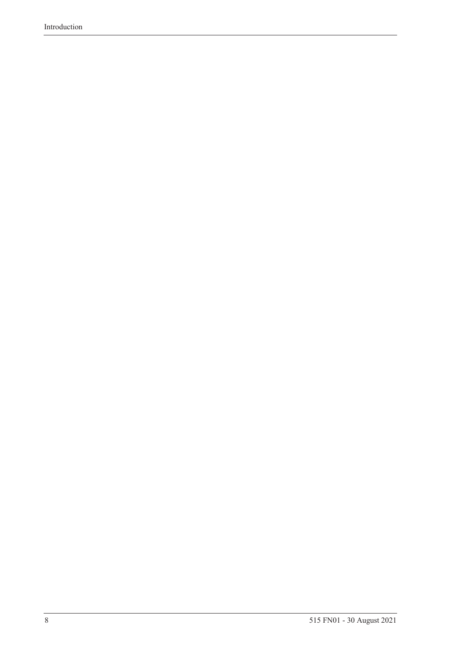Introduction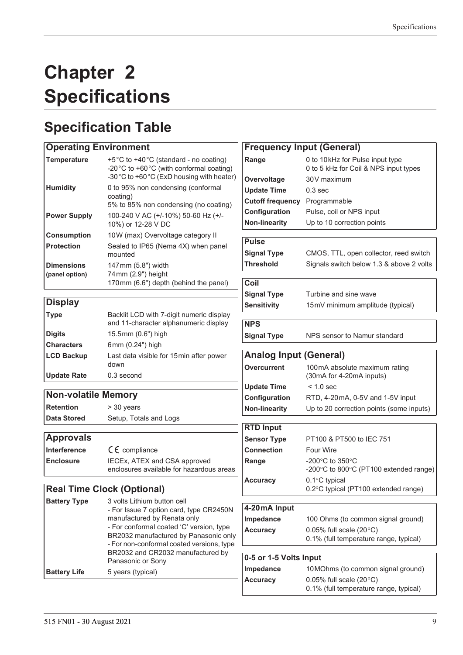# <span id="page-18-0"></span>**Chapter 2 Specifications**

# <span id="page-18-1"></span>**Specification Table**

# **Operating Environment**

| <b>Temperature</b>                  | +5°C to +40°C (standard - no coating)<br>-20°C to +60°C (with conformal coating)<br>-30°C to +60°C (ExD housing with heater) |
|-------------------------------------|------------------------------------------------------------------------------------------------------------------------------|
| <b>Humidity</b>                     | 0 to 95% non condensing (conformal<br>coating)<br>5% to 85% non condensing (no coating)                                      |
| <b>Power Supply</b>                 | 100-240 V AC (+/-10%) 50-60 Hz (+/-<br>10%) or 12-28 V DC                                                                    |
| <b>Consumption</b>                  | 10W (max) Overvoltage category II                                                                                            |
| <b>Protection</b>                   | Sealed to IP65 (Nema 4X) when panel<br>mounted                                                                               |
| <b>Dimensions</b><br>(panel option) | 147 mm (5.8") width<br>74 mm (2.9") height<br>170mm (6.6") depth (behind the panel)                                          |

# **Display**

| <b>Type</b>        | Backlit LCD with 7-digit numeric display<br>and 11-character alphanumeric display |
|--------------------|-----------------------------------------------------------------------------------|
| <b>Digits</b>      | 15.5mm (0.6") high                                                                |
| <b>Characters</b>  | 6 $mm(0.24")$ high                                                                |
| <b>LCD Backup</b>  | Last data visible for 15 min after power<br>down                                  |
| <b>Update Rate</b> | 0.3 second                                                                        |

### **Non-volatile Memory**

**Retention** > 30 years **Data Stored** Setup, Totals and Logs

#### **Approvals**

| <b>Interference</b> | $C \in \mathbb{C}$ compliance                                            |
|---------------------|--------------------------------------------------------------------------|
| <b>Enclosure</b>    | IECEx, ATEX and CSA approved<br>enclosures available for hazardous areas |

# **Real Time Clock (Optional)**

| <b>Battery Type</b> | 3 volts Lithium button cell<br>- For Issue 7 option card, type CR2450N<br>manufactured by Renata only<br>- For conformal coated 'C' version, type<br>BR2032 manufactured by Panasonic only<br>- For non-conformal coated versions, type |
|---------------------|-----------------------------------------------------------------------------------------------------------------------------------------------------------------------------------------------------------------------------------------|
|                     | BR2032 and CR2032 manufactured by<br>Panasonic or Sony                                                                                                                                                                                  |
| <b>Battery Life</b> | 5 years (typical)                                                                                                                                                                                                                       |

|                                      | <b>Frequency Input (General)</b>                                                |  |  |  |  |  |
|--------------------------------------|---------------------------------------------------------------------------------|--|--|--|--|--|
| Range                                | 0 to 10kHz for Pulse input type                                                 |  |  |  |  |  |
|                                      | 0 to 5 kHz for Coil & NPS input types                                           |  |  |  |  |  |
| Overvoltage                          | 30V maximum                                                                     |  |  |  |  |  |
| <b>Update Time</b>                   | $0.3$ sec                                                                       |  |  |  |  |  |
| <b>Cutoff frequency</b> Programmable |                                                                                 |  |  |  |  |  |
| Configuration                        | Pulse, coil or NPS input                                                        |  |  |  |  |  |
| <b>Non-linearity</b>                 | Up to 10 correction points                                                      |  |  |  |  |  |
|                                      |                                                                                 |  |  |  |  |  |
| <b>Pulse</b>                         |                                                                                 |  |  |  |  |  |
| <b>Signal Type</b>                   | CMOS, TTL, open collector, reed switch                                          |  |  |  |  |  |
| <b>Threshold</b>                     | Signals switch below 1.3 & above 2 volts                                        |  |  |  |  |  |
| Coil                                 |                                                                                 |  |  |  |  |  |
| <b>Signal Type</b>                   | Turbine and sine wave                                                           |  |  |  |  |  |
| <b>Sensitivity</b>                   | 15mV minimum amplitude (typical)                                                |  |  |  |  |  |
|                                      |                                                                                 |  |  |  |  |  |
| <b>NPS</b>                           |                                                                                 |  |  |  |  |  |
| <b>Signal Type</b>                   | NPS sensor to Namur standard                                                    |  |  |  |  |  |
|                                      |                                                                                 |  |  |  |  |  |
| <b>Analog Input (General)</b>        |                                                                                 |  |  |  |  |  |
| Overcurrent                          | 100mA absolute maximum rating<br>(30mA for 4-20mA inputs)                       |  |  |  |  |  |
| <b>Update Time</b>                   | $< 1.0$ sec                                                                     |  |  |  |  |  |
| Configuration                        | RTD, 4-20mA, 0-5V and 1-5V input                                                |  |  |  |  |  |
| <b>Non-linearity</b>                 | Up to 20 correction points (some inputs)                                        |  |  |  |  |  |
|                                      |                                                                                 |  |  |  |  |  |
| <b>RTD Input</b>                     |                                                                                 |  |  |  |  |  |
| <b>Sensor Type</b>                   | PT100 & PT500 to IEC 751                                                        |  |  |  |  |  |
| <b>Connection</b>                    | Four Wire                                                                       |  |  |  |  |  |
| Range                                | -200 $^{\circ}$ C to 350 $^{\circ}$ C<br>-200°C to 800°C (PT100 extended range) |  |  |  |  |  |
| <b>Accuracy</b>                      | 0.1°C typical<br>0.2°C typical (PT100 extended range)                           |  |  |  |  |  |
|                                      |                                                                                 |  |  |  |  |  |
| 4-20mA Input                         |                                                                                 |  |  |  |  |  |
| Impedance                            | 100 Ohms (to common signal ground)                                              |  |  |  |  |  |
| <b>Accuracy</b>                      | 0.05% full scale $(20^{\circ}C)$                                                |  |  |  |  |  |
|                                      | 0.1% (full temperature range, typical)                                          |  |  |  |  |  |
| 0-5 or 1-5 Volts Input               |                                                                                 |  |  |  |  |  |
| Impedance                            |                                                                                 |  |  |  |  |  |
|                                      | 10MOhms (to common signal ground)                                               |  |  |  |  |  |

0.1% (full temperature range, typical)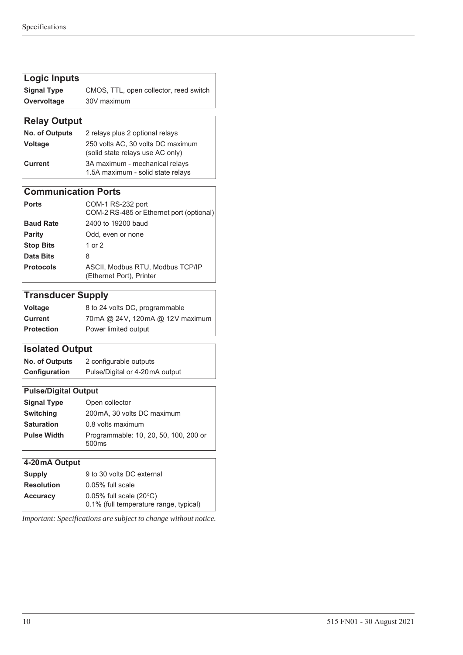| Logic Inputs        |                                        |
|---------------------|----------------------------------------|
| Signal Type         | CMOS, TTL, open collector, reed switch |
| <b>Overvoltage</b>  | 30V maximum                            |
|                     |                                        |
| <b>Relay Output</b> |                                        |

| $\overline{\phantom{a}}$ Reiay Output |                                                                       |
|---------------------------------------|-----------------------------------------------------------------------|
| <b>No. of Outputs</b>                 | 2 relays plus 2 optional relays                                       |
| <b>Voltage</b>                        | 250 volts AC, 30 volts DC maximum<br>(solid state relays use AC only) |
| <b>Current</b>                        | 3A maximum - mechanical relays<br>1.5A maximum - solid state relays   |

### **Communication Ports**

| COM-1 RS-232 port<br>COM-2 RS-485 or Ethernet port (optional) |
|---------------------------------------------------------------|
| 2400 to 19200 baud                                            |
| Odd, even or none                                             |
| 1 or $2$                                                      |
| 8                                                             |
| ASCII, Modbus RTU, Modbus TCP/IP<br>(Ethernet Port), Printer  |
|                                                               |

# **Transducer Supply**

| <b>Voltage</b>    | 8 to 24 volts DC, programmable  |
|-------------------|---------------------------------|
| ∣Current∶         | 70mA @ 24V, 120mA @ 12V maximum |
| <b>Protection</b> | Power limited output            |

# **Isolated Output**

| <b>No. of Outputs</b> | 2 configurable outputs         |
|-----------------------|--------------------------------|
| <b>Configuration</b>  | Pulse/Digital or 4-20mA output |

## **Pulse/Digital Output**

| <b>Signal Type</b> | Open collector                                             |
|--------------------|------------------------------------------------------------|
| <b>Switching</b>   | 200 mA, 30 volts DC maximum                                |
| <b>Saturation</b>  | 0.8 volts maximum                                          |
| <b>Pulse Width</b> | Programmable: 10, 20, 50, 100, 200 or<br>500 <sub>ms</sub> |
|                    |                                                            |

| $ 4-20$ mA Output |                                        |  |  |  |
|-------------------|----------------------------------------|--|--|--|
| Supply            | 9 to 30 volts DC external              |  |  |  |
| <b>Resolution</b> | $0.05\%$ full scale                    |  |  |  |
| <b>Accuracy</b>   | $0.05\%$ full scale (20 $\degree$ C)   |  |  |  |
|                   | 0.1% (full temperature range, typical) |  |  |  |

*Important: Specifications are subject to change without notice.*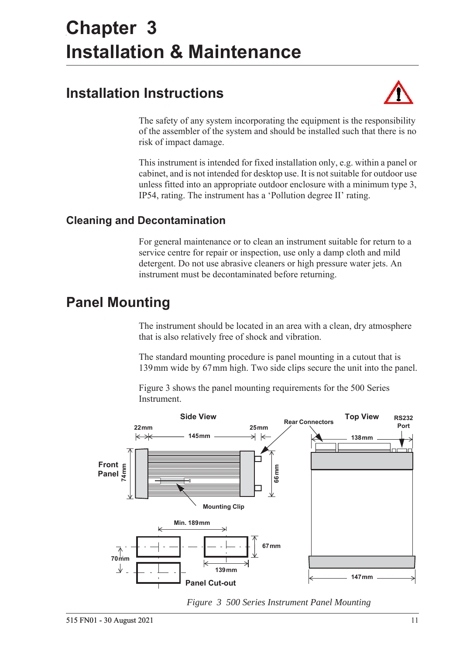# <span id="page-20-5"></span><span id="page-20-0"></span>**Chapter 3 Installation & Maintenance**

# <span id="page-20-1"></span>**Installation Instructions**



The safety of any system incorporating the equipment is the responsibility of the assembler of the system and should be installed such that there is no risk of impact damage.

This instrument is intended for fixed installation only, e.g. within a panel or cabinet, and is not intended for desktop use. It is not suitable for outdoor use unless fitted into an appropriate outdoor enclosure with a minimum type 3, IP54, rating. The instrument has a 'Pollution degree II' rating.

# <span id="page-20-2"></span>**Cleaning and Decontamination**

For general maintenance or to clean an instrument suitable for return to a service centre for repair or inspection, use only a damp cloth and mild detergent. Do not use abrasive cleaners or high pressure water jets. An instrument must be decontaminated before returning.

# <span id="page-20-3"></span>**Panel Mounting**

The instrument should be located in an area with a clean, dry atmosphere that is also relatively free of shock and vibration.

The standard mounting procedure is panel mounting in a cutout that is 139 mm wide by 67 mm high. Two side clips secure the unit into the panel.

[Figure 3](#page-20-4) shows the panel mounting requirements for the 500 Series Instrument.



<span id="page-20-4"></span>*Figure 3 500 Series Instrument Panel Mounting*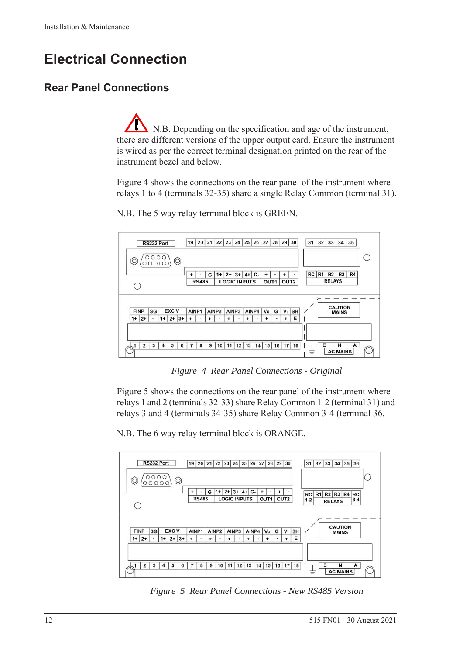# <span id="page-21-0"></span>**Electrical Connection**

# <span id="page-21-1"></span>**Rear Panel Connections**

N.B. Depending on the specification and age of the instrument, there are different versions of the upper output card. Ensure the instrument is wired as per the correct terminal designation printed on the rear of the instrument bezel and below.

[Figure 4](#page-21-2) shows the connections on the rear panel of the instrument where relays 1 to 4 (terminals 32-35) share a single Relay Common (terminal 31).



N.B. The 5 way relay terminal block is GREEN.

*Figure 4 Rear Panel Connections - Original*

<span id="page-21-2"></span>[Figure 5](#page-21-3) shows the connections on the rear panel of the instrument where relays 1 and 2 (terminals 32-33) share Relay Common 1-2 (terminal 31) and relays 3 and 4 (terminals 34-35) share Relay Common 3-4 (terminal 36.

N.B. The 6 way relay terminal block is ORANGE.



<span id="page-21-3"></span>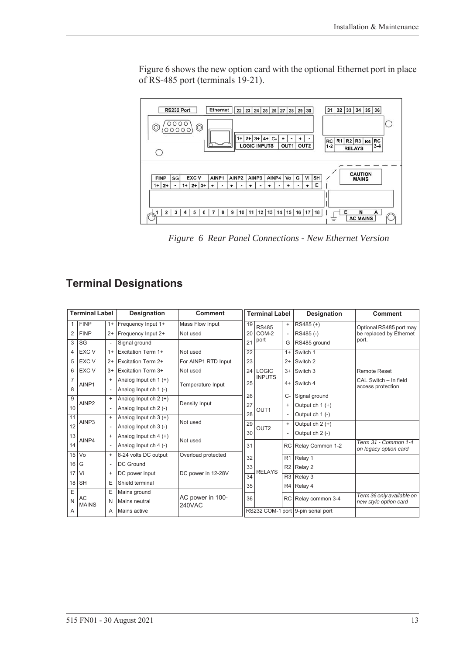[Figure 6](#page-22-1) shows the new option card with the optional Ethernet port in place of RS-485 port (terminals 19-21).



<span id="page-22-1"></span>*Figure 6 Rear Panel Connections - New Ethernet Version*

# <span id="page-22-0"></span>**Terminal Designations**

| <b>Terminal Label</b> |                    |                          | <b>Designation</b>        | <b>Comment</b>                    | <b>Terminal Label</b> |                  |                                    | <b>Designation</b> | <b>Comment</b>                                |
|-----------------------|--------------------|--------------------------|---------------------------|-----------------------------------|-----------------------|------------------|------------------------------------|--------------------|-----------------------------------------------|
|                       | <b>FINP</b>        | $1+$                     | Frequency Input 1+        | Mass Flow Input                   | 19                    | <b>RS485</b>     | $\ddot{}$                          | RS485 (+)          | Optional RS485 port may                       |
| 2                     | <b>FINP</b>        | $2+$                     | Frequency Input 2+        | Not used                          | 20                    | COM-2            |                                    | RS485 (-)          | be replaced by Ethernet                       |
| 3                     | SG                 | $\blacksquare$           | Signal ground             |                                   | 21                    | port             | G                                  | RS485 ground       | port.                                         |
| 4                     | EXC V              | $1+$                     | Excitation Term 1+        | Not used                          | 22                    |                  | $1+$                               | Switch 1           |                                               |
| 5                     | EXC V              | $2+$                     | <b>Excitation Term 2+</b> | For AINP1 RTD Input               | 23                    |                  | $2+$                               | Switch 2           |                                               |
| 6                     | EXC V              | $3+$                     | Excitation Term 3+        | Not used                          | 24                    | <b>LOGIC</b>     | $3+$                               | Switch 3           | <b>Remote Reset</b>                           |
| $\overline{7}$        | AINP1              | $\ddot{}$                | Analog Input ch $1 (+)$   | Temperature Input                 | 25                    | <b>INPUTS</b>    | $4+$                               | Switch 4           | CAL Switch - In field                         |
| 8                     |                    |                          | Analog Input ch 1 (-)     |                                   |                       |                  |                                    |                    | access protection                             |
| 9                     | AINP <sub>2</sub>  | $\ddot{}$                | Analog Input ch $2 (+)$   | Density Input                     | 26                    |                  | $C-$                               | Signal ground      |                                               |
| 10                    |                    |                          | Analog Input ch 2 (-)     |                                   | $\overline{27}$       | OUT <sub>1</sub> | $\ddot{}$                          | Output ch $1 (+)$  |                                               |
| 11                    |                    | $\ddot{}$                | Analog Input ch $3 (+)$   | Not used                          | 28                    |                  |                                    | Output $ch 1$ (-)  |                                               |
| 12                    | AINP3              | $\overline{\phantom{a}}$ | Analog Input ch 3 (-)     |                                   | 29                    | OUT <sub>2</sub> | $\ddot{}$                          | Output ch $2 (+)$  |                                               |
| $\overline{13}$       |                    | $\ddot{}$                | Analog Input ch $4 (+)$   |                                   | 30                    |                  |                                    | Output $ch 2$ (-)  |                                               |
| 14                    | AINP4              | $\overline{\phantom{a}}$ | Analog Input ch 4 (-)     | Not used                          | 31                    |                  | <b>RC</b>                          | Relay Common 1-2   | Term 31 - Common 1-4<br>on legacy option card |
| 15                    | Vo                 | $\ddot{}$                | 8-24 volts DC output      | Overload protected                | 32                    |                  | R <sub>1</sub>                     | Relay 1            |                                               |
| 16                    | G                  | $\overline{\phantom{a}}$ | <b>DC</b> Ground          |                                   | 33                    |                  | R <sub>2</sub>                     | Relay 2            |                                               |
| 17                    | Vi                 | $\ddot{}$                | DC power input            | DC power in 12-28V                | 34                    | <b>RELAYS</b>    | R3                                 | Relay 3            |                                               |
| 18                    | <b>SH</b>          | E                        | Shield terminal           |                                   | 35                    |                  | R4                                 | Relay 4            |                                               |
| Ε                     |                    | E                        | Mains ground              |                                   |                       |                  |                                    |                    | Term 36 only available on                     |
| N                     | AC<br><b>MAINS</b> | N                        | Mains neutral             | AC power in 100-<br><b>240VAC</b> | 36                    |                  | RC <sub>1</sub>                    | Relay common 3-4   | new style option card                         |
| A                     |                    | Mains active<br>Α        |                           |                                   |                       |                  | RS232 COM-1 port 9-pin serial port |                    |                                               |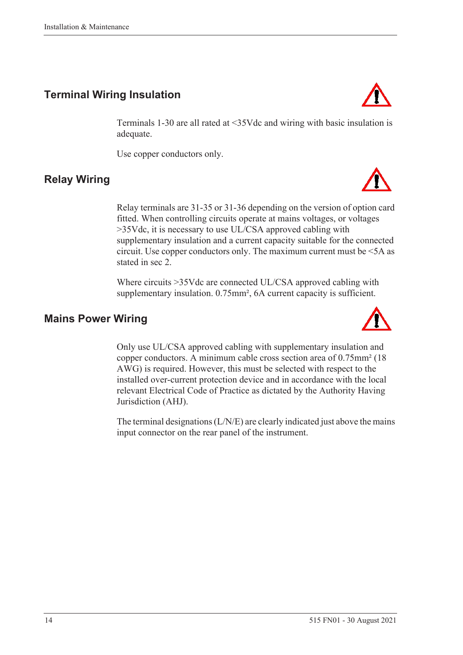# <span id="page-23-0"></span>**Terminal Wiring Insulation**

Terminals 1-30 are all rated at <35Vdc and wiring with basic insulation is adequate.

Use copper conductors only.

# <span id="page-23-1"></span>**Relay Wiring**

Relay terminals are 31-35 or 31-36 depending on the version of option card fitted. When controlling circuits operate at mains voltages, or voltages >35Vdc, it is necessary to use UL/CSA approved cabling with supplementary insulation and a current capacity suitable for the connected circuit. Use copper conductors only. The maximum current must be <5A as stated in sec 2.

Where circuits >35Vdc are connected UL/CSA approved cabling with supplementary insulation. 0.75mm<sup>2</sup>, 6A current capacity is sufficient.

## <span id="page-23-2"></span>**Mains Power Wiring**

Only use UL/CSA approved cabling with supplementary insulation and copper conductors. A minimum cable cross section area of 0.75mm² (18 AWG) is required. However, this must be selected with respect to the installed over-current protection device and in accordance with the local relevant Electrical Code of Practice as dictated by the Authority Having Jurisdiction (AHJ).

The terminal designations (L/N/E) are clearly indicated just above the mains input connector on the rear panel of the instrument.





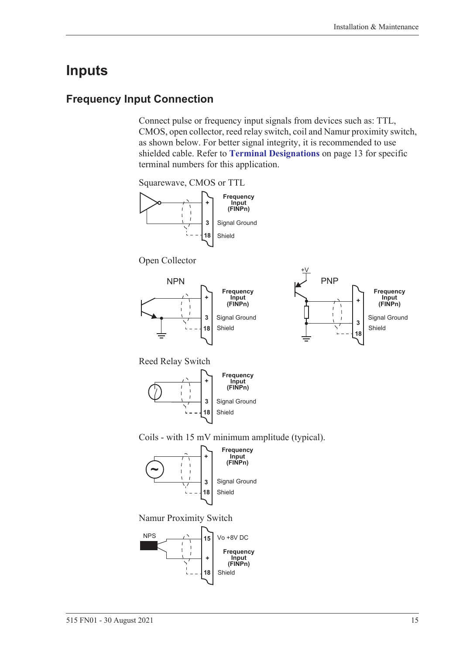# <span id="page-24-0"></span>**Inputs**

## <span id="page-24-1"></span>**Frequency Input Connection**

Connect pulse or frequency input signals from devices such as: TTL, CMOS, open collector, reed relay switch, coil and Namur proximity switch, as shown below. For better signal integrity, it is recommended to use shielded cable. Refer to **[Terminal Designations](#page-22-0)** on page 13 for specific terminal numbers for this application.

Squarewave, CMOS or TTL



Open Collector





Reed Relay Switch



Coils - with 15 mV minimum amplitude (typical).



Namur Proximity Switch

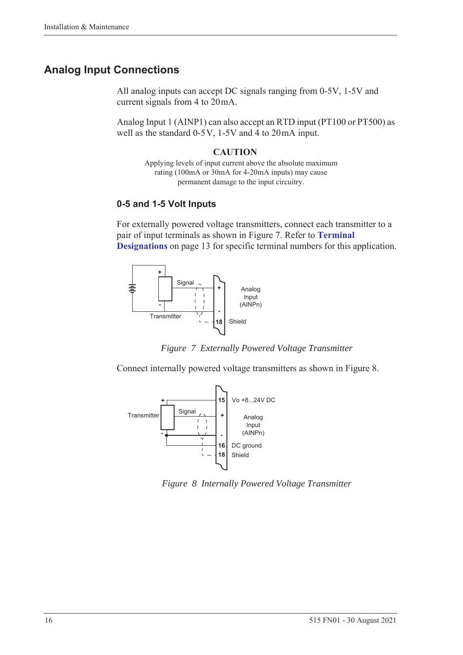# <span id="page-25-0"></span>**Analog Input Connections**

All analog inputs can accept DC signals ranging from 0-5V, 1-5V and current signals from 4 to 20 mA.

Analog Input 1 (AINP1) can also accept an RTD input (PT100 or PT500) as well as the standard  $0-5V$ ,  $1-5V$  and  $4$  to  $20mA$  input.

#### **CAUTION**

Applying levels of input current above the absolute maximum rating (100mA or 30mA for 4-20mA inputs) may cause permanent damage to the input circuitry.

#### **0-5 and 1-5 Volt Inputs**

For externally powered voltage transmitters, connect each transmitter to a pair of input terminals as shown in [Figure 7](#page-25-1). Refer to **[Terminal](#page-22-0)  [Designations](#page-22-0)** on page 13 for specific terminal numbers for this application.





<span id="page-25-1"></span>Connect internally powered voltage transmitters as shown in [Figure 8.](#page-25-2)



<span id="page-25-2"></span>*Figure 8 Internally Powered Voltage Transmitter*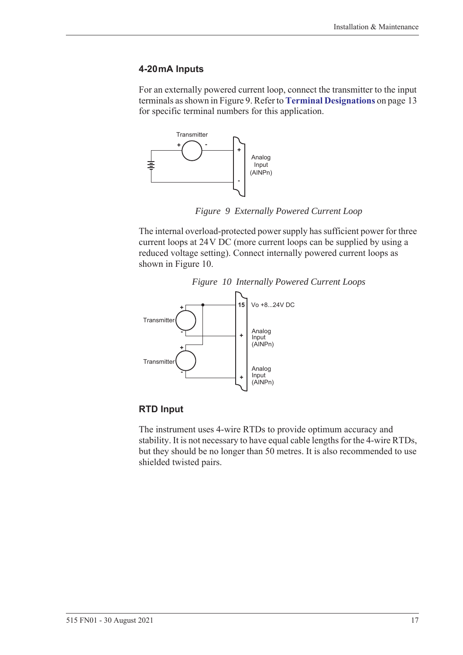#### **4-20 mA Inputs**

For an externally powered current loop, connect the transmitter to the input terminals as shown in [Figure 9.](#page-26-0) Refer to **[Terminal Designations](#page-22-0)** on page 13 for specific terminal numbers for this application.



*Figure 9 Externally Powered Current Loop*

<span id="page-26-0"></span>The internal overload-protected power supply has sufficient power for three current loops at 24 V DC (more current loops can be supplied by using a reduced voltage setting). Connect internally powered current loops as shown in [Figure 10.](#page-26-1)

<span id="page-26-1"></span>

**RTD Input**

The instrument uses 4-wire RTDs to provide optimum accuracy and stability. It is not necessary to have equal cable lengths for the 4-wire RTDs, but they should be no longer than 50 metres. It is also recommended to use shielded twisted pairs.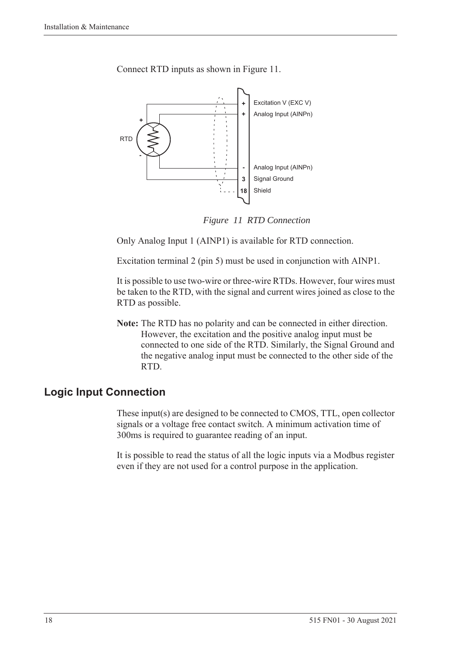

Connect RTD inputs as shown in [Figure 11.](#page-27-1)

*Figure 11 RTD Connection*

<span id="page-27-1"></span>Only Analog Input 1 (AINP1) is available for RTD connection.

Excitation terminal 2 (pin 5) must be used in conjunction with AINP1.

It is possible to use two-wire or three-wire RTDs. However, four wires must be taken to the RTD, with the signal and current wires joined as close to the RTD as possible.

**Note:** The RTD has no polarity and can be connected in either direction. However, the excitation and the positive analog input must be connected to one side of the RTD. Similarly, the Signal Ground and the negative analog input must be connected to the other side of the RTD.

## <span id="page-27-0"></span>**Logic Input Connection**

These input(s) are designed to be connected to CMOS, TTL, open collector signals or a voltage free contact switch. A minimum activation time of 300ms is required to guarantee reading of an input.

It is possible to read the status of all the logic inputs via a Modbus register even if they are not used for a control purpose in the application.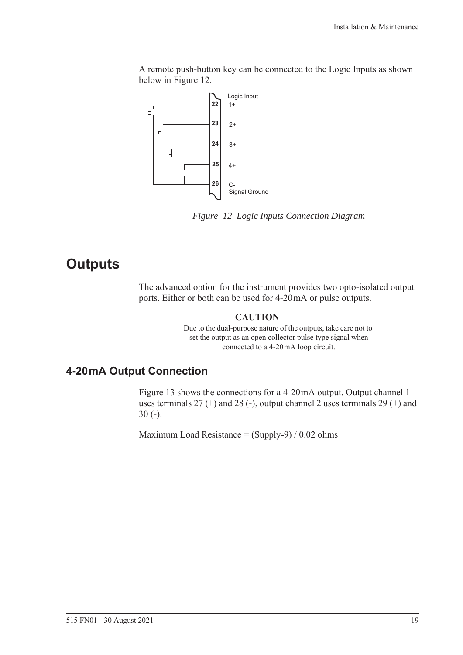A remote push-button key can be connected to the Logic Inputs as shown below in [Figure 12.](#page-28-2)



<span id="page-28-2"></span>*Figure 12 Logic Inputs Connection Diagram*

# <span id="page-28-0"></span>**Outputs**

The advanced option for the instrument provides two opto-isolated output ports. Either or both can be used for 4-20 mA or pulse outputs.

#### **CAUTION**

Due to the dual-purpose nature of the outputs, take care not to set the output as an open collector pulse type signal when connected to a 4-20mA loop circuit.

## <span id="page-28-1"></span>**4-20 mA Output Connection**

[Figure 13](#page-29-1) shows the connections for a 4-20 mA output. Output channel 1 uses terminals  $27 (+)$  and  $28 (-)$ , output channel 2 uses terminals  $29 (+)$  and 30 (-).

Maximum Load Resistance =  $(Supply-9) / 0.02$  ohms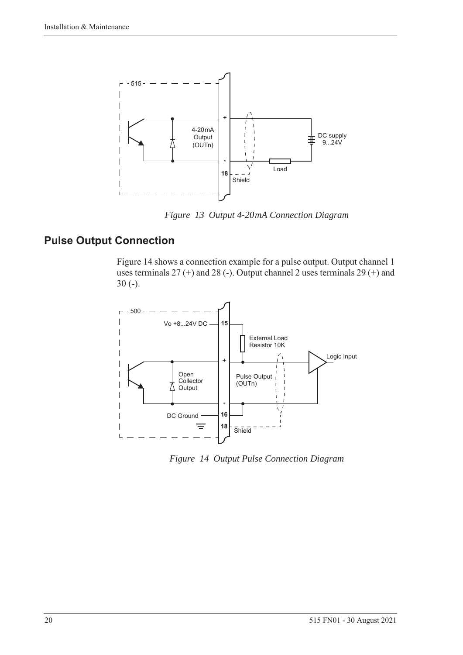

*Figure 13 Output 4-20 mA Connection Diagram*

# <span id="page-29-0"></span>**Pulse Output Connection**

<span id="page-29-1"></span>[Figure 14](#page-29-2) shows a connection example for a pulse output. Output channel 1 uses terminals 27 (+) and 28 (-). Output channel 2 uses terminals 29 (+) and 30 (-).



<span id="page-29-2"></span>*Figure 14 Output Pulse Connection Diagram*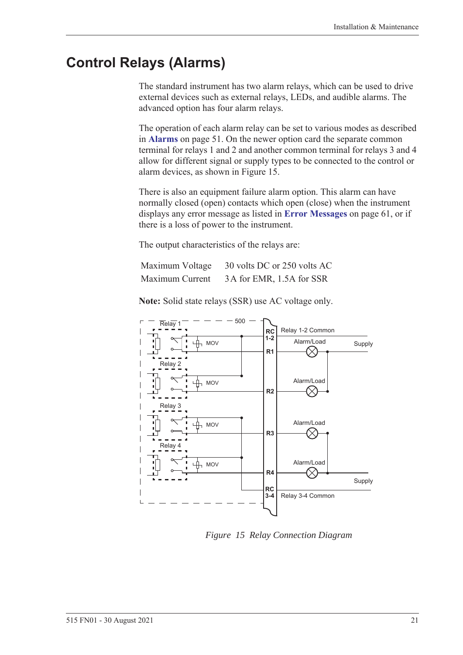# <span id="page-30-0"></span>**Control Relays (Alarms)**

The standard instrument has two alarm relays, which can be used to drive external devices such as external relays, LEDs, and audible alarms. The advanced option has four alarm relays.

The operation of each alarm relay can be set to various modes as described in **Alarms** [on page 51.](#page-60-1) On the newer option card the separate common terminal for relays 1 and 2 and another common terminal for relays 3 and 4 allow for different signal or supply types to be connected to the control or alarm devices, as shown in [Figure 15.](#page-30-1)

There is also an equipment failure alarm option. This alarm can have normally closed (open) contacts which open (close) when the instrument displays any error message as listed in **[Error Messages](#page-70-2)** on page 61, or if there is a loss of power to the instrument.

The output characteristics of the relays are:

| Maximum Voltage | 30 volts DC or 250 volts AC |
|-----------------|-----------------------------|
| Maximum Current | 3A for EMR, 1.5A for SSR    |

500  $\overline{Relav}$ RC Relay 1-2 Common **1-2** Alarm/Load Supply MOV **R1** Relay 2  $\overline{\phantom{a}}$ Alarm/Load MOV  $\overline{\phantom{a}}$ **R2**  $\otimes$  $\overline{\phantom{a}}$ Relay 3  $\overline{\phantom{a}}$  $\overline{\phantom{a}}$ Alarm/Load MOV  $\overline{\phantom{a}}$ **R3** Relay 4 Alarm/Load MOV  $\overline{\phantom{a}}$ **R4** Supply  $\overline{\phantom{a}}$ **RC**  $\overline{\phantom{a}}$ Relay 3-4 Common**3-4**

**Note:** Solid state relays (SSR) use AC voltage only.

<span id="page-30-1"></span>*Figure 15 Relay Connection Diagram*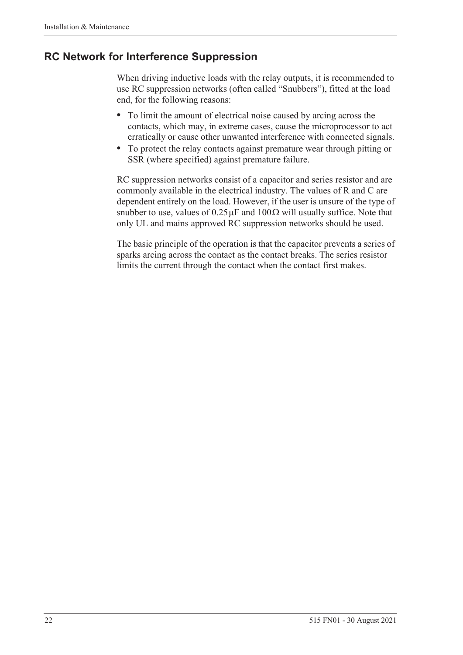# <span id="page-31-0"></span>**RC Network for Interference Suppression**

When driving inductive loads with the relay outputs, it is recommended to use RC suppression networks (often called "Snubbers"), fitted at the load end, for the following reasons:

- **•** To limit the amount of electrical noise caused by arcing across the contacts, which may, in extreme cases, cause the microprocessor to act erratically or cause other unwanted interference with connected signals.
- **•** To protect the relay contacts against premature wear through pitting or SSR (where specified) against premature failure.

RC suppression networks consist of a capacitor and series resistor and are commonly available in the electrical industry. The values of R and C are dependent entirely on the load. However, if the user is unsure of the type of snubber to use, values of  $0.25 \mu$ F and  $100 \Omega$  will usually suffice. Note that only UL and mains approved RC suppression networks should be used.

The basic principle of the operation is that the capacitor prevents a series of sparks arcing across the contact as the contact breaks. The series resistor limits the current through the contact when the contact first makes.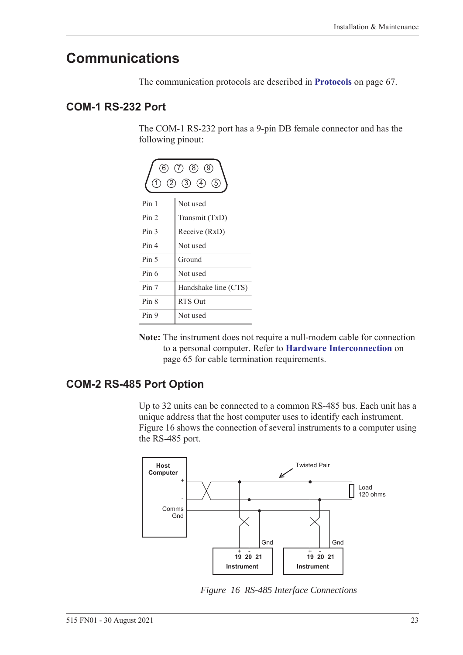# <span id="page-32-0"></span>**Communications**

The communication protocols are described in **Protocols** [on page 67](#page-76-3).

## <span id="page-32-1"></span>**COM-1 RS-232 Port**

The COM-1 RS-232 port has a 9-pin DB female connector and has the following pinout:

| $(6)$ (7) (8) (9)<br>$(2)$ $(3)$ $(4)$ $(5)$ |                      |  |  |  |
|----------------------------------------------|----------------------|--|--|--|
| Pin 1                                        | Not used             |  |  |  |
| Pin <sub>2</sub>                             | Transmit (TxD)       |  |  |  |
| Pin <sub>3</sub>                             | Receive (RxD)        |  |  |  |
| Pin 4                                        | Not used             |  |  |  |
| Pin <sub>5</sub>                             | Ground               |  |  |  |
| Pin 6                                        | Not used             |  |  |  |
| Pin 7                                        | Handshake line (CTS) |  |  |  |
| Pin 8                                        | RTS Out              |  |  |  |
| Pin 9                                        | Not used             |  |  |  |

**Note:** The instrument does not require a null-modem cable for connection to a personal computer. Refer to **[Hardware Interconnection](#page-74-4)** on [page 65](#page-74-4) for cable termination requirements.

# <span id="page-32-2"></span>**COM-2 RS-485 Port Option**

Up to 32 units can be connected to a common RS-485 bus. Each unit has a unique address that the host computer uses to identify each instrument. [Figure 16](#page-32-3) shows the connection of several instruments to a computer using the RS-485 port.



<span id="page-32-3"></span>*Figure 16 RS-485 Interface Connections*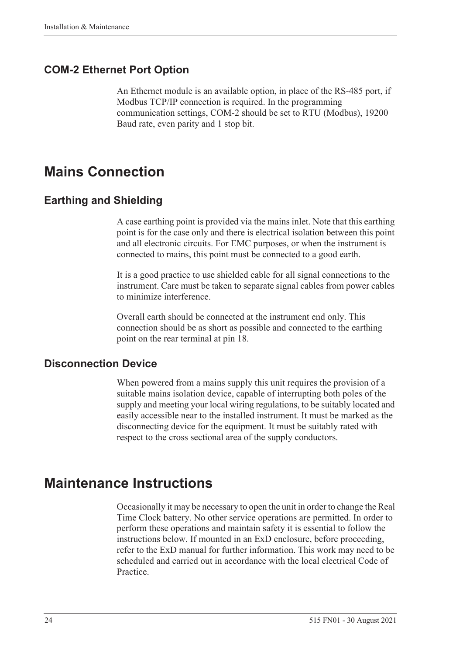# <span id="page-33-0"></span>**COM-2 Ethernet Port Option**

An Ethernet module is an available option, in place of the RS-485 port, if Modbus TCP/IP connection is required. In the programming communication settings, COM-2 should be set to RTU (Modbus), 19200 Baud rate, even parity and 1 stop bit.

# <span id="page-33-1"></span>**Mains Connection**

# <span id="page-33-2"></span>**Earthing and Shielding**

A case earthing point is provided via the mains inlet. Note that this earthing point is for the case only and there is electrical isolation between this point and all electronic circuits. For EMC purposes, or when the instrument is connected to mains, this point must be connected to a good earth.

It is a good practice to use shielded cable for all signal connections to the instrument. Care must be taken to separate signal cables from power cables to minimize interference.

Overall earth should be connected at the instrument end only. This connection should be as short as possible and connected to the earthing point on the rear terminal at pin 18.

## <span id="page-33-3"></span>**Disconnection Device**

When powered from a mains supply this unit requires the provision of a suitable mains isolation device, capable of interrupting both poles of the supply and meeting your local wiring regulations, to be suitably located and easily accessible near to the installed instrument. It must be marked as the disconnecting device for the equipment. It must be suitably rated with respect to the cross sectional area of the supply conductors.

# <span id="page-33-4"></span>**Maintenance Instructions**

Occasionally it may be necessary to open the unit in order to change the Real Time Clock battery. No other service operations are permitted. In order to perform these operations and maintain safety it is essential to follow the instructions below. If mounted in an ExD enclosure, before proceeding, refer to the ExD manual for further information. This work may need to be scheduled and carried out in accordance with the local electrical Code of Practice.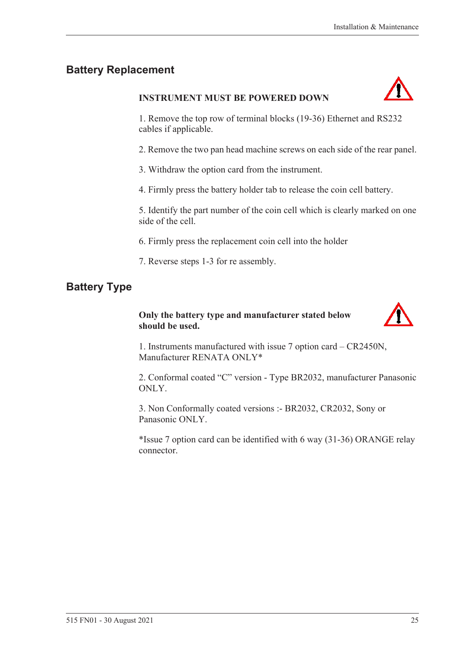# <span id="page-34-0"></span>**Battery Replacement**

#### **INSTRUMENT MUST BE POWERED DOWN**



1. Remove the top row of terminal blocks (19-36) Ethernet and RS232 cables if applicable.

2. Remove the two pan head machine screws on each side of the rear panel.

3. Withdraw the option card from the instrument.

4. Firmly press the battery holder tab to release the coin cell battery.

5. Identify the part number of the coin cell which is clearly marked on one side of the cell.

6. Firmly press the replacement coin cell into the holder

7. Reverse steps 1-3 for re assembly.

# <span id="page-34-1"></span>**Battery Type**

#### **Only the battery type and manufacturer stated below should be used.**



1. Instruments manufactured with issue 7 option card – CR2450N, Manufacturer RENATA ONLY\*

2. Conformal coated "C" version - Type BR2032, manufacturer Panasonic ONLY.

3. Non Conformally coated versions :- BR2032, CR2032, Sony or Panasonic ONLY.

\*Issue 7 option card can be identified with 6 way (31-36) ORANGE relay connector.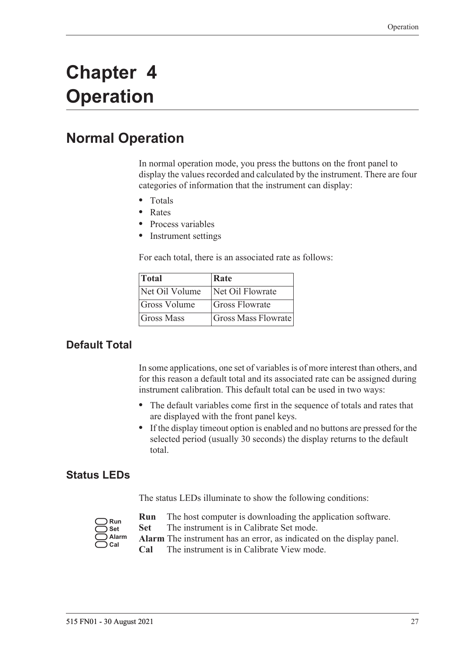# **Chapter 4 Operation**

# **Normal Operation**

In normal operation mode, you press the buttons on the front panel to display the values recorded and calculated by the instrument. There are four categories of information that the instrument can display:

- **•** Totals
- **•** Rates
- **•** Process variables
- **•** Instrument settings

For each total, there is an associated rate as follows:

| Total          | Rate                       |
|----------------|----------------------------|
| Net Oil Volume | Net Oil Flowrate           |
| Gross Volume   | <b>Gross Flowrate</b>      |
| Gross Mass     | <b>Gross Mass Flowrate</b> |

## **Default Total**

In some applications, one set of variables is of more interest than others, and for this reason a default total and its associated rate can be assigned during instrument calibration. This default total can be used in two ways:

- **•** The default variables come first in the sequence of totals and rates that are displayed with the front panel keys.
- **•** If the display timeout option is enabled and no buttons are pressed for the selected period (usually 30 seconds) the display returns to the default total.

#### **Status LEDs**

The status LEDs illuminate to show the following conditions:

| Run   |
|-------|
| Set   |
| Alarm |
| :al   |

- **Run** The host computer is downloading the application software.
- **Set** The instrument is in Calibrate Set mode.
- **Alarm** The instrument has an error, as indicated on the display panel.
- **Cal** The instrument is in Calibrate View mode.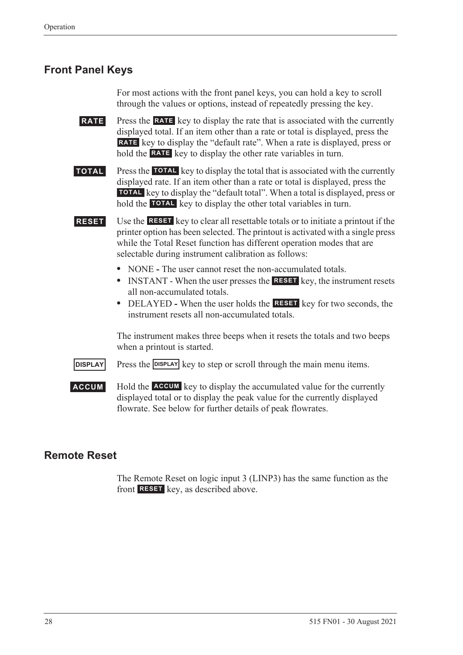## **Front Panel Keys**

For most actions with the front panel keys, you can hold a key to scroll through the values or options, instead of repeatedly pressing the key.

**RATE** Press the **RATE** key to display the rate that is associated with the currently displayed total. If an item other than a rate or total is displayed, press the RATE key to display the "default rate". When a rate is displayed, press or hold the **RATE** key to display the other rate variables in turn.

**TOTAL** Press the TOTAL key to display the total that is associated with the currently displayed rate. If an item other than a rate or total is displayed, press the **TOTAL** key to display the "default total". When a total is displayed, press or hold the **TOTAL** key to display the other total variables in turn.

**RESET** Use the **RESET** key to clear all resettable totals or to initiate a printout if the printer option has been selected. The printout is activated with a single press while the Total Reset function has different operation modes that are selectable during instrument calibration as follows:

- NONE The user cannot reset the non-accumulated totals.
- INSTANT When the user presses the **RESET** key, the instrument resets all non-accumulated totals.
- DELAYED When the user holds the **RESET** key for two seconds, the instrument resets all non-accumulated totals.

The instrument makes three beeps when it resets the totals and two beeps when a printout is started.

**DISPLAY** Press the **DISPLAY** key to step or scroll through the main menu items.

**ACCUM** Hold the **ACCUM** key to display the accumulated value for the currently displayed total or to display the peak value for the currently displayed flowrate. See below for further details of peak flowrates.

## **Remote Reset**

The Remote Reset on logic input 3 (LINP3) has the same function as the front **RESET** key, as described above.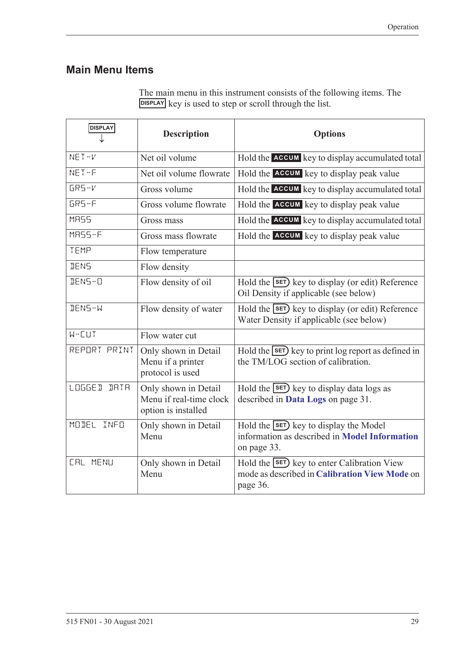## **Main Menu Items**

|                 |                                                                        | $\frac{1}{2}$ Key is used to step of service through the fist.                                                 |
|-----------------|------------------------------------------------------------------------|----------------------------------------------------------------------------------------------------------------|
| <b>DISPLAY</b>  | <b>Description</b>                                                     | <b>Options</b>                                                                                                 |
| $NET-V$         | Net oil volume                                                         | Hold the ACCUM key to display accumulated total                                                                |
| NET-F           | Net oil volume flowrate                                                | Hold the <b>ACCUM</b> key to display peak value                                                                |
| $GRS-V$         | Gross volume                                                           | Hold the ACCUM key to display accumulated total                                                                |
| <b>GRS-F</b>    | Gross volume flowrate                                                  | Hold the <b>ACCUM</b> key to display peak value                                                                |
| <b>MR55</b>     | Gross mass                                                             | Hold the ACCUM key to display accumulated total                                                                |
| <b>MA55-F</b>   | Gross mass flowrate                                                    | Hold the <b>ACCUM</b> key to display peak value                                                                |
| TEMP            | Flow temperature                                                       |                                                                                                                |
| <b>JEN5</b>     | Flow density                                                           |                                                                                                                |
| $IENS - 0$      | Flow density of oil                                                    | Hold the SET key to display (or edit) Reference<br>Oil Density if applicable (see below)                       |
| DENS-W          | Flow density of water                                                  | Hold the SET) key to display (or edit) Reference<br>Water Density if applicable (see below)                    |
| $W - LUT$       | Flow water cut                                                         |                                                                                                                |
| REPORT PRINT    | Only shown in Detail<br>Menu if a printer<br>protocol is used          | Hold the $\overline{\text{set}}$ key to print log report as defined in<br>the TM/LOG section of calibration.   |
| LOGGED DATA     | Only shown in Detail<br>Menu if real-time clock<br>option is installed | Hold the <b>SET</b> ) key to display data logs as<br>described in Data Logs on page 31.                        |
| MODEL INFO      | Only shown in Detail<br>Menu                                           | Hold the <b>SET</b> ) key to display the Model<br>information as described in Model Information<br>on page 33. |
| <b>CAL MENU</b> | Only shown in Detail<br>Menu                                           | Hold the SET) key to enter Calibration View<br>mode as described in Calibration View Mode on<br>page 36.       |

The main menu in this instrument consists of the following items. The **DISPLAY** key is used to step or scroll through the list.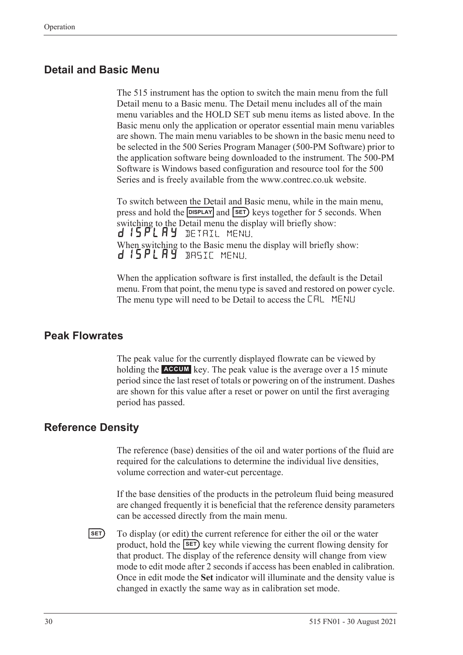## **Detail and Basic Menu**

The 515 instrument has the option to switch the main menu from the full Detail menu to a Basic menu. The Detail menu includes all of the main menu variables and the HOLD SET sub menu items as listed above. In the Basic menu only the application or operator essential main menu variables are shown. The main menu variables to be shown in the basic menu need to be selected in the 500 Series Program Manager (500-PM Software) prior to the application software being downloaded to the instrument. The 500-PM Software is Windows based configuration and resource tool for the 500 Series and is freely available from the www.contrec.co.uk website.

To switch between the Detail and Basic menu, while in the main menu, press and hold the **DISPLAY** and **SET**) keys together for 5 seconds. When switching to the Detail menu the display will briefly show: d 15 PL A Y DETAIL MENU. When switching to the Basic menu the display will briefly show: d 15PLAY BASIC MENU.

When the application software is first installed, the default is the Detail menu. From that point, the menu type is saved and restored on power cycle. The menu type will need to be Detail to access the CAL MENU

#### **Peak Flowrates**

The peak value for the currently displayed flowrate can be viewed by holding the **ACCUM** key. The peak value is the average over a 15 minute period since the last reset of totals or powering on of the instrument. Dashes are shown for this value after a reset or power on until the first averaging period has passed.

## **Reference Density**

The reference (base) densities of the oil and water portions of the fluid are required for the calculations to determine the individual live densities, volume correction and water-cut percentage.

If the base densities of the products in the petroleum fluid being measured are changed frequently it is beneficial that the reference density parameters can be accessed directly from the main menu.

To display (or edit) the current reference for either the oil or the water product, hold the **SET** key while viewing the current flowing density for that product. The display of the reference density will change from view mode to edit mode after 2 seconds if access has been enabled in calibration. Once in edit mode the **Set** indicator will illuminate and the density value is changed in exactly the same way as in calibration set mode. **SET**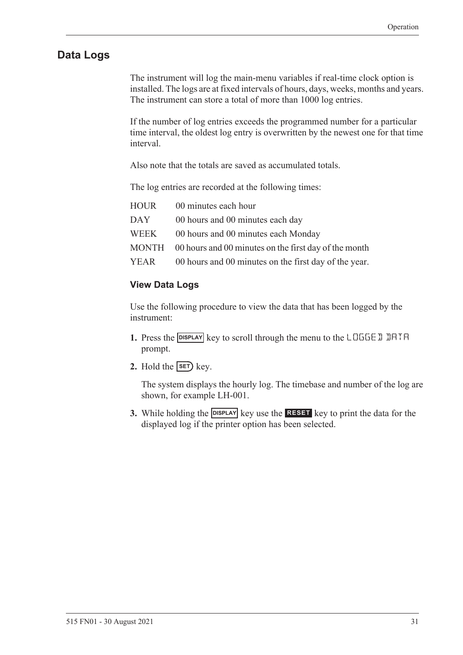#### <span id="page-40-0"></span>**Data Logs**

The instrument will log the main-menu variables if real-time clock option is installed. The logs are at fixed intervals of hours, days, weeks, months and years. The instrument can store a total of more than 1000 log entries.

If the number of log entries exceeds the programmed number for a particular time interval, the oldest log entry is overwritten by the newest one for that time interval.

Also note that the totals are saved as accumulated totals.

The log entries are recorded at the following times:

| HOUR | 00 minutes each hour                                        |
|------|-------------------------------------------------------------|
| DAY  | 00 hours and 00 minutes each day                            |
| WEEK | 00 hours and 00 minutes each Monday                         |
|      | MONTH 00 hours and 00 minutes on the first day of the month |
| YEAR | 00 hours and 00 minutes on the first day of the year.       |

#### **View Data Logs**

Use the following procedure to view the data that has been logged by the instrument:

- **1.** Press the **DISPLAY** key to scroll through the menu to the LOGGE D DATA prompt.
- **2.** Hold the  $\overline{\text{SET}}$  key.

The system displays the hourly log. The timebase and number of the log are shown, for example LH-001.

**3.** While holding the **DISPLAY** key use the **RESET** key to print the data for the displayed log if the printer option has been selected.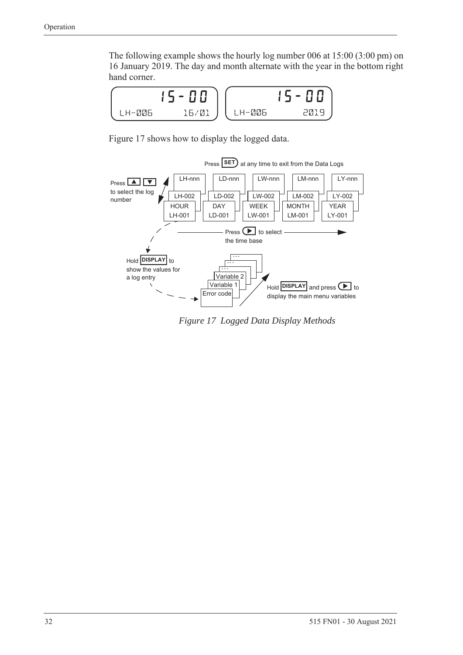The following example shows the hourly log number 006 at 15:00 (3:00 pm) on 16 January 2019. The day and month alternate with the year in the bottom right hand corner.



[Figure 17](#page-41-0) shows how to display the logged data.



<span id="page-41-0"></span>*Figure 17 Logged Data Display Methods*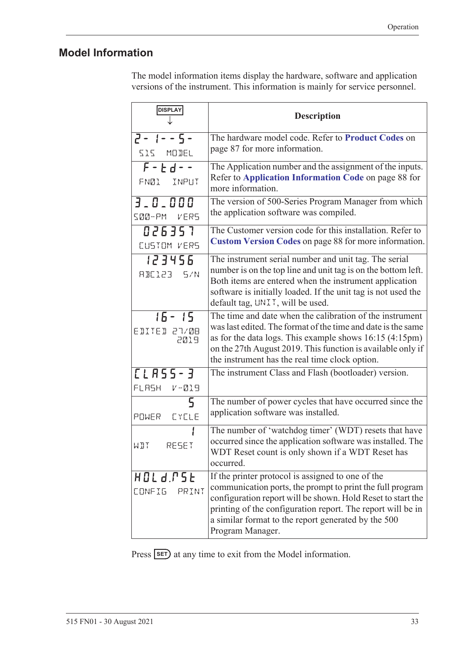# <span id="page-42-1"></span><span id="page-42-0"></span>**Model Information**

The model information items display the hardware, software and application versions of the instrument. This information is mainly for service personnel.

| <b>DISPLAY</b>                     | <b>Description</b>                                                                                                                                                                                                                                                                                                      |
|------------------------------------|-------------------------------------------------------------------------------------------------------------------------------------------------------------------------------------------------------------------------------------------------------------------------------------------------------------------------|
| $2 - 1 - 5 -$<br>SIS MODEL         | The hardware model code. Refer to Product Codes on<br>page 87 for more information.                                                                                                                                                                                                                                     |
| $F - Ed - -$<br>FNØ1 INPUT         | The Application number and the assignment of the inputs.<br>Refer to Application Information Code on page 88 for<br>more information.                                                                                                                                                                                   |
| 3.0.000<br>SØØ-PM VERS             | The version of 500-Series Program Manager from which<br>the application software was compiled.                                                                                                                                                                                                                          |
| 026357<br>CUSTOM VERS              | The Customer version code for this installation. Refer to<br>Custom Version Codes on page 88 for more information.                                                                                                                                                                                                      |
| 123456<br>RBE123 5/N               | The instrument serial number and unit tag. The serial<br>number is on the top line and unit tag is on the bottom left.<br>Both items are entered when the instrument application<br>software is initially loaded. If the unit tag is not used the<br>default tag, UNIT, will be used.                                   |
| $15 - 15$<br>EDITED 27/08<br>2019  | The time and date when the calibration of the instrument<br>was last edited. The format of the time and date is the same<br>as for the data logs. This example shows $16:15$ (4:15pm)<br>on the 27th August 2019. This function is available only if<br>the instrument has the real time clock option.                  |
| [LA55-3<br>FLASH V-019             | The instrument Class and Flash (bootloader) version.                                                                                                                                                                                                                                                                    |
| 5<br>POWER EYELE                   | The number of power cycles that have occurred since the<br>application software was installed.                                                                                                                                                                                                                          |
| RESET<br>WIT                       | The number of 'watchdog timer' (WDT) resets that have<br>occurred since the application software was installed. The<br>WDT Reset count is only shown if a WDT Reset has<br>occurred.                                                                                                                                    |
| HOLd.PSE<br><b>CONFIG</b><br>PRINT | If the printer protocol is assigned to one of the<br>communication ports, the prompt to print the full program<br>configuration report will be shown. Hold Reset to start the<br>printing of the configuration report. The report will be in<br>a similar format to the report generated by the 500<br>Program Manager. |

Press **SET**) at any time to exit from the Model information.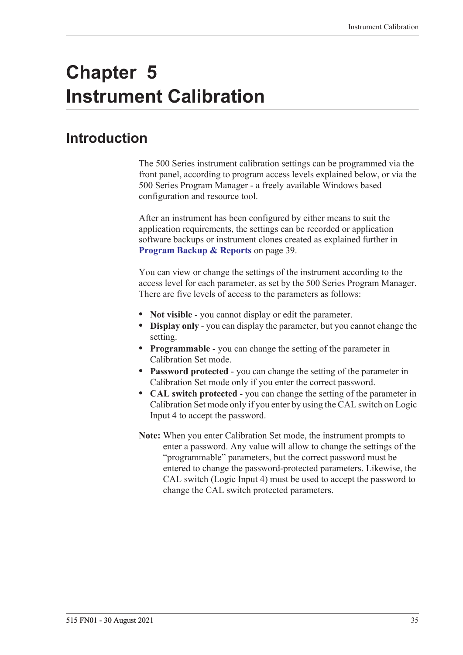# **Chapter 5 Instrument Calibration**

# **Introduction**

The 500 Series instrument calibration settings can be programmed via the front panel, according to program access levels explained below, or via the 500 Series Program Manager - a freely available Windows based configuration and resource tool.

After an instrument has been configured by either means to suit the application requirements, the settings can be recorded or application software backups or instrument clones created as explained further in **[Program Backup & Reports](#page-48-0)** on page 39.

You can view or change the settings of the instrument according to the access level for each parameter, as set by the 500 Series Program Manager. There are five levels of access to the parameters as follows:

- **• Not visible** you cannot display or edit the parameter.
- **• Display only** you can display the parameter, but you cannot change the setting.
- **• Programmable** you can change the setting of the parameter in Calibration Set mode.
- **• Password protected** you can change the setting of the parameter in Calibration Set mode only if you enter the correct password.
- **• CAL switch protected**  you can change the setting of the parameter in Calibration Set mode only if you enter by using the CAL switch on Logic Input 4 to accept the password.
- **Note:** When you enter Calibration Set mode, the instrument prompts to enter a password. Any value will allow to change the settings of the "programmable" parameters, but the correct password must be entered to change the password-protected parameters. Likewise, the CAL switch (Logic Input 4) must be used to accept the password to change the CAL switch protected parameters.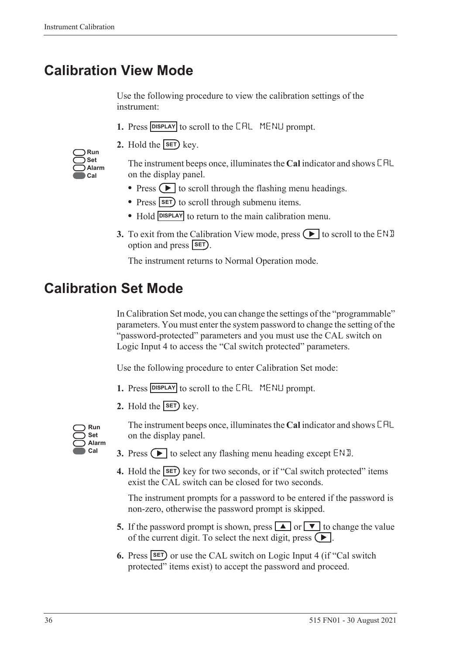# <span id="page-45-0"></span>**Calibration View Mode**

Use the following procedure to view the calibration settings of the instrument:

- 1. Press **DISPLAY** to scroll to the **CAL** MENLI prompt.
- **2.** Hold the  $\overline{\text{SET}}$  key.

| Run   |
|-------|
| Set   |
| Alarm |
| Cal   |

The instrument beeps once, illuminates the **Cal** indicator and shows CAL on the display panel.

- Press  $\left( \blacktriangleright \right)$  to scroll through the flashing menu headings.
- Press **SET**) to scroll through submenu items.
- Hold **DISPLAY** to return to the main calibration menu.
- **3.** To exit from the Calibration View mode, press  $\Box$  to scroll to the END option and press **SET**).

The instrument returns to Normal Operation mode.

# **Calibration Set Mode**

In Calibration Set mode, you can change the settings of the "programmable" parameters. You must enter the system password to change the setting of the "password-protected" parameters and you must use the CAL switch on Logic Input 4 to access the "Cal switch protected" parameters.

Use the following procedure to enter Calibration Set mode:

- **1.** Press **DISPLAY** to scroll to the **CAL** MENLI prompt.
- **2.** Hold the  $\overline{\text{SET}}$  key.



The instrument beeps once, illuminates the **Cal** indicator and shows CAL on the display panel.

- **3.** Press  $\left( \blacktriangleright \right)$  to select any flashing menu heading except END.
- **4.** Hold the **SET** key for two seconds, or if "Cal switch protected" items exist the CAL switch can be closed for two seconds.

The instrument prompts for a password to be entered if the password is non-zero, otherwise the password prompt is skipped.

- **5.** If the password prompt is shown, press  $\boxed{\blacktriangle}$  or  $\boxed{\blacktriangledown}$  to change the value of the current digit. To select the next digit, press  $\left( \blacktriangleright \right)$ .
- **6.** Press **SET** or use the CAL switch on Logic Input 4 (if "Cal switch protected" items exist) to accept the password and proceed.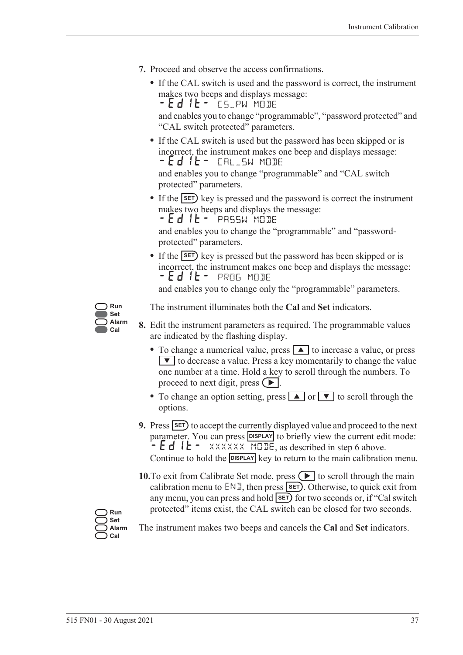- **7.** Proceed and observe the access confirmations.
	- **•** If the CAL switch is used and the password is correct, the instrument makes two beeps and displays message:  $-Ed$  it -  $TS$  pw mode

and enables you to change "programmable", "password protected" and "CAL switch protected" parameters.

**•** If the CAL switch is used but the password has been skipped or is incorrect, the instrument makes one beep and displays message: -EDIT- CAL\_SW MODE

and enables you to change "programmable" and "CAL switch protected" parameters.

• If the **SET**) key is pressed and the password is correct the instrument makes two beeps and displays the message:

 $-Ed$  it - PASSW MODE

and enables you to change the "programmable" and "passwordprotected" parameters.

• If the **SET**) key is pressed but the password has been skipped or is incorrect, the instrument makes one beep and displays the message: -EDIT- PROG MODE

and enables you to change only the "programmable" parameters.



The instrument illuminates both the **Cal** and **Set** indicators.

- **8.** Edit the instrument parameters as required. The programmable values are indicated by the flashing display.
	- To change a numerical value, press **A** to increase a value, or press  $\blacktriangledown$  to decrease a value. Press a key momentarily to change the value one number at a time. Hold a key to scroll through the numbers. To proceed to next digit, press  $( \blacktriangleright ).$
	- To change an option setting, press **A** or  $\bullet$  to scroll through the options.
- **9.** Press **SET** to accept the currently displayed value and proceed to the next parameter. You can press **DISPLAY** to briefly view the current edit mode:  $\div$  E d I E – XXXXXX MODE, as described in step 6 above. Continue to hold the **DISPLAY** key to return to the main calibration menu.
- **10.**To exit from Calibrate Set mode, press  $\left( \blacktriangleright \right)$  to scroll through the main calibration menu to  $ENI$ , then press  $SET$ . Otherwise, to quick exit from any menu, you can press and hold **SET** for two seconds or, if "Cal switch protected" items exist, the CAL switch can be closed for two seconds.

**Run Set Alarm Cal**

The instrument makes two beeps and cancels the **Cal** and **Set** indicators.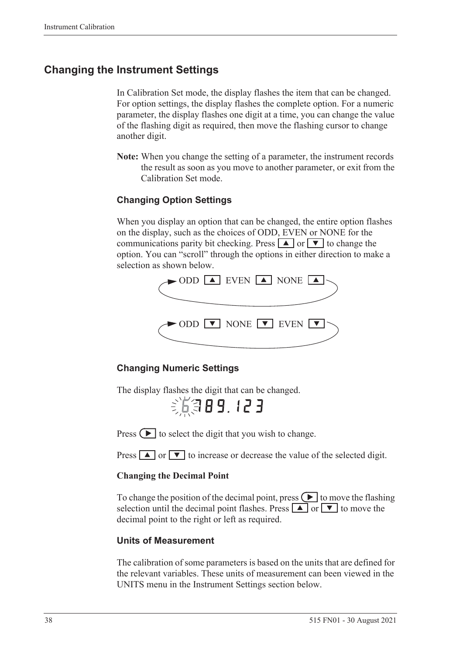## **Changing the Instrument Settings**

In Calibration Set mode, the display flashes the item that can be changed. For option settings, the display flashes the complete option. For a numeric parameter, the display flashes one digit at a time, you can change the value of the flashing digit as required, then move the flashing cursor to change another digit.

**Note:** When you change the setting of a parameter, the instrument records the result as soon as you move to another parameter, or exit from the Calibration Set mode.

#### **Changing Option Settings**

When you display an option that can be changed, the entire option flashes on the display, such as the choices of ODD, EVEN or NONE for the communications parity bit checking. Press  $\boxed{\blacktriangle}$  or  $\boxed{\blacktriangledown}$  to change the option. You can "scroll" through the options in either direction to make a selection as shown below.



#### **Changing Numeric Settings**

The display flashes the digit that can be changed.

第第89.123

Press  $\left( \blacktriangleright \right)$  to select the digit that you wish to change.

Press  $\boxed{\blacktriangle}$  or  $\boxed{\blacktriangledown}$  to increase or decrease the value of the selected digit.

#### **Changing the Decimal Point**

To change the position of the decimal point, press  $\Box$  to move the flashing selection until the decimal point flashes. Press  $\boxed{\blacktriangle}$  or  $\boxed{\blacktriangledown}$  to move the decimal point to the right or left as required.

#### **Units of Measurement**

The calibration of some parameters is based on the units that are defined for the relevant variables. These units of measurement can been viewed in the UNITS menu in the Instrument Settings section below.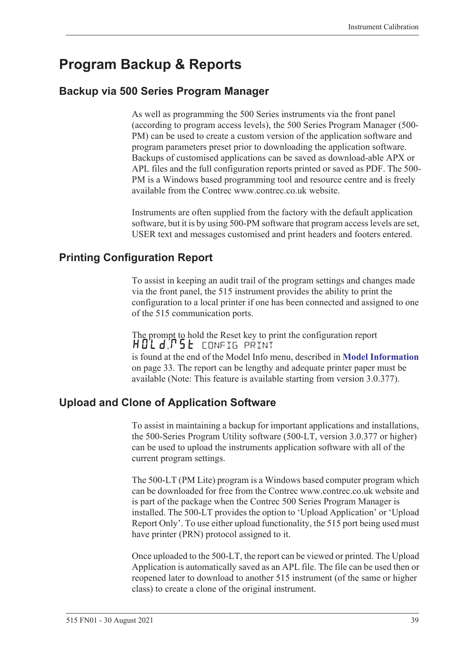# <span id="page-48-0"></span>**Program Backup & Reports**

## **Backup via 500 Series Program Manager**

As well as programming the 500 Series instruments via the front panel (according to program access levels), the 500 Series Program Manager (500- PM) can be used to create a custom version of the application software and program parameters preset prior to downloading the application software. Backups of customised applications can be saved as download-able APX or APL files and the full configuration reports printed or saved as PDF. The 500- PM is a Windows based programming tool and resource centre and is freely available from the Contrec www.contrec.co.uk website.

Instruments are often supplied from the factory with the default application software, but it is by using 500-PM software that program access levels are set, USER text and messages customised and print headers and footers entered.

#### **Printing Configuration Report**

To assist in keeping an audit trail of the program settings and changes made via the front panel, the 515 instrument provides the ability to print the configuration to a local printer if one has been connected and assigned to one of the 515 communication ports.

The prompt to hold the Reset key to print the configuration report HOLd:P5E config print is found at the end of the Model Info menu, described in **[Model Information](#page-42-1)** [on page 33](#page-42-1). The report can be lengthy and adequate printer paper must be available (Note: This feature is available starting from version 3.0.377).

## **Upload and Clone of Application Software**

To assist in maintaining a backup for important applications and installations, the 500-Series Program Utility software (500-LT, version 3.0.377 or higher) can be used to upload the instruments application software with all of the current program settings.

The 500-LT (PM Lite) program is a Windows based computer program which can be downloaded for free from the Contrec www.contrec.co.uk website and is part of the package when the Contrec 500 Series Program Manager is installed. The 500-LT provides the option to 'Upload Application' or 'Upload Report Only'. To use either upload functionality, the 515 port being used must have printer (PRN) protocol assigned to it.

Once uploaded to the 500-LT, the report can be viewed or printed. The Upload Application is automatically saved as an APL file. The file can be used then or reopened later to download to another 515 instrument (of the same or higher class) to create a clone of the original instrument.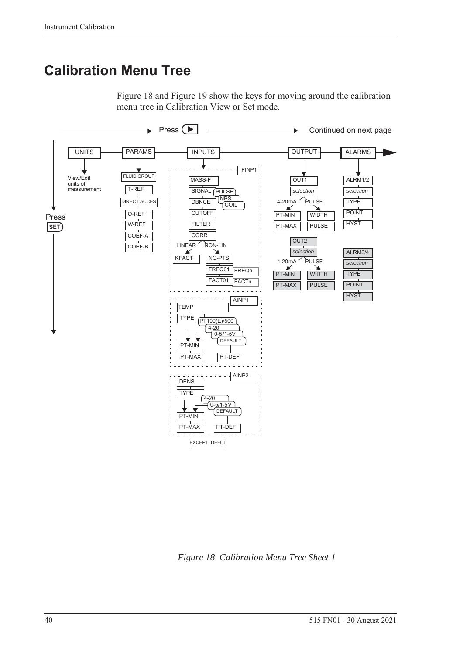# **Calibration Menu Tree**

[Figure 18](#page-49-0) and [Figure 19](#page-50-0) show the keys for moving around the calibration menu tree in Calibration View or Set mode.



<span id="page-49-0"></span>*Figure 18 Calibration Menu Tree Sheet 1*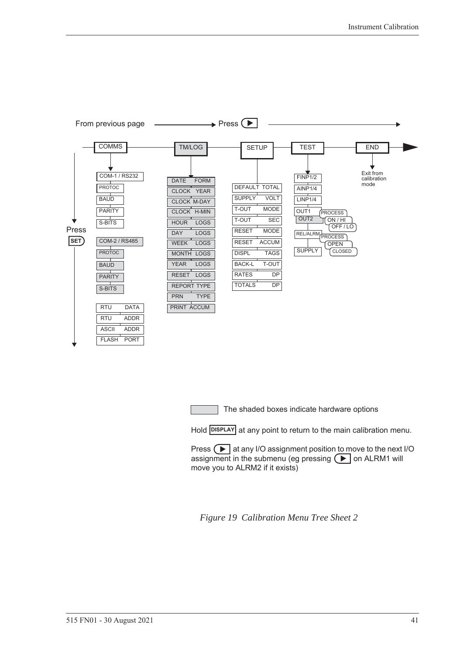

The shaded boxes indicate hardware options

Hold **DISPLAY** at any point to return to the main calibration menu.

Press  $\Box$  at any I/O assignment position to move to the next I/O assignment in the submenu (eg pressing  $\left( \blacktriangleright \right)$  on ALRM1 will move you to ALRM2 if it exists)

<span id="page-50-0"></span>*Figure 19 Calibration Menu Tree Sheet 2*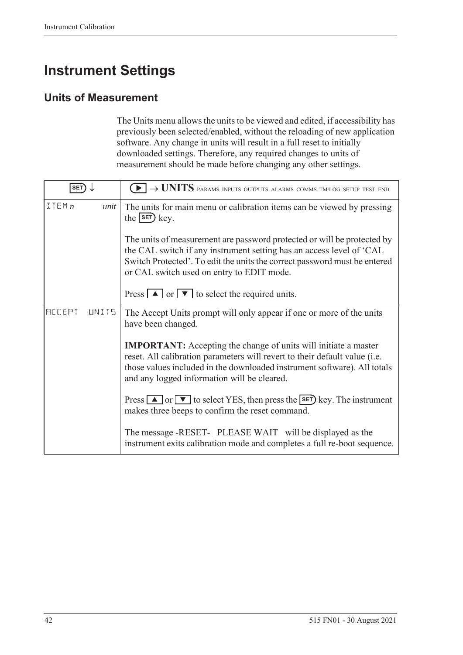# **Instrument Settings**

## **Units of Measurement**

The Units menu allows the units to be viewed and edited, if accessibility has previously been selected/enabled, without the reloading of new application software. Any change in units will result in a full reset to initially downloaded settings. Therefore, any required changes to units of measurement should be made before changing any other settings.

| <b>SET</b>              | $\blacktriangleright$ $\rightarrow$ UNITS params inputs outputs alarms comms tm/log setup test end                                                                                                                                                                              |  |
|-------------------------|---------------------------------------------------------------------------------------------------------------------------------------------------------------------------------------------------------------------------------------------------------------------------------|--|
| ITEMn<br>unit           | The units for main menu or calibration items can be viewed by pressing<br>the $s$ $F$ $k$ ey.                                                                                                                                                                                   |  |
|                         | The units of measurement are password protected or will be protected by<br>the CAL switch if any instrument setting has an access level of 'CAL<br>Switch Protected'. To edit the units the correct password must be entered<br>or CAL switch used on entry to EDIT mode.       |  |
|                         | Press $\boxed{\blacktriangle}$ or $\boxed{\blacktriangledown}$ to select the required units.                                                                                                                                                                                    |  |
| <b>ACCEPT</b><br>LINIT5 | The Accept Units prompt will only appear if one or more of the units<br>have been changed.                                                                                                                                                                                      |  |
|                         | <b>IMPORTANT:</b> Accepting the change of units will initiate a master<br>reset. All calibration parameters will revert to their default value (i.e.<br>those values included in the downloaded instrument software). All totals<br>and any logged information will be cleared. |  |
|                         | Press $\Box$ or $\nabla$ to select YES, then press the <b>SET</b> ) key. The instrument<br>makes three beeps to confirm the reset command.                                                                                                                                      |  |
|                         | The message -RESET- PLEASE WAIT will be displayed as the<br>instrument exits calibration mode and completes a full re-boot sequence.                                                                                                                                            |  |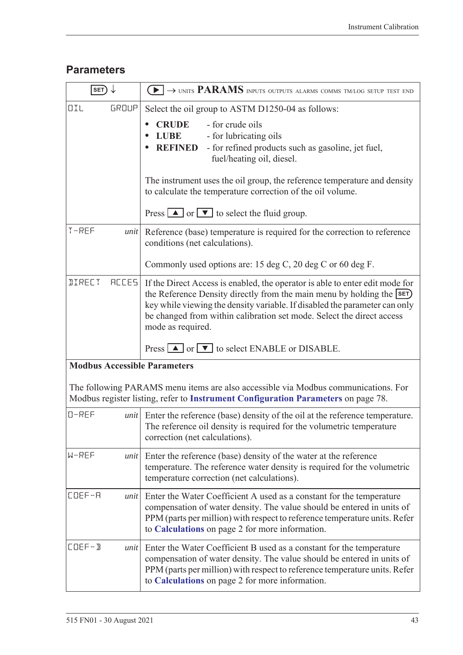# **Parameters**

| SET)                                | $\textcolor{blue}{\blacktriangleright} \rightarrow$ units PARAMS inputs outputs alarms comms tm/log setup test end                                                                                                                                                                                                                 |  |  |
|-------------------------------------|------------------------------------------------------------------------------------------------------------------------------------------------------------------------------------------------------------------------------------------------------------------------------------------------------------------------------------|--|--|
| OIL<br>GROUP                        | Select the oil group to ASTM D1250-04 as follows:<br><b>CRUDE</b><br>- for crude oils<br><b>LUBE</b><br>- for lubricating oils<br><b>REFINED</b><br>- for refined products such as gasoline, jet fuel,<br>fuel/heating oil, diesel.                                                                                                |  |  |
|                                     | The instrument uses the oil group, the reference temperature and density<br>to calculate the temperature correction of the oil volume.<br>Press $\boxed{\blacktriangle}$ or $\boxed{\blacktriangledown}$ to select the fluid group.                                                                                                |  |  |
| T-REF<br>unit                       | Reference (base) temperature is required for the correction to reference<br>conditions (net calculations).                                                                                                                                                                                                                         |  |  |
|                                     | Commonly used options are: 15 deg C, 20 deg C or 60 deg F.                                                                                                                                                                                                                                                                         |  |  |
| <b>IIRECT</b><br><b>ACCES</b>       | If the Direct Access is enabled, the operator is able to enter edit mode for<br>the Reference Density directly from the main menu by holding the [SET]<br>key while viewing the density variable. If disabled the parameter can only<br>be changed from within calibration set mode. Select the direct access<br>mode as required. |  |  |
|                                     | Press $\Box$ or $\nabla$ to select ENABLE or DISABLE.                                                                                                                                                                                                                                                                              |  |  |
| <b>Modbus Accessible Parameters</b> |                                                                                                                                                                                                                                                                                                                                    |  |  |
|                                     | The following PARAMS menu items are also accessible via Modbus communications. For<br>Modbus register listing, refer to Instrument Configuration Parameters on page 78.                                                                                                                                                            |  |  |
| $0 - REF$<br>unit                   | Enter the reference (base) density of the oil at the reference temperature.<br>The reference oil density is required for the volumetric temperature<br>correction (net calculations).                                                                                                                                              |  |  |
| W-REF<br>unit                       | Enter the reference (base) density of the water at the reference<br>temperature. The reference water density is required for the volumetric<br>temperature correction (net calculations).                                                                                                                                          |  |  |
| COEF-R<br>unit                      | Enter the Water Coefficient A used as a constant for the temperature<br>compensation of water density. The value should be entered in units of<br>PPM (parts per million) with respect to reference temperature units. Refer<br>to Calculations on page 2 for more information.                                                    |  |  |
| $CDEF - B$<br>unit                  | Enter the Water Coefficient B used as a constant for the temperature<br>compensation of water density. The value should be entered in units of<br>PPM (parts per million) with respect to reference temperature units. Refer<br>to Calculations on page 2 for more information.                                                    |  |  |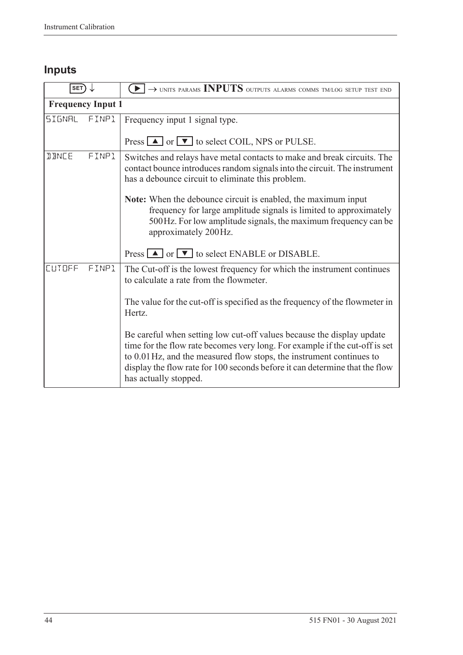# **Inputs**

| SET           |                          | $\rightarrow$ UNITS PARAMS INPUTS OUTPUTS ALARMS COMMS TM/LOG SETUP TEST END                                                                                                                                                                                                                                                         |  |  |
|---------------|--------------------------|--------------------------------------------------------------------------------------------------------------------------------------------------------------------------------------------------------------------------------------------------------------------------------------------------------------------------------------|--|--|
|               | <b>Frequency Input 1</b> |                                                                                                                                                                                                                                                                                                                                      |  |  |
| <b>SIGNAL</b> | FINP1                    | Frequency input 1 signal type.                                                                                                                                                                                                                                                                                                       |  |  |
|               |                          | Press $\boxed{\blacktriangle}$ or $\boxed{\blacktriangledown}$ to select COIL, NPS or PULSE.                                                                                                                                                                                                                                         |  |  |
| <b>IBNCE</b>  | FINP1                    | Switches and relays have metal contacts to make and break circuits. The<br>contact bounce introduces random signals into the circuit. The instrument<br>has a debounce circuit to eliminate this problem.                                                                                                                            |  |  |
|               |                          | <b>Note:</b> When the debounce circuit is enabled, the maximum input<br>frequency for large amplitude signals is limited to approximately<br>500 Hz. For low amplitude signals, the maximum frequency can be<br>approximately 200Hz.                                                                                                 |  |  |
|               |                          | Press $\Box$ or $\Box$ to select ENABLE or DISABLE.                                                                                                                                                                                                                                                                                  |  |  |
| CUTOFF        | FINP1                    | The Cut-off is the lowest frequency for which the instrument continues<br>to calculate a rate from the flowmeter.                                                                                                                                                                                                                    |  |  |
|               |                          | The value for the cut-off is specified as the frequency of the flowmeter in<br>Hertz.                                                                                                                                                                                                                                                |  |  |
|               |                          | Be careful when setting low cut-off values because the display update<br>time for the flow rate becomes very long. For example if the cut-off is set<br>to 0.01 Hz, and the measured flow stops, the instrument continues to<br>display the flow rate for 100 seconds before it can determine that the flow<br>has actually stopped. |  |  |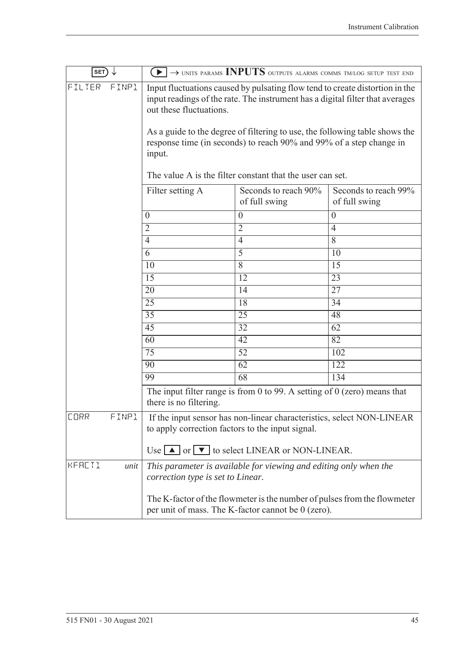| SET)        |       | $\leftarrow$ $\rightarrow$ units params INPUTS outputs alarms comms tm/log setup test end                                                                                                                                                                                                                                                                                                                             |                                                                                                                                |                                       |
|-------------|-------|-----------------------------------------------------------------------------------------------------------------------------------------------------------------------------------------------------------------------------------------------------------------------------------------------------------------------------------------------------------------------------------------------------------------------|--------------------------------------------------------------------------------------------------------------------------------|---------------------------------------|
| FILTER      | FINP1 | Input fluctuations caused by pulsating flow tend to create distortion in the<br>input readings of the rate. The instrument has a digital filter that averages<br>out these fluctuations.<br>As a guide to the degree of filtering to use, the following table shows the<br>response time (in seconds) to reach 90% and 99% of a step change in<br>input.<br>The value A is the filter constant that the user can set. |                                                                                                                                |                                       |
|             |       | Filter setting A                                                                                                                                                                                                                                                                                                                                                                                                      | Seconds to reach 90%<br>of full swing                                                                                          | Seconds to reach 99%<br>of full swing |
|             |       | $\overline{0}$                                                                                                                                                                                                                                                                                                                                                                                                        | $\boldsymbol{0}$                                                                                                               | $\boldsymbol{0}$                      |
|             |       | $\overline{2}$                                                                                                                                                                                                                                                                                                                                                                                                        | $\overline{2}$                                                                                                                 | $\overline{4}$                        |
|             |       | $\overline{4}$                                                                                                                                                                                                                                                                                                                                                                                                        | $\overline{4}$                                                                                                                 | $\overline{8}$                        |
|             |       | 6                                                                                                                                                                                                                                                                                                                                                                                                                     | $\overline{5}$                                                                                                                 | 10                                    |
|             |       | 10                                                                                                                                                                                                                                                                                                                                                                                                                    | $\overline{8}$                                                                                                                 | 15                                    |
|             |       | 15                                                                                                                                                                                                                                                                                                                                                                                                                    | $\overline{12}$                                                                                                                | 23                                    |
|             |       | 20                                                                                                                                                                                                                                                                                                                                                                                                                    | 14                                                                                                                             | 27                                    |
|             |       | $\overline{25}$                                                                                                                                                                                                                                                                                                                                                                                                       | $\overline{18}$                                                                                                                | 34                                    |
|             |       | $\overline{35}$                                                                                                                                                                                                                                                                                                                                                                                                       | $\overline{25}$                                                                                                                | 48                                    |
|             |       | 45                                                                                                                                                                                                                                                                                                                                                                                                                    | 32                                                                                                                             | 62                                    |
|             |       | $\overline{60}$                                                                                                                                                                                                                                                                                                                                                                                                       | $\overline{42}$                                                                                                                | 82                                    |
|             |       | $\overline{75}$                                                                                                                                                                                                                                                                                                                                                                                                       | $\overline{52}$                                                                                                                | 102                                   |
|             |       | 90                                                                                                                                                                                                                                                                                                                                                                                                                    | 62                                                                                                                             | 122                                   |
|             |       | 99                                                                                                                                                                                                                                                                                                                                                                                                                    | $\overline{68}$                                                                                                                | 134                                   |
|             |       | there is no filtering.                                                                                                                                                                                                                                                                                                                                                                                                | The input filter range is from 0 to 99. A setting of $0$ (zero) means that                                                     |                                       |
| <b>CORR</b> | FINP1 | If the input sensor has non-linear characteristics, select NON-LINEAR<br>to apply correction factors to the input signal.<br>Use $\Box$ or $\nabla$ to select LINEAR or NON-LINEAR.                                                                                                                                                                                                                                   |                                                                                                                                |                                       |
| KFACT1      | unit  | This parameter is available for viewing and editing only when the<br>correction type is set to Linear.                                                                                                                                                                                                                                                                                                                |                                                                                                                                |                                       |
|             |       |                                                                                                                                                                                                                                                                                                                                                                                                                       | The K-factor of the flowmeter is the number of pulses from the flowmeter<br>per unit of mass. The K-factor cannot be 0 (zero). |                                       |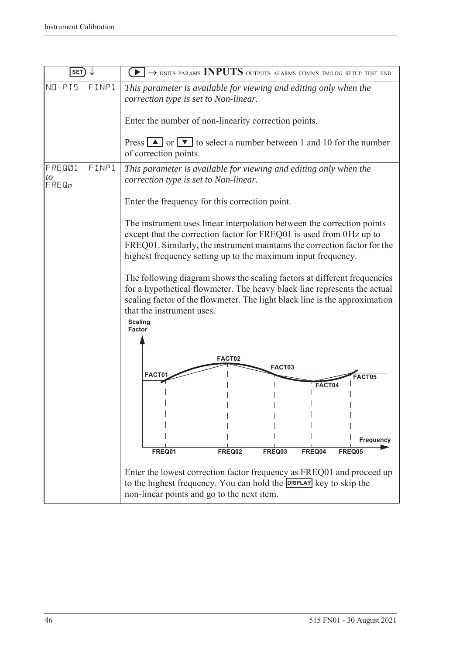| <b>SET</b>                                     | $\rightarrow$ units params INPUTS outputs alarms comms tm/log setup test end                                                                                                                                                                                                                       |
|------------------------------------------------|----------------------------------------------------------------------------------------------------------------------------------------------------------------------------------------------------------------------------------------------------------------------------------------------------|
| NO-PIS<br>FINP1                                | This parameter is available for viewing and editing only when the<br>correction type is set to Non-linear.                                                                                                                                                                                         |
|                                                | Enter the number of non-linearity correction points.                                                                                                                                                                                                                                               |
|                                                | Press $\boxed{\blacktriangle}$ or $\boxed{\blacktriangledown}$ to select a number between 1 and 10 for the number<br>of correction points.                                                                                                                                                         |
| FRED01<br>FINP1<br>to<br>$F$ RE $\mathbb{G}_n$ | This parameter is available for viewing and editing only when the<br>correction type is set to Non-linear.                                                                                                                                                                                         |
|                                                | Enter the frequency for this correction point.                                                                                                                                                                                                                                                     |
|                                                | The instrument uses linear interpolation between the correction points<br>except that the correction factor for FREQ01 is used from 0Hz up to<br>FREQ01. Similarly, the instrument maintains the correction factor for the<br>highest frequency setting up to the maximum input frequency.         |
|                                                | The following diagram shows the scaling factors at different frequencies<br>for a hypothetical flowmeter. The heavy black line represents the actual<br>scaling factor of the flowmeter. The light black line is the approximation<br>that the instrument uses.<br><b>Scaling</b><br><b>Factor</b> |
|                                                | <b>FACT02</b>                                                                                                                                                                                                                                                                                      |
|                                                | FACT03<br><b>FACT0</b><br><b>FACT05</b>                                                                                                                                                                                                                                                            |
|                                                | FACT04                                                                                                                                                                                                                                                                                             |
|                                                |                                                                                                                                                                                                                                                                                                    |
|                                                | <b>Frequency</b>                                                                                                                                                                                                                                                                                   |
|                                                | FREQ02<br>FREQ04<br>FREQ01<br>FREQ03<br>FREQ05                                                                                                                                                                                                                                                     |
|                                                | Enter the lowest correction factor frequency as FREQ01 and proceed up<br>to the highest frequency. You can hold the <b>DISPLAY</b> key to skip the<br>non-linear points and go to the next item.                                                                                                   |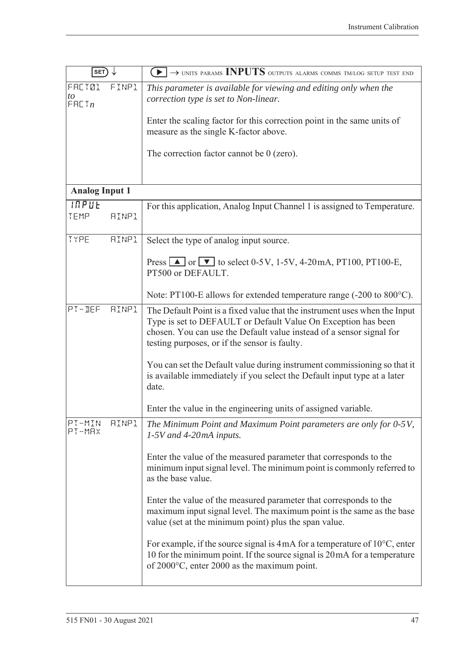| SET)                                 | $\rightarrow$ UNITS PARAMS INPUTS OUTPUTS ALARMS COMMS TM/LOG SETUP TEST END                                                                                                                                                                                         |
|--------------------------------------|----------------------------------------------------------------------------------------------------------------------------------------------------------------------------------------------------------------------------------------------------------------------|
| FACT01<br>FINP1<br>to<br>F H L T n   | This parameter is available for viewing and editing only when the<br>correction type is set to Non-linear.                                                                                                                                                           |
|                                      | Enter the scaling factor for this correction point in the same units of<br>measure as the single K-factor above.                                                                                                                                                     |
|                                      | The correction factor cannot be $0$ (zero).                                                                                                                                                                                                                          |
| <b>Analog Input 1</b>                |                                                                                                                                                                                                                                                                      |
| <b>INPUE</b><br>TEMP<br><b>AINP1</b> | For this application, Analog Input Channel 1 is assigned to Temperature.                                                                                                                                                                                             |
| <b>AINP1</b><br>TYPE                 | Select the type of analog input source.                                                                                                                                                                                                                              |
|                                      | Press $\Box$ or $\nabla$ to select 0-5V, 1-5V, 4-20mA, PT100, PT100-E,<br>PT500 or DEFAULT.                                                                                                                                                                          |
|                                      | Note: PT100-E allows for extended temperature range (-200 to 800 °C).                                                                                                                                                                                                |
| PT-DEF<br><b>AINP1</b>               | The Default Point is a fixed value that the instrument uses when the Input<br>Type is set to DEFAULT or Default Value On Exception has been<br>chosen. You can use the Default value instead of a sensor signal for<br>testing purposes, or if the sensor is faulty. |
|                                      | You can set the Default value during instrument commissioning so that it<br>is available immediately if you select the Default input type at a later<br>date.                                                                                                        |
|                                      | Enter the value in the engineering units of assigned variable.                                                                                                                                                                                                       |
| <b>AINP1</b><br>PT-MIN<br>PT-MRX     | The Minimum Point and Maximum Point parameters are only for 0-5V,<br>$1-5V$ and 4-20mA inputs.                                                                                                                                                                       |
|                                      | Enter the value of the measured parameter that corresponds to the<br>minimum input signal level. The minimum point is commonly referred to<br>as the base value.                                                                                                     |
|                                      | Enter the value of the measured parameter that corresponds to the<br>maximum input signal level. The maximum point is the same as the base<br>value (set at the minimum point) plus the span value.                                                                  |
|                                      | For example, if the source signal is $4mA$ for a temperature of $10^{\circ}$ C, enter<br>10 for the minimum point. If the source signal is 20 mA for a temperature<br>of $2000^{\circ}$ C, enter 2000 as the maximum point.                                          |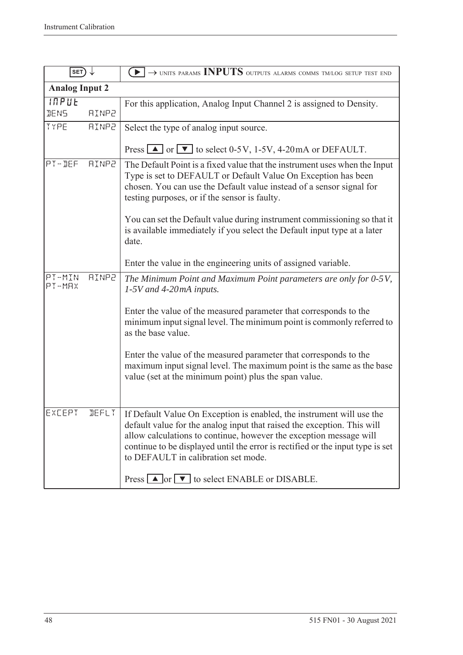| <b>SET</b>                  |                       | $\rightarrow$ UNITS PARAMS INPUTS OUTPUTS ALARMS COMMS TM/LOG SETUP TEST END                                                                                                                                                                                                                                                                    |  |
|-----------------------------|-----------------------|-------------------------------------------------------------------------------------------------------------------------------------------------------------------------------------------------------------------------------------------------------------------------------------------------------------------------------------------------|--|
|                             | <b>Analog Input 2</b> |                                                                                                                                                                                                                                                                                                                                                 |  |
| <b>INPUE</b><br><b>JENS</b> | <b>AINP2</b>          | For this application, Analog Input Channel 2 is assigned to Density.                                                                                                                                                                                                                                                                            |  |
| TYPE                        | <b>AINP2</b>          | Select the type of analog input source.                                                                                                                                                                                                                                                                                                         |  |
|                             |                       | Press $\Delta$ or $\nabla$ to select 0-5V, 1-5V, 4-20mA or DEFAULT.                                                                                                                                                                                                                                                                             |  |
| PT-DEF                      | <b>AINP2</b>          | The Default Point is a fixed value that the instrument uses when the Input<br>Type is set to DEFAULT or Default Value On Exception has been<br>chosen. You can use the Default value instead of a sensor signal for<br>testing purposes, or if the sensor is faulty.                                                                            |  |
|                             |                       | You can set the Default value during instrument commissioning so that it<br>is available immediately if you select the Default input type at a later<br>date.                                                                                                                                                                                   |  |
|                             |                       | Enter the value in the engineering units of assigned variable.                                                                                                                                                                                                                                                                                  |  |
| PT-MIN<br>PT-MAX            | <b>AINP2</b>          | The Minimum Point and Maximum Point parameters are only for 0-5V,<br>$1-5V$ and 4-20mA inputs.                                                                                                                                                                                                                                                  |  |
|                             |                       | Enter the value of the measured parameter that corresponds to the<br>minimum input signal level. The minimum point is commonly referred to<br>as the base value.                                                                                                                                                                                |  |
|                             |                       | Enter the value of the measured parameter that corresponds to the<br>maximum input signal level. The maximum point is the same as the base<br>value (set at the minimum point) plus the span value.                                                                                                                                             |  |
| EXCEPT                      | <b>JEFLT</b>          | If Default Value On Exception is enabled, the instrument will use the<br>default value for the analog input that raised the exception. This will<br>allow calculations to continue, however the exception message will<br>continue to be displayed until the error is rectified or the input type is set<br>to DEFAULT in calibration set mode. |  |
|                             |                       | Press $\Box$ or $\nabla$ to select ENABLE or DISABLE.                                                                                                                                                                                                                                                                                           |  |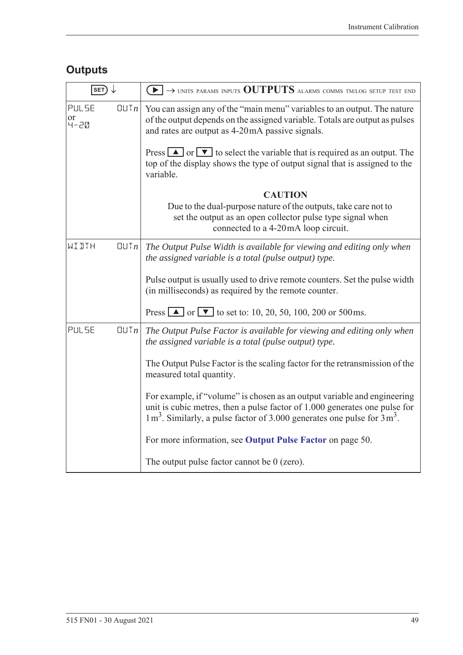# **Outputs**

| $ $ SET $)\downarrow$ |                | $\left(\blacktriangleright\right)\rightarrow$ units params inputs $\text{OUTPUTS}$ alarms comms tm/log setup test end                                                                                                                  |
|-----------------------|----------------|----------------------------------------------------------------------------------------------------------------------------------------------------------------------------------------------------------------------------------------|
| PULSE<br>or<br>4-20   | [[]]           | You can assign any of the "main menu" variables to an output. The nature<br>of the output depends on the assigned variable. Totals are output as pulses<br>and rates are output as 4-20mA passive signals.                             |
|                       |                | Press $\Delta$ or $\nabla$ to select the variable that is required as an output. The<br>top of the display shows the type of output signal that is assigned to the<br>variable.                                                        |
|                       |                | <b>CAUTION</b>                                                                                                                                                                                                                         |
|                       |                | Due to the dual-purpose nature of the outputs, take care not to<br>set the output as an open collector pulse type signal when<br>connected to a 4-20mA loop circuit.                                                                   |
| WIDTH                 | $\Box \Box Tn$ | The Output Pulse Width is available for viewing and editing only when<br>the assigned variable is a total (pulse output) type.                                                                                                         |
|                       |                | Pulse output is usually used to drive remote counters. Set the pulse width<br>(in milliseconds) as required by the remote counter.                                                                                                     |
|                       |                | Press $\blacksquare$ or $\blacksquare$ to set to: 10, 20, 50, 100, 200 or 500 ms.                                                                                                                                                      |
| PULSE                 | QUTn           | The Output Pulse Factor is available for viewing and editing only when<br>the assigned variable is a total (pulse output) type.                                                                                                        |
|                       |                | The Output Pulse Factor is the scaling factor for the retransmission of the<br>measured total quantity.                                                                                                                                |
|                       |                | For example, if "volume" is chosen as an output variable and engineering<br>unit is cubic metres, then a pulse factor of 1.000 generates one pulse for<br>$1 m3$ . Similarly, a pulse factor of 3.000 generates one pulse for $3 m3$ . |
|                       |                | For more information, see Output Pulse Factor on page 50.                                                                                                                                                                              |
|                       |                | The output pulse factor cannot be $0$ (zero).                                                                                                                                                                                          |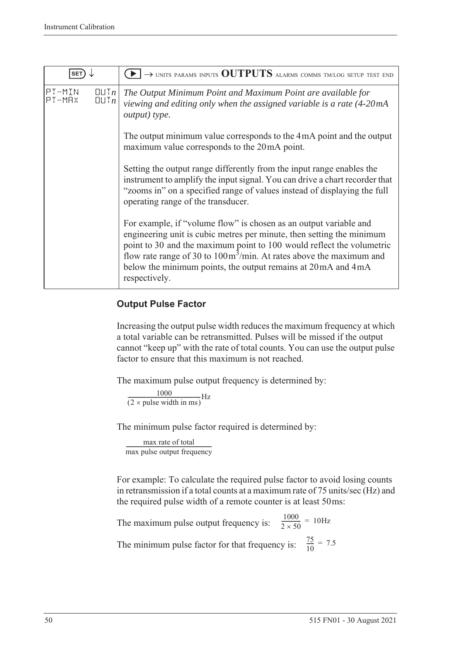| <b>SET</b>       |                                   | $\rightarrow$ units params inputs OUTPUTS alarms comms tm/log setup test end                                                                                                                                                                                                                                                                                                                    |
|------------------|-----------------------------------|-------------------------------------------------------------------------------------------------------------------------------------------------------------------------------------------------------------------------------------------------------------------------------------------------------------------------------------------------------------------------------------------------|
| PT-MIN<br>PT-MAX | $[[] \cup [n]$<br>$[[] \cup T_n]$ | The Output Minimum Point and Maximum Point are available for<br>viewing and editing only when the assigned variable is a rate (4-20mA<br>output) type.                                                                                                                                                                                                                                          |
|                  |                                   | The output minimum value corresponds to the 4mA point and the output<br>maximum value corresponds to the 20mA point.                                                                                                                                                                                                                                                                            |
|                  |                                   | Setting the output range differently from the input range enables the<br>instrument to amplify the input signal. You can drive a chart recorder that<br>"zooms in" on a specified range of values instead of displaying the full<br>operating range of the transducer.                                                                                                                          |
|                  |                                   | For example, if "volume flow" is chosen as an output variable and<br>engineering unit is cubic metres per minute, then setting the minimum<br>point to 30 and the maximum point to 100 would reflect the volumetric<br>flow rate range of 30 to $100 \text{m}^3/\text{min}$ . At rates above the maximum and<br>below the minimum points, the output remains at 20 mA and 4 mA<br>respectively. |

#### <span id="page-59-0"></span>**Output Pulse Factor**

Increasing the output pulse width reduces the maximum frequency at which a total variable can be retransmitted. Pulses will be missed if the output cannot "keep up" with the rate of total counts. You can use the output pulse factor to ensure that this maximum is not reached.

The maximum pulse output frequency is determined by:

 $\frac{1000}{(2 \times \text{pulse width in ms})} \text{Hz}$ 

The minimum pulse factor required is determined by:

max rate of total max rate of total<br>max pulse output frequency

For example: To calculate the required pulse factor to avoid losing counts in retransmission if a total counts at a maximum rate of 75 units/sec (Hz) and the required pulse width of a remote counter is at least 50ms:

The maximum pulse output frequency is:  $\frac{1000}{2 \times 50}$  = 10Hz The minimum pulse factor for that frequency is:  $\frac{75}{10}$  $\frac{75}{10}$  = 7.5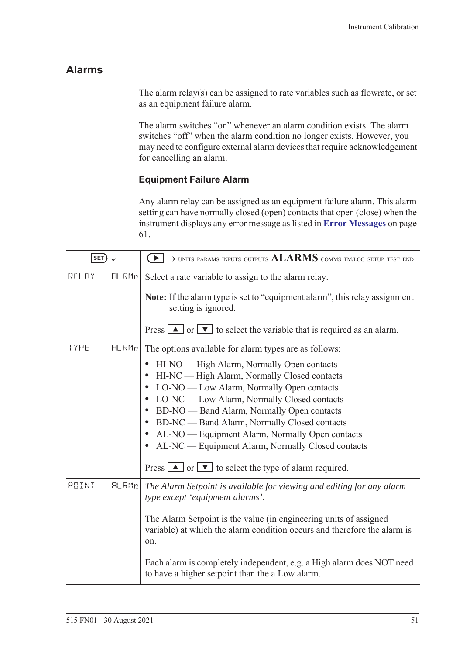## **Alarms**

The alarm relay(s) can be assigned to rate variables such as flowrate, or set as an equipment failure alarm.

The alarm switches "on" whenever an alarm condition exists. The alarm switches "off" when the alarm condition no longer exists. However, you may need to configure external alarm devices that require acknowledgement for cancelling an alarm.

#### **Equipment Failure Alarm**

Any alarm relay can be assigned as an equipment failure alarm. This alarm setting can have normally closed (open) contacts that open (close) when the instrument displays any error message as listed in **[Error Messages](#page-70-0)** on page [61.](#page-70-0)

| SET)  |       | $\rightarrow$ units params inputs outputs $ALARNING$ comms tm/log setup test end                                                                                                                                                                                                                                                                                                                                                                                                                                                                                                                                                            |
|-------|-------|---------------------------------------------------------------------------------------------------------------------------------------------------------------------------------------------------------------------------------------------------------------------------------------------------------------------------------------------------------------------------------------------------------------------------------------------------------------------------------------------------------------------------------------------------------------------------------------------------------------------------------------------|
| RELAY | HLRMn | Select a rate variable to assign to the alarm relay.<br>Note: If the alarm type is set to "equipment alarm", this relay assignment<br>setting is ignored.<br>Press $\boxed{\blacktriangle}$ or $\boxed{\blacktriangledown}$ to select the variable that is required as an alarm.                                                                                                                                                                                                                                                                                                                                                            |
| TYPE  | HLRMn | The options available for alarm types are as follows:<br>HI-NO — High Alarm, Normally Open contacts<br>$\bullet$<br>HI-NC — High Alarm, Normally Closed contacts<br>LO-NO — Low Alarm, Normally Open contacts<br>$\bullet$<br>LO-NC — Low Alarm, Normally Closed contacts<br>$\bullet$<br>BD-NO — Band Alarm, Normally Open contacts<br>$\bullet$<br>BD-NC — Band Alarm, Normally Closed contacts<br>$\bullet$<br>AL-NO — Equipment Alarm, Normally Open contacts<br>$\bullet$<br>AL-NC — Equipment Alarm, Normally Closed contacts<br>Press $\boxed{\blacktriangle}$ or $\boxed{\blacktriangledown}$ to select the type of alarm required. |
| POINT | HLRMn | The Alarm Setpoint is available for viewing and editing for any alarm<br>type except 'equipment alarms'.<br>The Alarm Setpoint is the value (in engineering units of assigned<br>variable) at which the alarm condition occurs and therefore the alarm is<br>on.<br>Each alarm is completely independent, e.g. a High alarm does NOT need<br>to have a higher setpoint than the a Low alarm.                                                                                                                                                                                                                                                |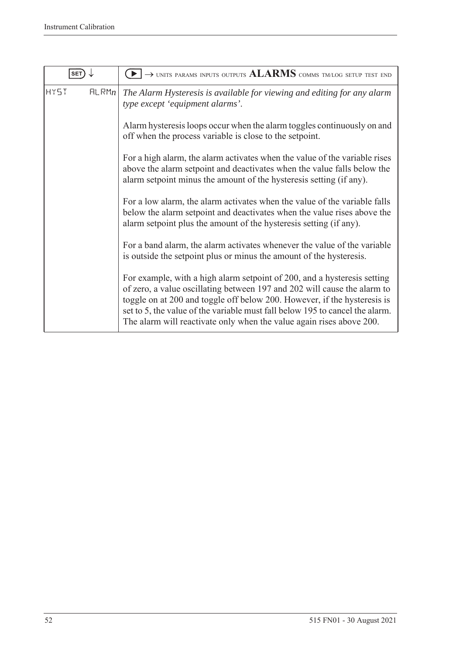| SET                  | $\rightarrow$ units params inputs outputs $ALARMS$ comms tm/log setup test end                                                                                                                                                                                                                                                                                                           |
|----------------------|------------------------------------------------------------------------------------------------------------------------------------------------------------------------------------------------------------------------------------------------------------------------------------------------------------------------------------------------------------------------------------------|
| <b>HY5T</b><br>FLRMn | The Alarm Hysteresis is available for viewing and editing for any alarm<br>type except 'equipment alarms'.                                                                                                                                                                                                                                                                               |
|                      | Alarm hysteresis loops occur when the alarm toggles continuously on and<br>off when the process variable is close to the setpoint.                                                                                                                                                                                                                                                       |
|                      | For a high alarm, the alarm activates when the value of the variable rises<br>above the alarm setpoint and deactivates when the value falls below the<br>alarm setpoint minus the amount of the hysteresis setting (if any).                                                                                                                                                             |
|                      | For a low alarm, the alarm activates when the value of the variable falls<br>below the alarm setpoint and deactivates when the value rises above the<br>alarm setpoint plus the amount of the hysteresis setting (if any).                                                                                                                                                               |
|                      | For a band alarm, the alarm activates whenever the value of the variable<br>is outside the setpoint plus or minus the amount of the hysteresis.                                                                                                                                                                                                                                          |
|                      | For example, with a high alarm setpoint of 200, and a hysteresis setting<br>of zero, a value oscillating between 197 and 202 will cause the alarm to<br>toggle on at 200 and toggle off below 200. However, if the hysteresis is<br>set to 5, the value of the variable must fall below 195 to cancel the alarm.<br>The alarm will reactivate only when the value again rises above 200. |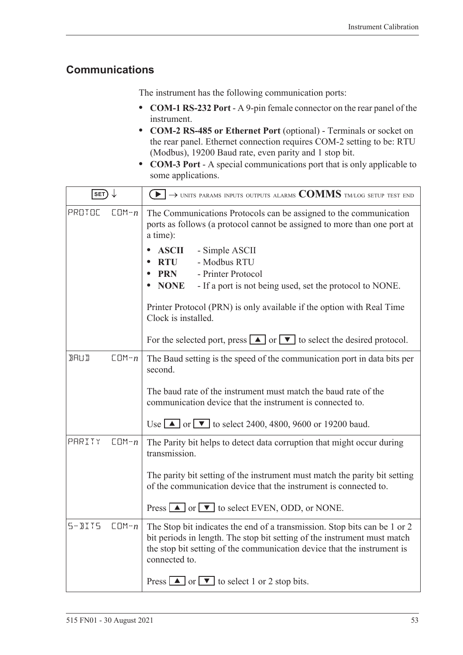## **Communications**

The instrument has the following communication ports:

- **• COM-1 RS-232 Port** A 9-pin female connector on the rear panel of the instrument.
- **• COM-2 RS-485 or Ethernet Port** (optional) Terminals or socket on the rear panel. Ethernet connection requires COM-2 setting to be: RTU (Modbus), 19200 Baud rate, even parity and 1 stop bit.
- **• COM-3 Port** A special communications port that is only applicable to some applications.

| SET)        |           | $\textcolor{blue}{\blacktriangleright} \rightarrow$ units params inputs outputs alarms $\textcolor{blue}{\mathbf{COMMS}}$ tmlog setup test end                                                                                                    |
|-------------|-----------|---------------------------------------------------------------------------------------------------------------------------------------------------------------------------------------------------------------------------------------------------|
| PROTOC      | $CDM - n$ | The Communications Protocols can be assigned to the communication<br>ports as follows (a protocol cannot be assigned to more than one port at<br>a time):                                                                                         |
|             |           | <b>ASCII</b><br>- Simple ASCII<br>- Modbus RTU<br><b>RTU</b>                                                                                                                                                                                      |
|             |           | - Printer Protocol<br><b>PRN</b>                                                                                                                                                                                                                  |
|             |           | <b>NONE</b><br>- If a port is not being used, set the protocol to NONE.                                                                                                                                                                           |
|             |           | Printer Protocol (PRN) is only available if the option with Real Time<br>Clock is installed.                                                                                                                                                      |
|             |           | For the selected port, press $\boxed{\blacktriangle}$ or $\boxed{\blacktriangledown}$ to select the desired protocol.                                                                                                                             |
| <b>BRUD</b> | $CDM - n$ | The Baud setting is the speed of the communication port in data bits per<br>second.                                                                                                                                                               |
|             |           | The baud rate of the instrument must match the baud rate of the<br>communication device that the instrument is connected to.                                                                                                                      |
|             |           | Use $\blacksquare$ or $\blacksquare$ to select 2400, 4800, 9600 or 19200 baud.                                                                                                                                                                    |
| PARITY      | $CDM - n$ | The Parity bit helps to detect data corruption that might occur during<br>transmission.                                                                                                                                                           |
|             |           | The parity bit setting of the instrument must match the parity bit setting<br>of the communication device that the instrument is connected to.                                                                                                    |
|             |           | Press $\Box$ or $\nabla$ to select EVEN, ODD, or NONE.                                                                                                                                                                                            |
| $5 - B115$  | $CDM - n$ | The Stop bit indicates the end of a transmission. Stop bits can be 1 or 2<br>bit periods in length. The stop bit setting of the instrument must match<br>the stop bit setting of the communication device that the instrument is<br>connected to. |
|             |           | Press $\boxed{\blacktriangle}$ or $\boxed{\blacktriangledown}$ to select 1 or 2 stop bits.                                                                                                                                                        |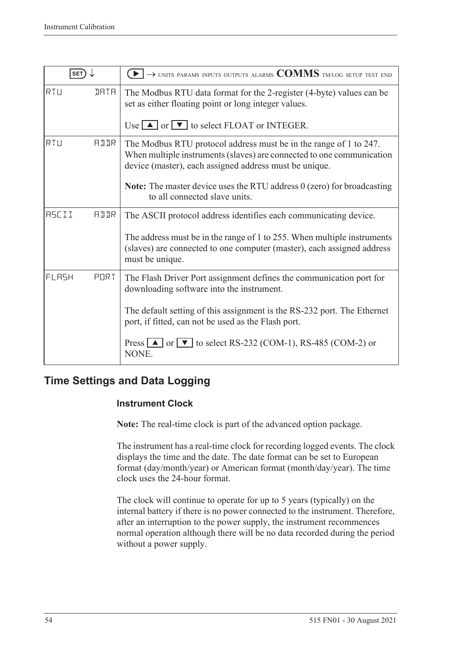| SET)         |             | $\rightarrow$ units params inputs outputs alarms $\text{COMMS}$ tm/log setup test end                                                                                                                |
|--------------|-------------|------------------------------------------------------------------------------------------------------------------------------------------------------------------------------------------------------|
| RTU          | <b>IRTR</b> | The Modbus RTU data format for the 2-register (4-byte) values can be<br>set as either floating point or long integer values.                                                                         |
|              |             | Use $\Box$ or $\nabla$ to select FLOAT or INTEGER.                                                                                                                                                   |
| RTU          | <b>ATTR</b> | The Modbus RTU protocol address must be in the range of 1 to 247.<br>When multiple instruments (slaves) are connected to one communication<br>device (master), each assigned address must be unique. |
|              |             | <b>Note:</b> The master device uses the RTU address $0$ (zero) for broadcasting<br>to all connected slave units.                                                                                     |
| <b>RSCII</b> | AIIR        | The ASCII protocol address identifies each communicating device.                                                                                                                                     |
|              |             | The address must be in the range of 1 to 255. When multiple instruments<br>(slaves) are connected to one computer (master), each assigned address<br>must be unique.                                 |
| FLASH        | PORT        | The Flash Driver Port assignment defines the communication port for<br>downloading software into the instrument.                                                                                     |
|              |             | The default setting of this assignment is the RS-232 port. The Ethernet<br>port, if fitted, can not be used as the Flash port.                                                                       |
|              |             | Press $\Box$ or $\nabla$ to select RS-232 (COM-1), RS-485 (COM-2) or<br>NONE.                                                                                                                        |

## **Time Settings and Data Logging**

#### **Instrument Clock**

**Note:** The real-time clock is part of the advanced option package.

The instrument has a real-time clock for recording logged events. The clock displays the time and the date. The date format can be set to European format (day/month/year) or American format (month/day/year). The time clock uses the 24-hour format.

The clock will continue to operate for up to 5 years (typically) on the internal battery if there is no power connected to the instrument. Therefore, after an interruption to the power supply, the instrument recommences normal operation although there will be no data recorded during the period without a power supply.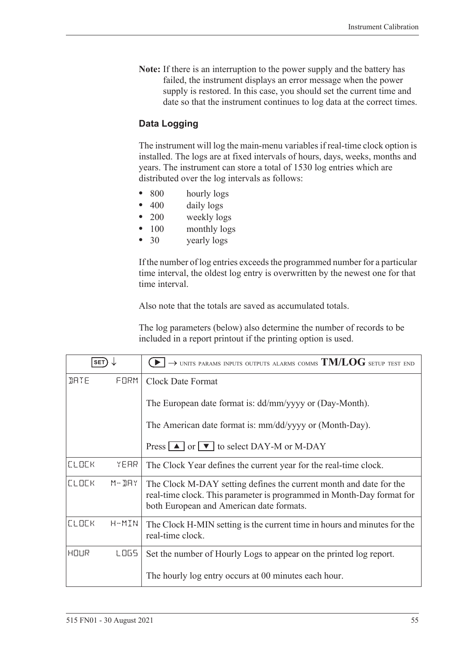**Note:** If there is an interruption to the power supply and the battery has failed, the instrument displays an error message when the power supply is restored. In this case, you should set the current time and date so that the instrument continues to log data at the correct times.

#### **Data Logging**

The instrument will log the main-menu variables if real-time clock option is installed. The logs are at fixed intervals of hours, days, weeks, months and years. The instrument can store a total of 1530 log entries which are distributed over the log intervals as follows:

- 800 hourly logs
- 400 daily logs
- **•** 200 weekly logs
- 100 monthly logs
- **•** 30 yearly logs

If the number of log entries exceeds the programmed number for a particular time interval, the oldest log entry is overwritten by the newest one for that time interval.

Also note that the totals are saved as accumulated totals.

The log parameters (below) also determine the number of records to be included in a report printout if the printing option is used.

| <b>SET</b>   |           | $\rightarrow$ units params inputs outputs alarms comms $TM/LOG$ setup test end                                                                                                          |
|--------------|-----------|-----------------------------------------------------------------------------------------------------------------------------------------------------------------------------------------|
| <b>IRTE</b>  | FORM      | Clock Date Format                                                                                                                                                                       |
|              |           | The European date format is: dd/mm/yyyy or (Day-Month).                                                                                                                                 |
|              |           | The American date format is: mm/dd/yyyy or (Month-Day).                                                                                                                                 |
|              |           | Press $\boxed{\blacktriangle}$ or $\boxed{\blacktriangledown}$ to select DAY-M or M-DAY                                                                                                 |
| <b>CLOCK</b> | YEAR      | The Clock Year defines the current year for the real-time clock.                                                                                                                        |
| <b>CLOCK</b> | $M - JHY$ | The Clock M-DAY setting defines the current month and date for the<br>real-time clock. This parameter is programmed in Month-Day format for<br>both European and American date formats. |
| <b>CLOCK</b> | H-MIN     | The Clock H-MIN setting is the current time in hours and minutes for the<br>real-time clock.                                                                                            |
| HOUR         | LOGS.     | Set the number of Hourly Logs to appear on the printed log report.                                                                                                                      |
|              |           | The hourly log entry occurs at 00 minutes each hour.                                                                                                                                    |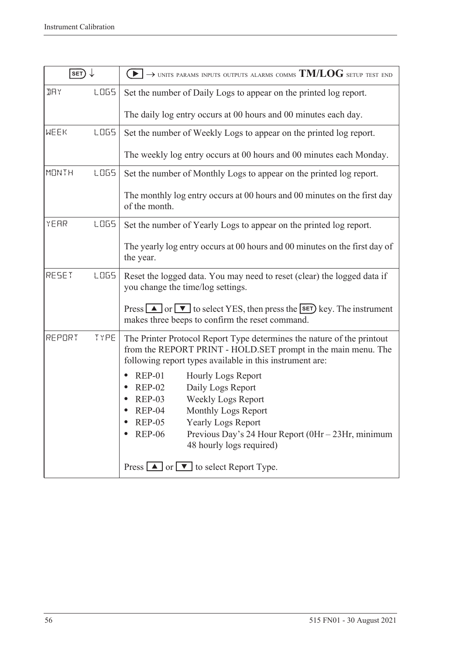| SET)        |             | $\rightarrow$ units params inputs outputs alarms comms $\mathrm{TM/LOG}$ setup test end                                                                                                                                                                                                                                 |
|-------------|-------------|-------------------------------------------------------------------------------------------------------------------------------------------------------------------------------------------------------------------------------------------------------------------------------------------------------------------------|
| <b>JAY</b>  | <b>LOGS</b> | Set the number of Daily Logs to appear on the printed log report.                                                                                                                                                                                                                                                       |
|             |             | The daily log entry occurs at 00 hours and 00 minutes each day.                                                                                                                                                                                                                                                         |
| <b>WEEK</b> | <b>LOGS</b> | Set the number of Weekly Logs to appear on the printed log report.                                                                                                                                                                                                                                                      |
|             |             | The weekly log entry occurs at 00 hours and 00 minutes each Monday.                                                                                                                                                                                                                                                     |
| MONTH       | LO65        | Set the number of Monthly Logs to appear on the printed log report.                                                                                                                                                                                                                                                     |
|             |             | The monthly log entry occurs at 00 hours and 00 minutes on the first day<br>of the month.                                                                                                                                                                                                                               |
| YEAR        | <b>LOGS</b> | Set the number of Yearly Logs to appear on the printed log report.                                                                                                                                                                                                                                                      |
|             |             | The yearly log entry occurs at 00 hours and 00 minutes on the first day of<br>the year.                                                                                                                                                                                                                                 |
| RESET       | <b>LOGS</b> | Reset the logged data. You may need to reset (clear) the logged data if<br>you change the time/log settings.                                                                                                                                                                                                            |
|             |             | Press $\Box$ or $\nabla$ to select YES, then press the <b>SET</b> ) key. The instrument<br>makes three beeps to confirm the reset command.                                                                                                                                                                              |
| REPORT      | TYPE        | The Printer Protocol Report Type determines the nature of the printout<br>from the REPORT PRINT - HOLD.SET prompt in the main menu. The<br>following report types available in this instrument are:                                                                                                                     |
|             |             | <b>REP-01</b><br><b>Hourly Logs Report</b><br>Daily Logs Report<br><b>REP-02</b><br><b>REP-03</b><br><b>Weekly Logs Report</b><br><b>REP-04</b><br>Monthly Logs Report<br><b>REP-05</b><br><b>Yearly Logs Report</b><br><b>REP-06</b><br>Previous Day's 24 Hour Report (0Hr - 23Hr, minimum<br>48 hourly logs required) |
|             |             | Press $\boxed{\blacktriangle}$ or $\boxed{\blacktriangledown}$ to select Report Type.                                                                                                                                                                                                                                   |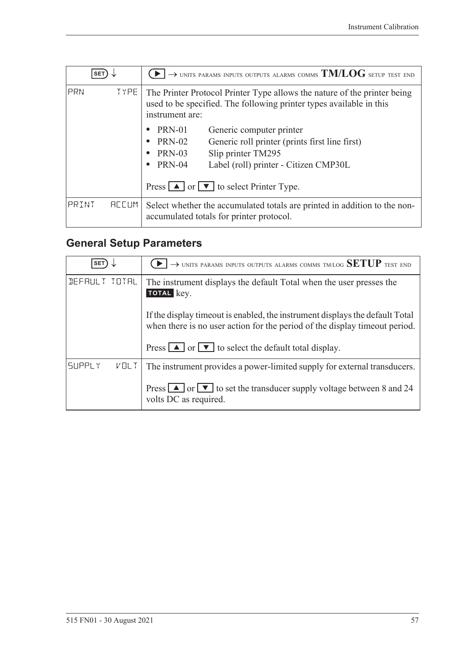| <b>SET</b> |                   | $\rightarrow$ units params inputs outputs alarms comms $\mathrm{TM/LOG}$ setup test end                                                                            |
|------------|-------------------|--------------------------------------------------------------------------------------------------------------------------------------------------------------------|
| PRN        | TYPE <sup>1</sup> | The Printer Protocol Printer Type allows the nature of the printer being<br>used to be specified. The following printer types available in this<br>instrument are: |
|            |                   | <b>PRN-01</b><br>Generic computer printer                                                                                                                          |
|            |                   | <b>PRN-02</b><br>Generic roll printer (prints first line first)                                                                                                    |
|            |                   | Slip printer TM295<br><b>PRN-03</b><br>$\bullet$                                                                                                                   |
|            |                   | <b>PRN-04</b><br>Label (roll) printer - Citizen CMP30L<br>٠                                                                                                        |
|            |                   | Press $\boxed{\blacktriangle}$ or $\boxed{\blacktriangledown}$ to select Printer Type.                                                                             |
| PRINT      | <b>REEUM</b>      | Select whether the accumulated totals are printed in addition to the non-<br>accumulated totals for printer protocol.                                              |

# <span id="page-66-0"></span>**General Setup Parameters**

| <b>SET</b>                   | $\rightarrow$ UNITS PARAMS INPUTS OUTPUTS ALARMS COMMS TM/LOG SETUP TEST END                                                                                 |
|------------------------------|--------------------------------------------------------------------------------------------------------------------------------------------------------------|
| DEFAULT TOTAL                | The instrument displays the default Total when the user presses the<br>TOTAL key.                                                                            |
|                              | If the display time out is enabled, the instrument displays the default Total<br>when there is no user action for the period of the display time out period. |
|                              | Press $\Box$ or $\Box$ to select the default total display.                                                                                                  |
| <b>SUPPLY</b><br><b>VOLT</b> | The instrument provides a power-limited supply for external transducers.                                                                                     |
|                              | Press $\boxed{\blacktriangle}$ or $\boxed{\blacktriangledown}$ to set the transducer supply voltage between 8 and 24<br>volts DC as required.                |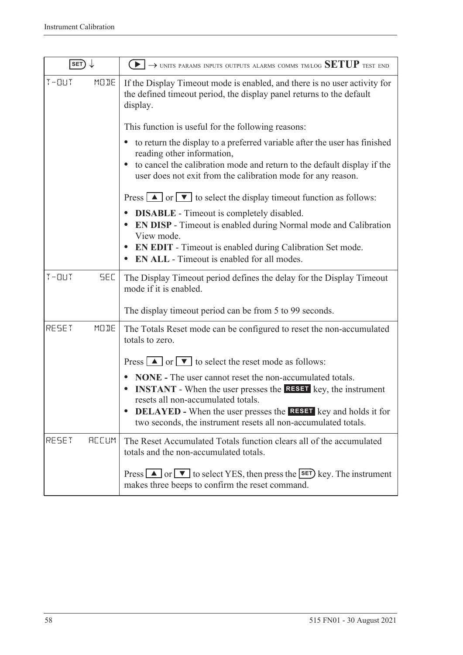| SET)                    | $\rightarrow$ units params inputs outputs alarms comms tmlog $\operatorname{SETUP}$ test end                                                                                         |
|-------------------------|--------------------------------------------------------------------------------------------------------------------------------------------------------------------------------------|
| $T - 11T$<br>MODE       | If the Display Timeout mode is enabled, and there is no user activity for<br>the defined timeout period, the display panel returns to the default<br>display.                        |
|                         | This function is useful for the following reasons:                                                                                                                                   |
|                         | to return the display to a preferred variable after the user has finished<br>$\bullet$<br>reading other information,                                                                 |
|                         | to cancel the calibration mode and return to the default display if the<br>user does not exit from the calibration mode for any reason.                                              |
|                         | Press $\Box$ or $\nabla$ to select the display timeout function as follows:                                                                                                          |
|                         | <b>DISABLE</b> - Timeout is completely disabled.<br>$\bullet$<br><b>EN DISP</b> - Timeout is enabled during Normal mode and Calibration<br>$\bullet$<br>View mode.                   |
|                         | <b>EN EDIT</b> - Timeout is enabled during Calibration Set mode.<br>$\bullet$<br><b>EN ALL</b> - Timeout is enabled for all modes.                                                   |
| $T - 11T$<br><b>SEC</b> | The Display Timeout period defines the delay for the Display Timeout<br>mode if it is enabled.                                                                                       |
|                         | The display timeout period can be from 5 to 99 seconds.                                                                                                                              |
| RESET<br>MODE           | The Totals Reset mode can be configured to reset the non-accumulated<br>totals to zero.                                                                                              |
|                         | Press $\boxed{\blacktriangle}$ or $\boxed{\blacktriangledown}$ to select the reset mode as follows:                                                                                  |
|                         | <b>NONE</b> - The user cannot reset the non-accumulated totals.<br><b>INSTANT</b> - When the user presses the <b>RESET</b> key, the instrument<br>resets all non-accumulated totals. |
|                         | <b>DELAYED</b> - When the user presses the <b>RESET</b> key and holds it for<br>two seconds, the instrument resets all non-accumulated totals.                                       |
| RESET<br><b>REEUM</b>   | The Reset Accumulated Totals function clears all of the accumulated<br>totals and the non-accumulated totals.                                                                        |
|                         | Press $\Box$ or $\nabla$ to select YES, then press the <b>SET</b> ) key. The instrument<br>makes three beeps to confirm the reset command.                                           |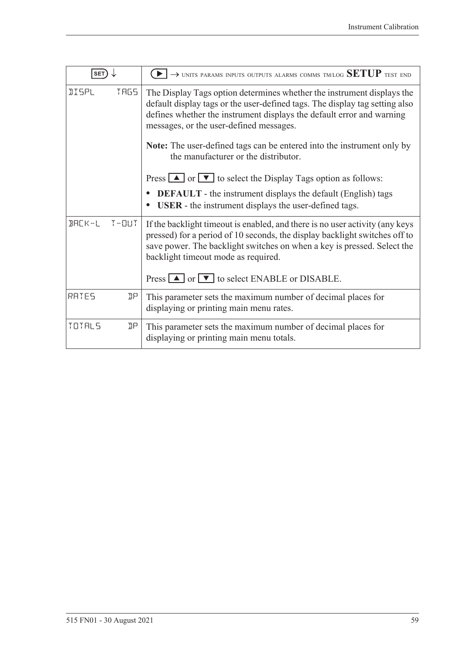| <b>SET</b>   |      | $\rightarrow$ units params inputs outputs alarms comms tm/log SETUP test end                                                                                                                                                                                                                                                                                                                       |
|--------------|------|----------------------------------------------------------------------------------------------------------------------------------------------------------------------------------------------------------------------------------------------------------------------------------------------------------------------------------------------------------------------------------------------------|
| <b>IISPL</b> | TRG5 | The Display Tags option determines whether the instrument displays the<br>default display tags or the user-defined tags. The display tag setting also<br>defines whether the instrument displays the default error and warning<br>messages, or the user-defined messages.<br><b>Note:</b> The user-defined tags can be entered into the instrument only by<br>the manufacturer or the distributor. |
|              |      | Press $\Box$ or $\nabla$ to select the Display Tags option as follows:<br><b>DEFAULT</b> - the instrument displays the default (English) tags<br><b>USER</b> - the instrument displays the user-defined tags.                                                                                                                                                                                      |
| BACK-L T-OUT |      | If the backlight timeout is enabled, and there is no user activity (any keys<br>pressed) for a period of 10 seconds, the display backlight switches off to<br>save power. The backlight switches on when a key is pressed. Select the<br>backlight timeout mode as required.<br>Press $\Box$ or $\nabla$ to select ENABLE or DISABLE.                                                              |
| RATES        | ηp   | This parameter sets the maximum number of decimal places for<br>displaying or printing main menu rates.                                                                                                                                                                                                                                                                                            |
| TOTALS       | ηp   | This parameter sets the maximum number of decimal places for<br>displaying or printing main menu totals.                                                                                                                                                                                                                                                                                           |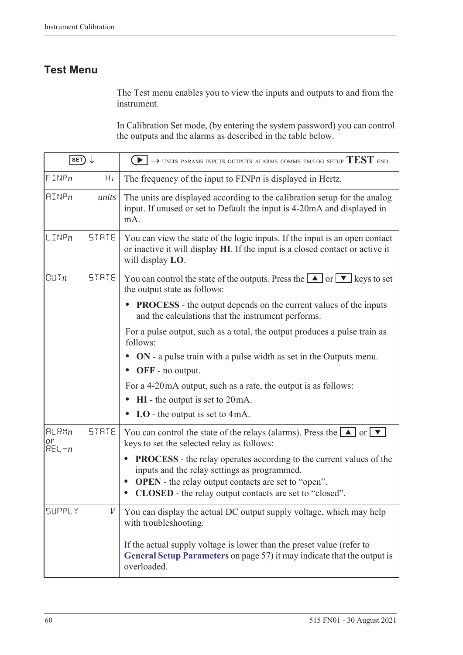# **Test Menu**

The Test menu enables you to view the inputs and outputs to and from the instrument.

In Calibration Set mode, (by entering the system password) you can control the outputs and the alarms as described in the table below.

| SET)                     |                | $\rightarrow$ units params inputs outputs alarms comms tm/log setup $\mathrm{TEST}$ end                                                                                                                                                                                                   |
|--------------------------|----------------|-------------------------------------------------------------------------------------------------------------------------------------------------------------------------------------------------------------------------------------------------------------------------------------------|
| FINPn                    | H <sub>z</sub> | The frequency of the input to $FINPn$ is displayed in Hertz.                                                                                                                                                                                                                              |
| $\text{HIMP}_n$          | units          | The units are displayed according to the calibration setup for the analog<br>input. If unused or set to Default the input is 4-20mA and displayed in<br>mA.                                                                                                                               |
| $L$ INP $n$              | <b>STRTE</b>   | You can view the state of the logic inputs. If the input is an open contact<br>or inactive it will display HI. If the input is a closed contact or active it<br>will display LO.                                                                                                          |
| QUTn                     | <b>STRTE</b>   | You can control the state of the outputs. Press the $\Box$ or $\nabla$ keys to set<br>the output state as follows:                                                                                                                                                                        |
|                          |                | <b>PROCESS</b> - the output depends on the current values of the inputs<br>and the calculations that the instrument performs.                                                                                                                                                             |
|                          |                | For a pulse output, such as a total, the output produces a pulse train as<br>follows:                                                                                                                                                                                                     |
|                          |                | ON - a pulse train with a pulse width as set in the Outputs menu.<br>OFF - no output.                                                                                                                                                                                                     |
|                          |                | For a 4-20 mA output, such as a rate, the output is as follows:                                                                                                                                                                                                                           |
|                          |                | $HI - the output is set to 20mA.$                                                                                                                                                                                                                                                         |
|                          |                | $LO$ - the output is set to 4mA.<br>$\bullet$                                                                                                                                                                                                                                             |
| HLRMn<br>or<br>$REL - n$ | <b>STATE</b>   | You can control the state of the relays (alarms). Press the $\Box$ or $\nabla$<br>keys to set the selected relay as follows:                                                                                                                                                              |
|                          |                | <b>PROCESS</b> - the relay operates according to the current values of the<br>٠<br>inputs and the relay settings as programmed.<br><b>OPEN</b> - the relay output contacts are set to "open".<br>$\bullet$<br><b>CLOSED</b> - the relay output contacts are set to "closed".<br>$\bullet$ |
| <b>SUPPLY</b>            | V              | You can display the actual DC output supply voltage, which may help<br>with troubleshooting.                                                                                                                                                                                              |
|                          |                | If the actual supply voltage is lower than the preset value (refer to<br>General Setup Parameters on page 57) it may indicate that the output is<br>overloaded.                                                                                                                           |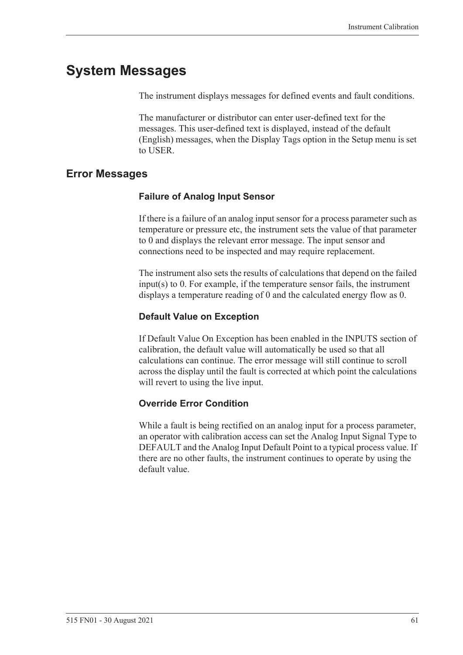# **System Messages**

The instrument displays messages for defined events and fault conditions.

The manufacturer or distributor can enter user-defined text for the messages. This user-defined text is displayed, instead of the default (English) messages, when the Display Tags option in the Setup menu is set to USER.

## <span id="page-70-0"></span>**Error Messages**

#### **Failure of Analog Input Sensor**

If there is a failure of an analog input sensor for a process parameter such as temperature or pressure etc, the instrument sets the value of that parameter to 0 and displays the relevant error message. The input sensor and connections need to be inspected and may require replacement.

The instrument also sets the results of calculations that depend on the failed input(s) to 0. For example, if the temperature sensor fails, the instrument displays a temperature reading of 0 and the calculated energy flow as 0.

#### **Default Value on Exception**

If Default Value On Exception has been enabled in the INPUTS section of calibration, the default value will automatically be used so that all calculations can continue. The error message will still continue to scroll across the display until the fault is corrected at which point the calculations will revert to using the live input.

#### **Override Error Condition**

While a fault is being rectified on an analog input for a process parameter, an operator with calibration access can set the Analog Input Signal Type to DEFAULT and the Analog Input Default Point to a typical process value. If there are no other faults, the instrument continues to operate by using the default value.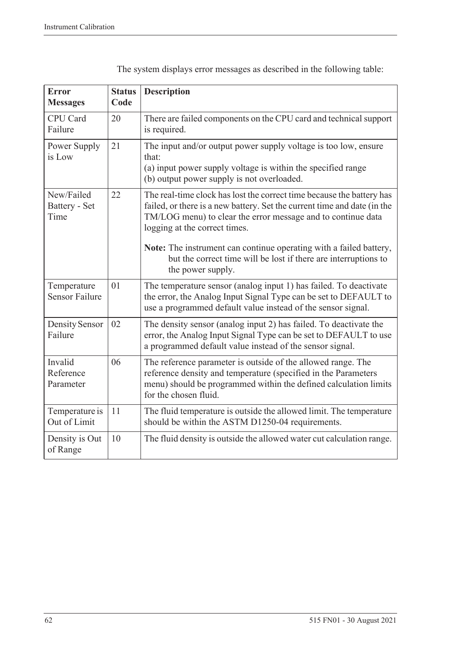| <b>Error</b><br><b>Messages</b>      | <b>Status</b><br>Code | <b>Description</b>                                                                                                                                                                                                                                                                                                                                                                          |
|--------------------------------------|-----------------------|---------------------------------------------------------------------------------------------------------------------------------------------------------------------------------------------------------------------------------------------------------------------------------------------------------------------------------------------------------------------------------------------|
| CPU Card<br>Failure                  | 20                    | There are failed components on the CPU card and technical support<br>is required.                                                                                                                                                                                                                                                                                                           |
| Power Supply<br>is Low               | 21                    | The input and/or output power supply voltage is too low, ensure<br>that:<br>(a) input power supply voltage is within the specified range<br>(b) output power supply is not overloaded.                                                                                                                                                                                                      |
| New/Failed<br>Battery - Set<br>Time  | 22                    | The real-time clock has lost the correct time because the battery has<br>failed, or there is a new battery. Set the current time and date (in the<br>TM/LOG menu) to clear the error message and to continue data<br>logging at the correct times.<br>Note: The instrument can continue operating with a failed battery,<br>but the correct time will be lost if there are interruptions to |
|                                      |                       | the power supply.                                                                                                                                                                                                                                                                                                                                                                           |
| Temperature<br><b>Sensor Failure</b> | 01                    | The temperature sensor (analog input 1) has failed. To deactivate<br>the error, the Analog Input Signal Type can be set to DEFAULT to<br>use a programmed default value instead of the sensor signal.                                                                                                                                                                                       |
| Density Sensor<br>Failure            | 02                    | The density sensor (analog input 2) has failed. To deactivate the<br>error, the Analog Input Signal Type can be set to DEFAULT to use<br>a programmed default value instead of the sensor signal.                                                                                                                                                                                           |
| Invalid<br>Reference<br>Parameter    | 06                    | The reference parameter is outside of the allowed range. The<br>reference density and temperature (specified in the Parameters<br>menu) should be programmed within the defined calculation limits<br>for the chosen fluid.                                                                                                                                                                 |
| Temperature is<br>Out of Limit       | 11                    | The fluid temperature is outside the allowed limit. The temperature<br>should be within the ASTM D1250-04 requirements.                                                                                                                                                                                                                                                                     |
| Density is Out<br>of Range           | 10                    | The fluid density is outside the allowed water cut calculation range.                                                                                                                                                                                                                                                                                                                       |

The system displays error messages as described in the following table: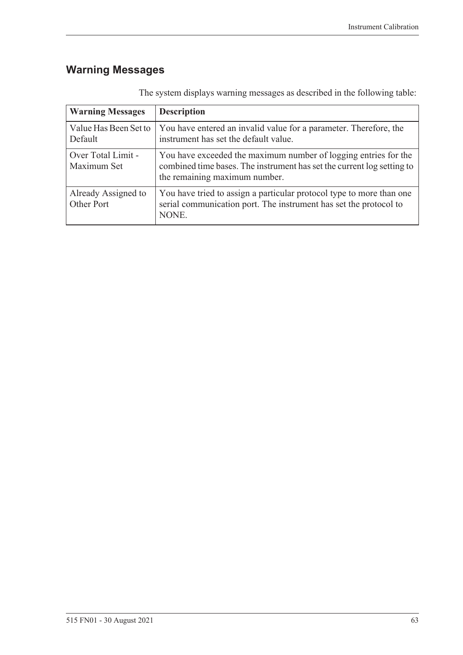# <span id="page-72-0"></span>**Warning Messages**

| <b>Warning Messages</b>           | <b>Description</b>                                                                                                                                                         |
|-----------------------------------|----------------------------------------------------------------------------------------------------------------------------------------------------------------------------|
| Value Has Been Set to<br>Default  | You have entered an invalid value for a parameter. Therefore, the<br>instrument has set the default value.                                                                 |
| Over Total Limit -<br>Maximum Set | You have exceeded the maximum number of logging entries for the<br>combined time bases. The instrument has set the current log setting to<br>the remaining maximum number. |
| Already Assigned to<br>Other Port | You have tried to assign a particular protocol type to more than one<br>serial communication port. The instrument has set the protocol to<br>NONE.                         |

The system displays warning messages as described in the following table: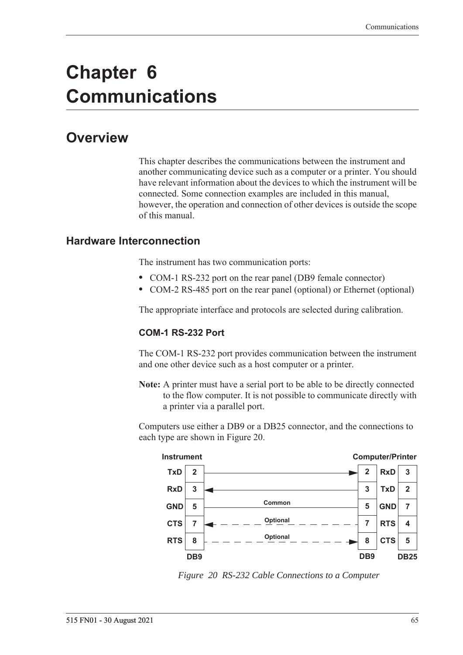# **Chapter 6 Communications**

# **Overview**

<span id="page-74-2"></span>This chapter describes the communications between the instrument and another communicating device such as a computer or a printer. You should have relevant information about the devices to which the instrument will be connected. Some connection examples are included in this manual, however, the operation and connection of other devices is outside the scope of this manual.

## **Hardware Interconnection**

<span id="page-74-3"></span>The instrument has two communication ports:

- **•** COM-1 RS-232 port on the rear panel (DB9 female connector)
- **•** COM-2 RS-485 port on the rear panel (optional) or Ethernet (optional)

The appropriate interface and protocols are selected during calibration.

#### <span id="page-74-1"></span>**COM-1 RS-232 Port**

The COM-1 RS-232 port provides communication between the instrument and one other device such as a host computer or a printer.

**Note:** A printer must have a serial port to be able to be directly connected to the flow computer. It is not possible to communicate directly with a printer via a parallel port.

Computers use either a DB9 or a DB25 connector, and the connections to each type are shown in [Figure 20.](#page-74-0)



<span id="page-74-0"></span>*Figure 20 RS-232 Cable Connections to a Computer*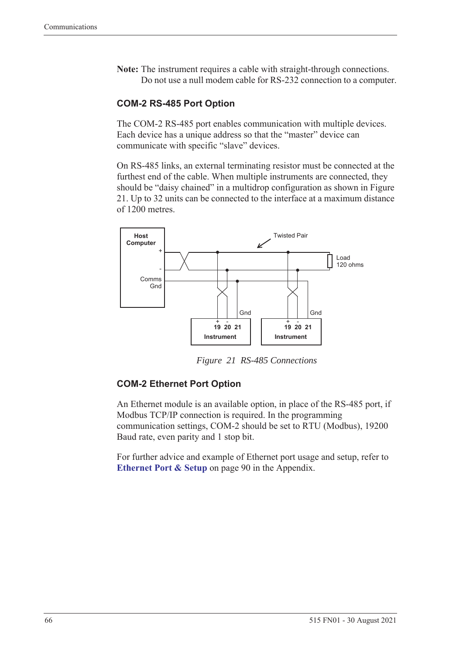**Note:** The instrument requires a cable with straight-through connections. Do not use a null modem cable for RS-232 connection to a computer.

#### <span id="page-75-1"></span>**COM-2 RS-485 Port Option**

The COM-2 RS-485 port enables communication with multiple devices. Each device has a unique address so that the "master" device can communicate with specific "slave" devices.

On RS-485 links, an external terminating resistor must be connected at the furthest end of the cable. When multiple instruments are connected, they should be "daisy chained" in a multidrop configuration as shown in Figure [21](#page-75-0). Up to 32 units can be connected to the interface at a maximum distance of 1200 metres.



<span id="page-75-2"></span>*Figure 21 RS-485 Connections*

#### <span id="page-75-0"></span>**COM-2 Ethernet Port Option**

An Ethernet module is an available option, in place of the RS-485 port, if Modbus TCP/IP connection is required. In the programming communication settings, COM-2 should be set to RTU (Modbus), 19200 Baud rate, even parity and 1 stop bit.

For further advice and example of Ethernet port usage and setup, refer to **[Ethernet Port & Setup](#page-99-0)** on page 90 in the Appendix.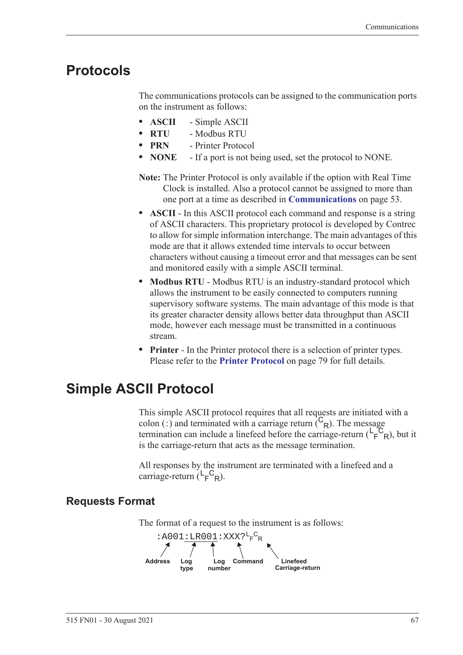# **Protocols**

<span id="page-76-1"></span>The communications protocols can be assigned to the communication ports on the instrument as follows:

- **• ASCII** Simple ASCII
- **• RTU** Modbus RTU
- **• PRN** Printer Protocol
- **• NONE** If a port is not being used, set the protocol to NONE.
- **Note:** The Printer Protocol is only available if the option with Real Time Clock is installed. Also a protocol cannot be assigned to more than one port at a time as described in **[Communications](#page-62-0)** on page 53.
- **• ASCII** In this ASCII protocol each command and response is a string of ASCII characters. This proprietary protocol is developed by Contrec to allow for simple information interchange. The main advantages of this mode are that it allows extended time intervals to occur between characters without causing a timeout error and that messages can be sent and monitored easily with a simple ASCII terminal.
- **• Modbus RTU** Modbus RTU is an industry-standard protocol which allows the instrument to be easily connected to computers running supervisory software systems. The main advantage of this mode is that its greater character density allows better data throughput than ASCII mode, however each message must be transmitted in a continuous stream.
- <span id="page-76-0"></span>**• Printer** - In the Printer protocol there is a selection of printer types. Please refer to the **[Printer Protocol](#page-88-0)** on page 79 for full details.

# **Simple ASCII Protocol**

This simple ASCII protocol requires that all requests are initiated with a colon (:) and terminated with a carriage return  $\binom{C_R}{R}$ . The message termination can include a linefeed before the carriage-return  $(\mathsf{L}_\mathsf{F}^\mathsf{C}_{\mathsf{R}})$ , but it is the carriage-return that acts as the message termination.

<span id="page-76-2"></span>All responses by the instrument are terminated with a linefeed and a carriage-return  $(L_F^C_R)$ .

# **Requests Format**

The format of a request to the instrument is as follows:

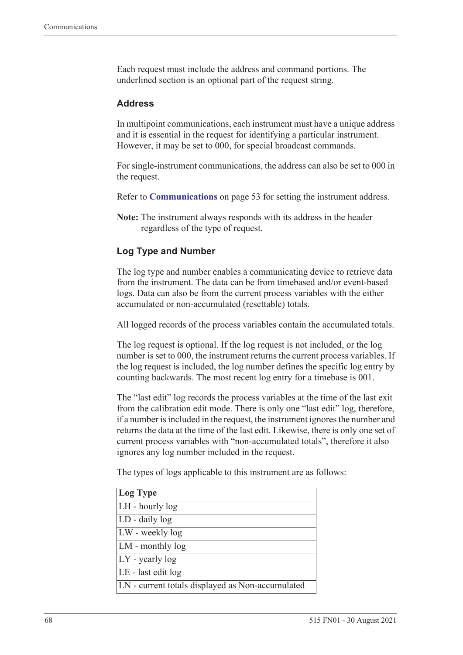Each request must include the address and command portions. The underlined section is an optional part of the request string.

#### <span id="page-77-0"></span>**Address**

In multipoint communications, each instrument must have a unique address and it is essential in the request for identifying a particular instrument. However, it may be set to 000, for special broadcast commands.

For single-instrument communications, the address can also be set to 000 in the request.

Refer to **[Communications](#page-62-0)** on page 53 for setting the instrument address.

**Note:** The instrument always responds with its address in the header regardless of the type of request.

#### **Log Type and Number**

The log type and number enables a communicating device to retrieve data from the instrument. The data can be from timebased and/or event-based logs. Data can also be from the current process variables with the either accumulated or non-accumulated (resettable) totals.

All logged records of the process variables contain the accumulated totals.

The log request is optional. If the log request is not included, or the log number is set to 000, the instrument returns the current process variables. If the log request is included, the log number defines the specific log entry by counting backwards. The most recent log entry for a timebase is 001.

The "last edit" log records the process variables at the time of the last exit from the calibration edit mode. There is only one "last edit" log, therefore, if a number is included in the request, the instrument ignores the number and returns the data at the time of the last edit. Likewise, there is only one set of current process variables with "non-accumulated totals", therefore it also ignores any log number included in the request.

The types of logs applicable to this instrument are as follows:

| Log Type                                         |
|--------------------------------------------------|
| LH - hourly log                                  |
| LD - daily log                                   |
| LW - weekly log                                  |
| LM - monthly log                                 |
| $LY$ - yearly log                                |
| LE - last edit log                               |
| LN - current totals displayed as Non-accumulated |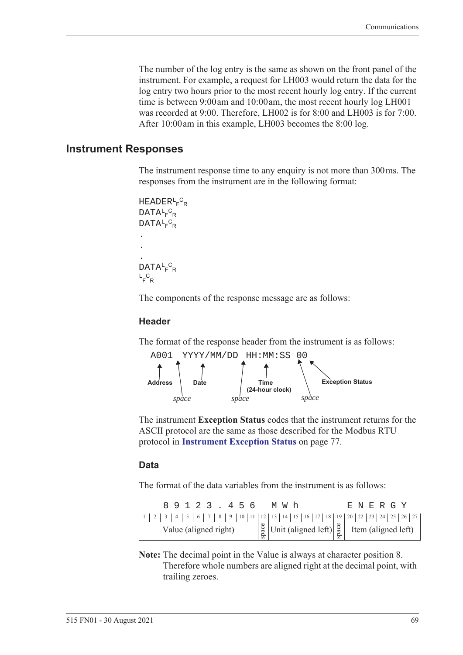The number of the log entry is the same as shown on the front panel of the instrument. For example, a request for LH003 would return the data for the log entry two hours prior to the most recent hourly log entry. If the current time is between 9:00 am and 10:00 am, the most recent hourly log LH001 was recorded at 9:00. Therefore, LH002 is for 8:00 and LH003 is for 7:00. After 10:00 am in this example, LH003 becomes the 8:00 log.

#### **Instrument Responses**

<span id="page-78-1"></span>The instrument response time to any enquiry is not more than 300 ms. The responses from the instrument are in the following format:

```
HEADER<sup>L</sup>F<sup>C</sup>R
DATA<sup>L</sup>F<sup>C</sup>R
DATA<sup>L</sup>F<sup>C</sup>R
.
.
.
DATA<sup>L</sup>F<sup>C</sup>R
L_F^CR
```
The components of the response message are as follows:

#### **Header**

The format of the response header from the instrument is as follows:



<span id="page-78-0"></span>The instrument **Exception Status** codes that the instrument returns for the ASCII protocol are the same as those described for the Modbus RTU protocol in **[Instrument Exception Status](#page-86-0)** on page 77.

#### **Data**

The format of the data variables from the instrument is as follows:

|                       |  |  |  |  | 89123.456 |  |  |                                                                                                                                                               |  | M W h |  |  |  |  | E N E R G Y |  |  |
|-----------------------|--|--|--|--|-----------|--|--|---------------------------------------------------------------------------------------------------------------------------------------------------------------|--|-------|--|--|--|--|-------------|--|--|
|                       |  |  |  |  |           |  |  |                                                                                                                                                               |  |       |  |  |  |  |             |  |  |
| Value (aligned right) |  |  |  |  |           |  |  | $\begin{bmatrix} \frac{8}{9} \\ \frac{8}{9} \end{bmatrix}$ Unit (aligned left) $\begin{bmatrix} \frac{8}{9} \\ \frac{8}{9} \end{bmatrix}$ Item (aligned left) |  |       |  |  |  |  |             |  |  |

**Note:** The decimal point in the Value is always at character position 8. Therefore whole numbers are aligned right at the decimal point, with trailing zeroes.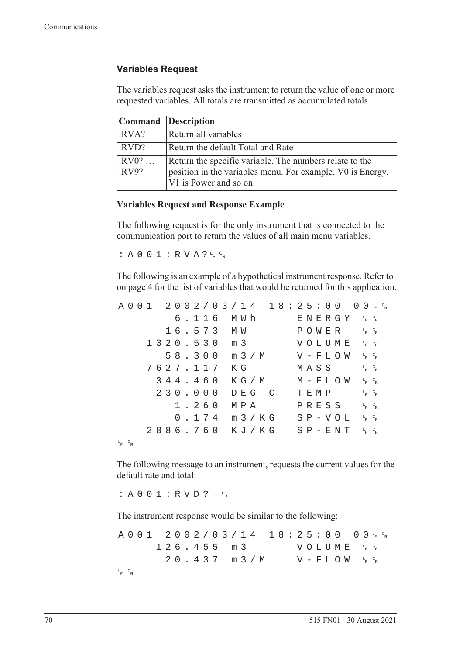#### **Variables Request**

The variables request asks the instrument to return the value of one or more requested variables. All totals are transmitted as accumulated totals.

|                  | Command Description                                                                                                                             |
|------------------|-------------------------------------------------------------------------------------------------------------------------------------------------|
| :RVA?            | Return all variables                                                                                                                            |
| :RVD?            | Return the default Total and Rate                                                                                                               |
| $:RV0?$<br>:RV9? | Return the specific variable. The numbers relate to the<br>position in the variables menu. For example, V0 is Energy,<br>V1 is Power and so on. |

#### **Variables Request and Response Example**

The following request is for the only instrument that is connected to the communication port to return the values of all main menu variables.

: A 0 0 1 : R V A ?  $L_F$   $C_R$ 

The following is an example of a hypothetical instrument response. Refer to [on page 4](#page-13-0) for the list of variables that would be returned for this application.

|             |  |  |  |  |         |  |                  |  |       | $A\ 0\ 0\ 1\ 2\ 0\ 0\ 2\ / \ 0\ 3\ / \ 1\ 4\ 1\ 8\ :\ 2\ 5\ : \ 0\ 0\ 0\ 0\ _\mathsf{F}\ ^\mathrm{c}_\mathsf{R}$ |                                                                                                     |         |  |                                                 |  |                                   |  |
|-------------|--|--|--|--|---------|--|------------------|--|-------|------------------------------------------------------------------------------------------------------------------|-----------------------------------------------------------------------------------------------------|---------|--|-------------------------------------------------|--|-----------------------------------|--|
|             |  |  |  |  |         |  | 6.116 MWh        |  |       |                                                                                                                  | $E \setminus E \setminus E \setminus E \setminus G \setminus Y \subseteq \subseteq \subseteq_{R} C$ |         |  |                                                 |  |                                   |  |
|             |  |  |  |  |         |  | 16.573 MW        |  |       |                                                                                                                  |                                                                                                     |         |  | POWER                                           |  | $L_F$ $C_R$                       |  |
|             |  |  |  |  |         |  | 1320.530 m 3     |  |       |                                                                                                                  |                                                                                                     |         |  | VOLUME <sup>L</sup> <sub>R</sub> <sup>C</sup> R |  |                                   |  |
|             |  |  |  |  |         |  |                  |  |       | 58.300 m 3/M                                                                                                     |                                                                                                     |         |  | $V - F L O W$ $F c_R$                           |  |                                   |  |
|             |  |  |  |  |         |  | 7627.117 KG      |  |       |                                                                                                                  |                                                                                                     |         |  | MASS                                            |  | $L_F$ $C_R$                       |  |
|             |  |  |  |  | 344.460 |  |                  |  |       | K G / M                                                                                                          |                                                                                                     |         |  | M – F L O W                                     |  | $L$ <sub>F</sub> $C$ <sub>R</sub> |  |
|             |  |  |  |  | 230.000 |  |                  |  | DEG C |                                                                                                                  |                                                                                                     | T E M P |  |                                                 |  | $L_F$ $C_R$                       |  |
|             |  |  |  |  | 1.260   |  | МРА              |  |       |                                                                                                                  |                                                                                                     |         |  | PRESS                                           |  | $L_{\rm F}$ $C_{\rm R}$           |  |
|             |  |  |  |  |         |  | $0.174$ m $3/KG$ |  |       |                                                                                                                  |                                                                                                     |         |  | $S P - V O L$                                   |  | $L_{F}$ $C_{R}$                   |  |
|             |  |  |  |  |         |  |                  |  |       | 2886.760 KJ/KG SP-ENT FR                                                                                         |                                                                                                     |         |  |                                                 |  |                                   |  |
| $L_F$ $C_R$ |  |  |  |  |         |  |                  |  |       |                                                                                                                  |                                                                                                     |         |  |                                                 |  |                                   |  |

The following message to an instrument, requests the current values for the default rate and total:

: A 0 0 1 : R V D ?  $L_F$   $C_R$ 

The instrument response would be similar to the following:

A001 2002/03/14 18:25:00  $F$   $\circ$ <sub>R</sub>  $126.455 m3$ <sup>F</sup> <sup>C</sup> R  $20.437$  m  $3/M$  $F$   $\circ$ <sub>R</sub> L <sup>F</sup> <sup>C</sup> R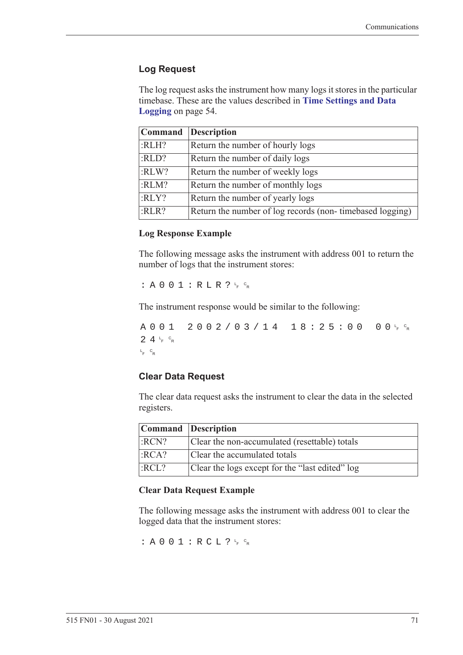#### **Log Request**

The log request asks the instrument how many logs it stores in the particular timebase. These are the values described in **[Time Settings and Data](#page-63-0)  Logging** [on page 54](#page-63-0).

|       | Command Description                                      |
|-------|----------------------------------------------------------|
| :RLH? | Return the number of hourly logs                         |
| :RLD? | Return the number of daily logs                          |
| :RLW? | Return the number of weekly logs                         |
| :RLM? | Return the number of monthly logs                        |
| :RLY? | Return the number of yearly logs                         |
| :RLR? | Return the number of log records (non-timebased logging) |

#### **Log Response Example**

The following message asks the instrument with address 001 to return the number of logs that the instrument stores:

 $: A 0 0 1 : R L R ? \nmid R$ 

The instrument response would be similar to the following:

A001 2002/03/14 18:25:00  $F$   $\circ$ R  $24r$ <sub>F</sub>  $c_R$ L <sup>F</sup> <sup>C</sup> R

#### **Clear Data Request**

The clear data request asks the instrument to clear the data in the selected registers.

| Command Description |                                                 |
|---------------------|-------------------------------------------------|
| :RCN?               | Clear the non-accumulated (resettable) totals   |
| :RCA?               | Clear the accumulated totals                    |
| :RCL?               | Clear the logs except for the "last edited" log |

#### **Clear Data Request Example**

The following message asks the instrument with address 001 to clear the logged data that the instrument stores:

: A 0 0 1 : R C L ?  $L_F$   $c_R$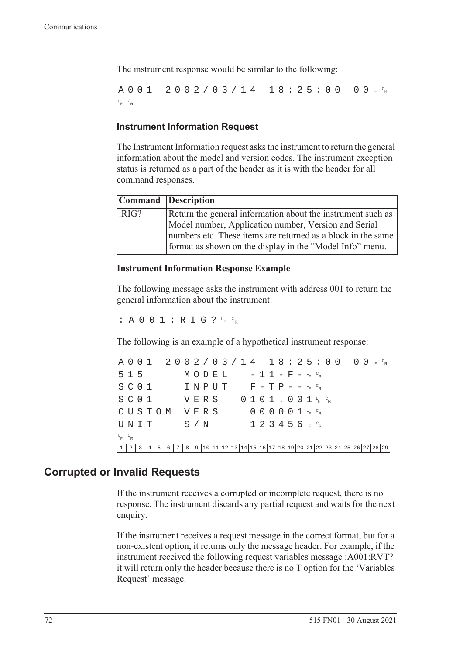The instrument response would be similar to the following:

A001 2002/03/14 18:25:00  $F$   $\circ$ <sub>R</sub> L <sup>F</sup> <sup>C</sup> R

#### **Instrument Information Request**

The Instrument Information request asks the instrument to return the general information about the model and version codes. The instrument exception status is returned as a part of the header as it is with the header for all command responses.

|      | Command Description                                                                                                      |
|------|--------------------------------------------------------------------------------------------------------------------------|
| RIG? | Return the general information about the instrument such as                                                              |
|      | Model number, Application number, Version and Serial                                                                     |
|      | numbers etc. These items are returned as a block in the same<br>format as shown on the display in the "Model Info" menu. |

#### **Instrument Information Response Example**

The following message asks the instrument with address 001 to return the general information about the instrument:

: A 0 0 1 : R I G ?  $L_F$   $C_R$ 

The following is an example of a hypothetical instrument response:

A001 2002/03/14 18:25:00 <sup>F</sup> <sup>C</sup> R  $515$   $MODEL$   $-11-F-F_{R}^{c}$  $S$  C O  $1$  I N P U T F - T P - - <sup>L</sup><sub>F</sub> <sup>C</sup>R  $S$  C O  $1$  V E R S O  $1$  O  $1$  J  $1$  , O  $0$   $1$   $1$   $1$   $6$   $8$ CUSTOM VERS 000001<sup>t</sup>F<sup>c</sup>r  $\texttt{UNIT}$  S/N 123456<sup>L</sup><sub>F</sub>  $\texttt{C}_{\texttt{R}}$ L <sup>F</sup> <sup>C</sup> R 1 2 3 4 5 6 7 8 9 10 11 12 13 14 15 16 17 18 19 20 21 22 23 24 25 26 27 28 29

### **Corrupted or Invalid Requests**

If the instrument receives a corrupted or incomplete request, there is no response. The instrument discards any partial request and waits for the next enquiry.

If the instrument receives a request message in the correct format, but for a non-existent option, it returns only the message header. For example, if the instrument received the following request variables message :A001:RVT? it will return only the header because there is no T option for the 'Variables Request' message.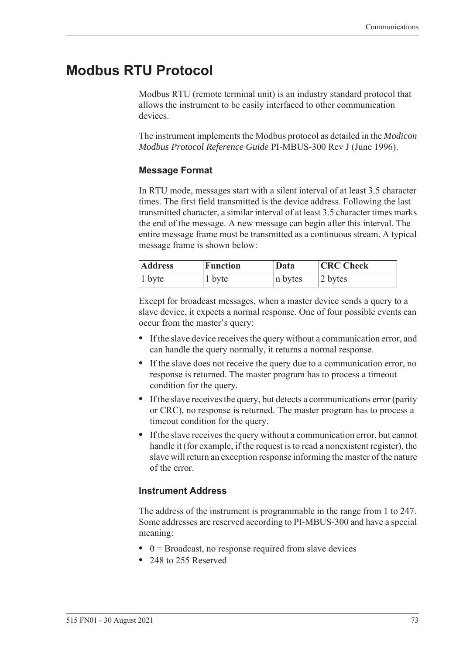# **Modbus RTU Protocol**

<span id="page-82-0"></span>Modbus RTU (remote terminal unit) is an industry standard protocol that allows the instrument to be easily interfaced to other communication devices.

The instrument implements the Modbus protocol as detailed in the *Modicon Modbus Protocol Reference Guide* PI-MBUS-300 Rev J (June 1996).

#### **Message Format**

In RTU mode, messages start with a silent interval of at least 3.5 character times. The first field transmitted is the device address. Following the last transmitted character, a similar interval of at least 3.5 character times marks the end of the message. A new message can begin after this interval. The entire message frame must be transmitted as a continuous stream. A typical message frame is shown below:

| <b>Address</b> | <b>Function</b> | Data    | <b>CRC</b> Check |  |  |  |  |
|----------------|-----------------|---------|------------------|--|--|--|--|
| $ 1$ byte      | 1 byte          | n bytes | 2 bytes          |  |  |  |  |

Except for broadcast messages, when a master device sends a query to a slave device, it expects a normal response. One of four possible events can occur from the master's query:

- **•** If the slave device receives the query without a communication error, and can handle the query normally, it returns a normal response.
- **•** If the slave does not receive the query due to a communication error, no response is returned. The master program has to process a timeout condition for the query.
- **•** If the slave receives the query, but detects a communications error (parity or CRC), no response is returned. The master program has to process a timeout condition for the query.
- **•** If the slave receives the query without a communication error, but cannot handle it (for example, if the request is to read a nonexistent register), the slave will return an exception response informing the master of the nature of the error.

#### **Instrument Address**

The address of the instrument is programmable in the range from 1 to 247. Some addresses are reserved according to PI-MBUS-300 and have a special meaning:

- 0 = Broadcast, no response required from slave devices
- **•** 248 to 255 Reserved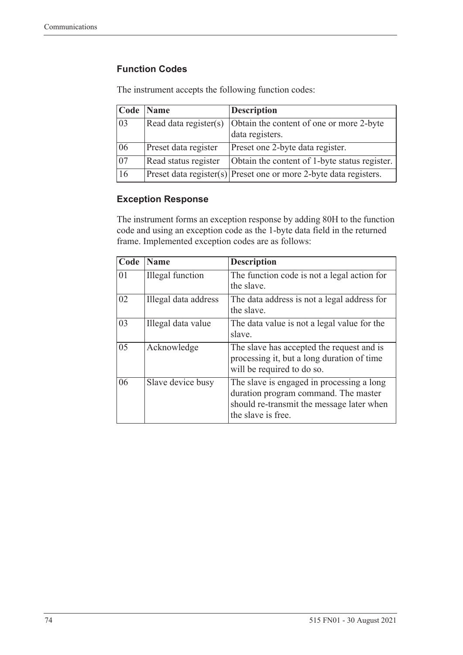## **Function Codes**

| Code            | <b>Name</b>           | <b>Description</b>                                                    |
|-----------------|-----------------------|-----------------------------------------------------------------------|
| 03              | Read data register(s) | Obtain the content of one or more 2-byte<br>data registers.           |
| 06              | Preset data register  | Preset one 2-byte data register.                                      |
| $\overline{07}$ | Read status register  | Obtain the content of 1-byte status register.                         |
| 16              |                       | $ $ Preset data register(s) Preset one or more 2-byte data registers. |

The instrument accepts the following function codes:

#### **Exception Response**

The instrument forms an exception response by adding 80H to the function code and using an exception code as the 1-byte data field in the returned frame. Implemented exception codes are as follows:

| Code | <b>Name</b>             | <b>Description</b>                                                                                                                                   |
|------|-------------------------|------------------------------------------------------------------------------------------------------------------------------------------------------|
| 01   | <b>Illegal</b> function | The function code is not a legal action for<br>the slave.                                                                                            |
| 02   | Illegal data address    | The data address is not a legal address for<br>the slave.                                                                                            |
| 03   | Illegal data value      | The data value is not a legal value for the<br>slave.                                                                                                |
| 05   | Acknowledge             | The slave has accepted the request and is<br>processing it, but a long duration of time<br>will be required to do so.                                |
| 06   | Slave device busy       | The slave is engaged in processing a long<br>duration program command. The master<br>should re-transmit the message later when<br>the slave is free. |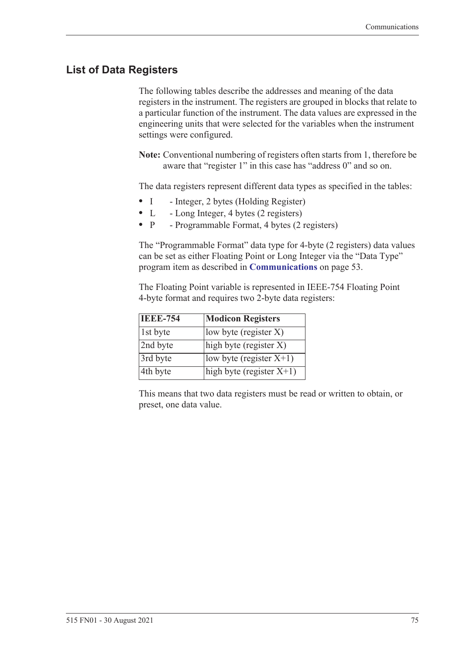# **List of Data Registers**

The following tables describe the addresses and meaning of the data registers in the instrument. The registers are grouped in blocks that relate to a particular function of the instrument. The data values are expressed in the engineering units that were selected for the variables when the instrument settings were configured.

**Note:** Conventional numbering of registers often starts from 1, therefore be aware that "register 1" in this case has "address 0" and so on.

The data registers represent different data types as specified in the tables:

- I Integer, 2 bytes (Holding Register)
- L Long Integer, 4 bytes (2 registers)
- P Programmable Format, 4 bytes (2 registers)

The "Programmable Format" data type for 4-byte (2 registers) data values can be set as either Floating Point or Long Integer via the "Data Type" program item as described in **[Communications](#page-62-0)** on page 53.

The Floating Point variable is represented in IEEE-754 Floating Point 4-byte format and requires two 2-byte data registers:

| <b>IEEE-754</b> | <b>Modicon Registers</b>                       |
|-----------------|------------------------------------------------|
| 1st byte        | low byte (register X)                          |
| 2nd byte        | $\left  \text{high byte (register X)} \right $ |
| 3rd byte        | low byte (register $X+1$ )                     |
| 4th byte        | high byte (register $X+1$ )                    |

This means that two data registers must be read or written to obtain, or preset, one data value.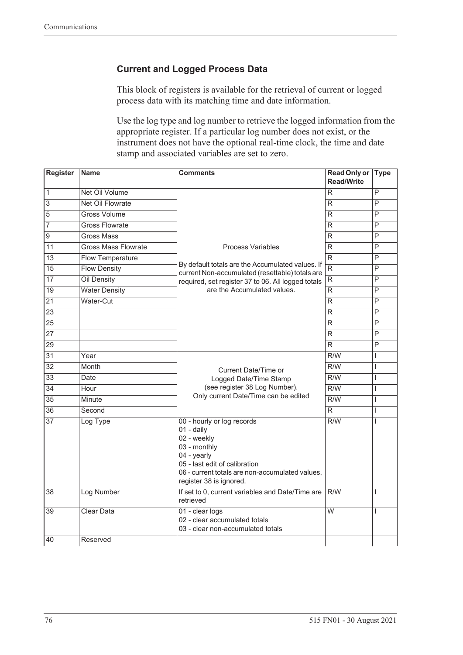## **Current and Logged Process Data**

This block of registers is available for the retrieval of current or logged process data with its matching time and date information.

Use the log type and log number to retrieve the logged information from the appropriate register. If a particular log number does not exist, or the instrument does not have the optional real-time clock, the time and date stamp and associated variables are set to zero.

| <b>Register</b> | <b>Name</b>                | <b>Comments</b>                                                                                                                                                                                       | <b>Read Only or</b><br><b>Read/Write</b> | <b>Type</b>             |
|-----------------|----------------------------|-------------------------------------------------------------------------------------------------------------------------------------------------------------------------------------------------------|------------------------------------------|-------------------------|
| $\overline{1}$  | <b>Net Oil Volume</b>      |                                                                                                                                                                                                       | R                                        | $\overline{P}$          |
| 3               | Net Oil Flowrate           |                                                                                                                                                                                                       | R                                        | P                       |
| $\overline{5}$  | <b>Gross Volume</b>        |                                                                                                                                                                                                       | R                                        | P                       |
| 7               | <b>Gross Flowrate</b>      |                                                                                                                                                                                                       | R.                                       | P                       |
| $\overline{9}$  | Gross Mass                 |                                                                                                                                                                                                       | R.                                       | P                       |
| $\overline{11}$ | <b>Gross Mass Flowrate</b> | <b>Process Variables</b>                                                                                                                                                                              | $\overline{\mathsf{R}}$                  | $\overline{\mathsf{P}}$ |
| $\overline{13}$ | <b>Flow Temperature</b>    |                                                                                                                                                                                                       | $\overline{R}$                           | P                       |
| $\overline{15}$ | <b>Flow Density</b>        | By default totals are the Accumulated values. If<br>current Non-accumulated (resettable) totals are                                                                                                   | $\overline{\mathsf{R}}$                  | $\overline{P}$          |
| $\overline{17}$ | <b>Oil Density</b>         | required, set register 37 to 06. All logged totals                                                                                                                                                    | $\overline{\mathsf{R}}$                  | $\overline{P}$          |
| $\overline{19}$ | <b>Water Density</b>       | are the Accumulated values.                                                                                                                                                                           | R.                                       | P                       |
| $\overline{21}$ | Water-Cut                  |                                                                                                                                                                                                       | R                                        | P                       |
| 23              |                            |                                                                                                                                                                                                       | R                                        | P                       |
| $\overline{25}$ |                            |                                                                                                                                                                                                       | R.                                       | $\overline{\mathsf{P}}$ |
| $\overline{27}$ |                            |                                                                                                                                                                                                       | $\overline{\mathsf{R}}$                  | $\overline{\mathsf{P}}$ |
| $\overline{29}$ |                            |                                                                                                                                                                                                       | R.                                       | P                       |
| $\overline{31}$ | Year                       |                                                                                                                                                                                                       | R/W                                      | $\mathsf{I}$            |
| $\overline{32}$ | Month                      | <b>Current Date/Time or</b>                                                                                                                                                                           | $\overline{R/W}$                         | $\mathsf{I}$            |
| $\overline{33}$ | Date                       | Logged Date/Time Stamp                                                                                                                                                                                | R/W                                      | T                       |
| $\overline{34}$ | Hour                       | (see register 38 Log Number).                                                                                                                                                                         | R/W                                      | $\overline{1}$          |
| $\overline{35}$ | Minute                     | Only current Date/Time can be edited                                                                                                                                                                  | $\overline{R/W}$                         | T                       |
| 36              | Second                     |                                                                                                                                                                                                       | R                                        | T                       |
| $\overline{37}$ | Log Type                   | 00 - hourly or log records<br>01 - daily<br>02 - weekly<br>03 - monthly<br>04 - yearly<br>05 - last edit of calibration<br>06 - current totals are non-accumulated values,<br>register 38 is ignored. | R/W                                      | $\overline{1}$          |
| $\overline{38}$ | Log Number                 | If set to 0, current variables and Date/Time are<br>retrieved                                                                                                                                         | R/W                                      | т                       |
| 39              | Clear Data                 | 01 - clear logs<br>02 - clear accumulated totals<br>03 - clear non-accumulated totals                                                                                                                 | W                                        | T                       |
| 40              | Reserved                   |                                                                                                                                                                                                       |                                          |                         |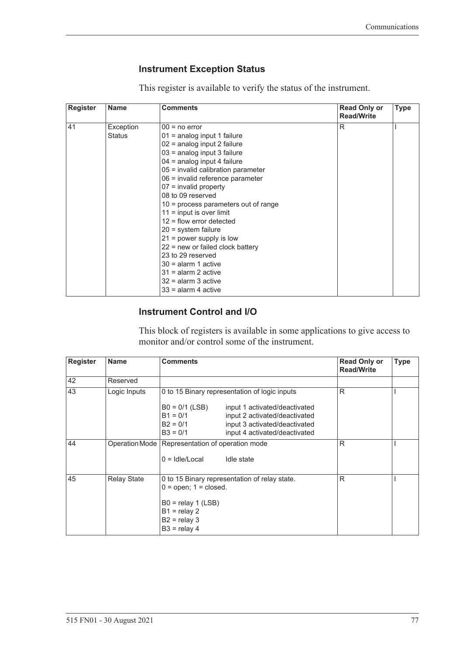## <span id="page-86-1"></span><span id="page-86-0"></span>**Instrument Exception Status**

This register is available to verify the status of the instrument.

| <b>Register</b> | <b>Name</b> | <b>Comments</b>                        | <b>Read Only or</b><br><b>Read/Write</b> | <b>Type</b> |
|-----------------|-------------|----------------------------------------|------------------------------------------|-------------|
| 41              | Exception   | $00 = no error$                        | R                                        |             |
|                 | Status      | $01$ = analog input 1 failure          |                                          |             |
|                 |             | 02 = analog input 2 failure            |                                          |             |
|                 |             | 03 = analog input 3 failure            |                                          |             |
|                 |             | $04$ = analog input 4 failure          |                                          |             |
|                 |             | 05 = invalid calibration parameter     |                                          |             |
|                 |             | 06 = invalid reference parameter       |                                          |             |
|                 |             | $07$ = invalid property                |                                          |             |
|                 |             | 08 to 09 reserved                      |                                          |             |
|                 |             | $10$ = process parameters out of range |                                          |             |
|                 |             | $11 =$ input is over limit             |                                          |             |
|                 |             | $12$ = flow error detected             |                                          |             |
|                 |             | $20 =$ system failure                  |                                          |             |
|                 |             | $21$ = power supply is low             |                                          |             |
|                 |             | $22$ = new or failed clock battery     |                                          |             |
|                 |             | 23 to 29 reserved                      |                                          |             |
|                 |             | $30 =$ alarm 1 active                  |                                          |             |
|                 |             | $31$ = alarm 2 active                  |                                          |             |
|                 |             | $32$ = alarm 3 active                  |                                          |             |
|                 |             | $33$ = alarm 4 active                  |                                          |             |

### **Instrument Control and I/O**

This block of registers is available in some applications to give access to monitor and/or control some of the instrument.

| <b>Register</b> | <b>Name</b>        | <b>Comments</b>                                                                                                                                                                                | <b>Read Only or</b><br><b>Read/Write</b> | <b>Type</b> |
|-----------------|--------------------|------------------------------------------------------------------------------------------------------------------------------------------------------------------------------------------------|------------------------------------------|-------------|
| 42              | Reserved           |                                                                                                                                                                                                |                                          |             |
| 43              | Logic Inputs       | 0 to 15 Binary representation of logic inputs                                                                                                                                                  | R                                        |             |
|                 |                    | $B0 = 0/1$ (LSB)<br>input 1 activated/deactivated<br>$B1 = 0/1$<br>input 2 activated/deactivated<br>$B2 = 0/1$<br>input 3 activated/deactivated<br>$B3 = 0/1$<br>input 4 activated/deactivated |                                          |             |
| 44              |                    | Operation Mode   Representation of operation mode<br>$0 =$ Idle/Local<br>Idle state                                                                                                            | R                                        |             |
| 45              | <b>Relay State</b> | 0 to 15 Binary representation of relay state.<br>$0 =$ open; $1 =$ closed.<br>$B0 =$ relay 1 (LSB)<br>$B1 =$ relay 2<br>$B2 =$ relay 3<br>$B3 =$ relay 4                                       | R                                        |             |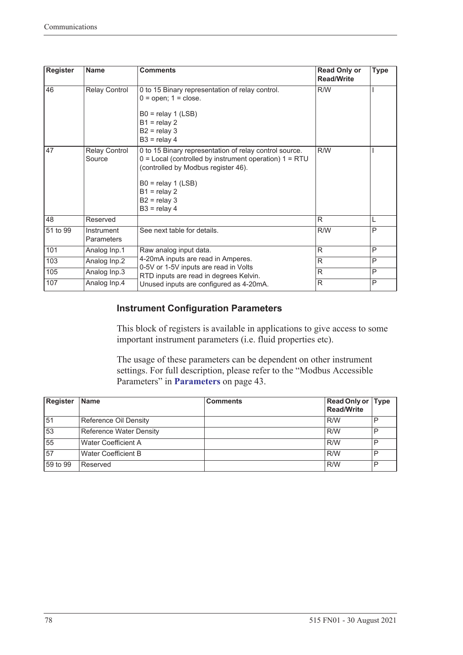| <b>Register</b> | <b>Name</b>              | <b>Comments</b>                                                                                                                                                                                                                           | <b>Read Only or</b><br><b>Read/Write</b> | <b>Type</b> |
|-----------------|--------------------------|-------------------------------------------------------------------------------------------------------------------------------------------------------------------------------------------------------------------------------------------|------------------------------------------|-------------|
| 46              | Relay Control            | 0 to 15 Binary representation of relay control.<br>$0 =$ open; $1 =$ close.<br>$B0 =$ relay 1 (LSB)<br>$B1 =$ relay 2<br>$B2 =$ relay 3<br>$B3 =$ relay 4                                                                                 | R/W                                      |             |
| 47              | Relay Control<br>Source  | 0 to 15 Binary representation of relay control source.<br>$0 =$ Local (controlled by instrument operation) $1 = RTU$<br>(controlled by Modbus register 46).<br>$B0 =$ relay 1 (LSB)<br>$B1$ = relay 2<br>$B2 =$ relay 3<br>$B3 =$ relay 4 | R/W                                      |             |
| 48              | Reserved                 |                                                                                                                                                                                                                                           | R                                        | L           |
| 51 to 99        | Instrument<br>Parameters | See next table for details.                                                                                                                                                                                                               | R/W                                      | P           |
| 101             | Analog Inp.1             | Raw analog input data.                                                                                                                                                                                                                    | R                                        | P           |
| 103             | Analog Inp.2             | 4-20mA inputs are read in Amperes.                                                                                                                                                                                                        | $\mathsf{R}$                             | P           |
| 105             | Analog Inp.3             | 0-5V or 1-5V inputs are read in Volts<br>RTD inputs are read in degrees Kelvin.                                                                                                                                                           | R                                        | P           |
| 107             | Analog Inp.4             | Unused inputs are configured as 4-20mA.                                                                                                                                                                                                   | R                                        | P           |

### **Instrument Configuration Parameters**

This block of registers is available in applications to give access to some important instrument parameters (i.e. fluid properties etc).

The usage of these parameters can be dependent on other instrument settings. For full description, please refer to the "Modbus Accessible Parameters" in **[Parameters](#page-52-0)** on page 43.

| <b>Register</b> | <b>Name</b>                    | <b>Comments</b> | Read Only or Type<br>Read/Write |   |
|-----------------|--------------------------------|-----------------|---------------------------------|---|
| 51              | Reference Oil Density          |                 | IR/W                            | ₽ |
| 53              | <b>Reference Water Density</b> |                 | IR/W                            | P |
| 55              | Water Coefficient A            |                 | IR/W                            | P |
| 57              | <b>Water Coefficient B</b>     |                 | R/W                             | P |
| 59 to 99        | Reserved                       |                 | R/W                             | P |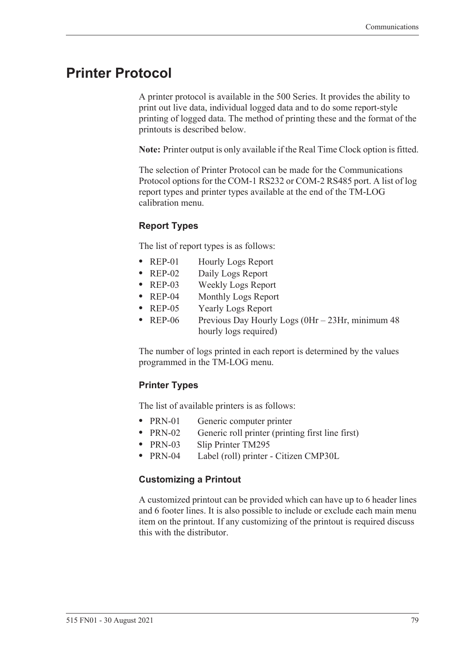# <span id="page-88-0"></span>**Printer Protocol**

<span id="page-88-2"></span>A printer protocol is available in the 500 Series. It provides the ability to print out live data, individual logged data and to do some report-style printing of logged data. The method of printing these and the format of the printouts is described below.

**Note:** Printer output is only available if the Real Time Clock option is fitted.

The selection of Printer Protocol can be made for the Communications Protocol options for the COM-1 RS232 or COM-2 RS485 port. A list of log report types and printer types available at the end of the TM-LOG calibration menu.

### <span id="page-88-3"></span>**Report Types**

The list of report types is as follows:

- REP-01 Hourly Logs Report
- **•** REP-02 Daily Logs Report
- **•** REP-03 Weekly Logs Report
- **•** REP-04 Monthly Logs Report
- **•** REP-05 Yearly Logs Report
- REP-06 Previous Day Hourly Logs (0Hr 23Hr, minimum 48 hourly logs required)

The number of logs printed in each report is determined by the values programmed in the TM-LOG menu.

#### <span id="page-88-4"></span>**Printer Types**

The list of available printers is as follows:

- PRN-01 Generic computer printer
- PRN-02 Generic roll printer (printing first line first)
- **•** PRN-03 Slip Printer TM295
- **•** PRN-04 Label (roll) printer Citizen CMP30L

#### <span id="page-88-1"></span>**Customizing a Printout**

A customized printout can be provided which can have up to 6 header lines and 6 footer lines. It is also possible to include or exclude each main menu item on the printout. If any customizing of the printout is required discuss this with the distributor.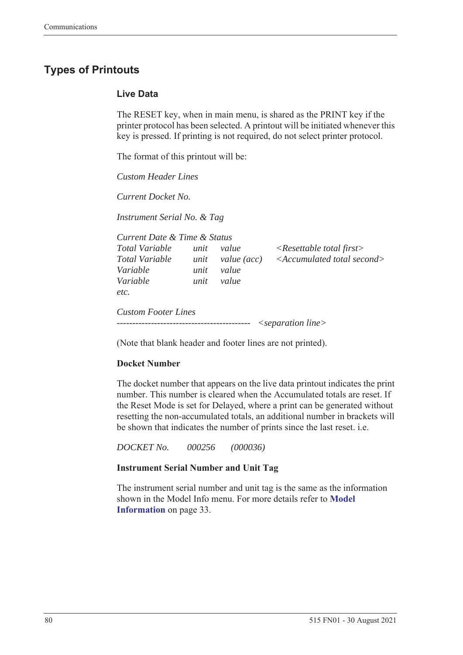# <span id="page-89-1"></span>**Types of Printouts**

#### <span id="page-89-0"></span>**Live Data**

The RESET key, when in main menu, is shared as the PRINT key if the printer protocol has been selected. A printout will be initiated whenever this key is pressed. If printing is not required, do not select printer protocol.

The format of this printout will be:

*Custom Header Lines*

*Current Docket No.* 

*Instrument Serial No. & Tag*

| Current Date & Time & Status                 |                      |                               |                                                                                   |
|----------------------------------------------|----------------------|-------------------------------|-----------------------------------------------------------------------------------|
| Total Variable<br>Total Variable<br>Variable | unit<br>unit<br>unit | value<br>value (acc)<br>value | $\langle$ Resettable total first $\rangle$<br>$\leq$ Accumulated total second $>$ |
| Variable<br>etc.                             | unit                 | value                         |                                                                                   |
| <b>Custom Footer Lines</b>                   |                      |                               | $\leq$ separation line $>$                                                        |

(Note that blank header and footer lines are not printed).

#### **Docket Number**

The docket number that appears on the live data printout indicates the print number. This number is cleared when the Accumulated totals are reset. If the Reset Mode is set for Delayed, where a print can be generated without resetting the non-accumulated totals, an additional number in brackets will be shown that indicates the number of prints since the last reset. i.e.

*DOCKET No. 000256 (000036)*

#### **Instrument Serial Number and Unit Tag**

The instrument serial number and unit tag is the same as the information shown in the Model Info menu. For more details refer to **[Model](#page-42-0)  [Information](#page-42-0)** on page 33.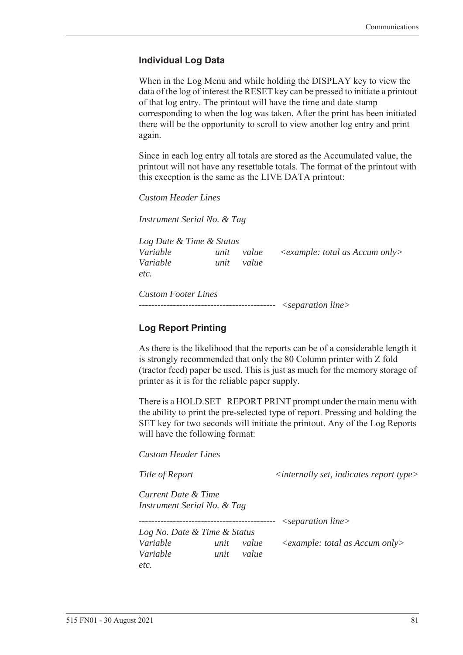#### <span id="page-90-0"></span>**Individual Log Data**

When in the Log Menu and while holding the DISPLAY key to view the data of the log of interest the RESET key can be pressed to initiate a printout of that log entry. The printout will have the time and date stamp corresponding to when the log was taken. After the print has been initiated there will be the opportunity to scroll to view another log entry and print again.

Since in each log entry all totals are stored as the Accumulated value, the printout will not have any resettable totals. The format of the printout with this exception is the same as the LIVE DATA printout:

*Custom Header Lines*

*Instrument Serial No. & Tag*

*Log Date & Time & Status Variable unit value <example: total as Accum only> Variable unit value etc.*

*Custom Footer Lines -------------------------------------------- <separation line>*

#### <span id="page-90-1"></span>**Log Report Printing**

As there is the likelihood that the reports can be of a considerable length it is strongly recommended that only the 80 Column printer with Z fold (tractor feed) paper be used. This is just as much for the memory storage of printer as it is for the reliable paper supply.

There is a HOLD.SET REPORT PRINT prompt under the main menu with the ability to print the pre-selected type of report. Pressing and holding the SET key for two seconds will initiate the printout. Any of the Log Reports will have the following format:

*Custom Header Lines*

*Title of Report*  $\langle$  *internally set, indicates report type>* 

*Current Date & Time Instrument Serial No. & Tag*

*-------------------------------------------- <separation line>*

*Log No. Date & Time & Status Variable unit value <example: total as Accum only> Variable unit value etc.*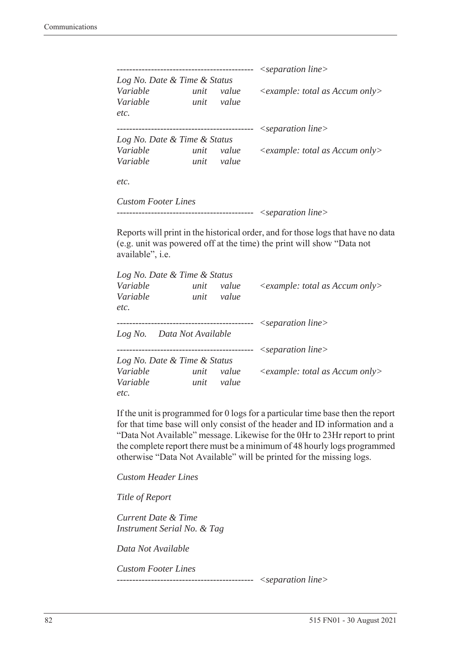|                              |      |          | $\leq$ separation line $>$                       |
|------------------------------|------|----------|--------------------------------------------------|
| Log No. Date & Time & Status |      |          |                                                  |
| Variable                     | unit | value    | $\langle$ example: total as Accum only $\rangle$ |
| Variable                     | unit | value    |                                                  |
| etc.                         |      |          |                                                  |
|                              |      | -------- | $\leq$ separation line $>$                       |
| Log No. Date & Time & Status |      |          |                                                  |
| Variable                     | unit | value    | $\leq$ example: total as Accum only $>$          |
| Variable                     | unit | value    |                                                  |
| etc.                         |      |          |                                                  |
| <b>Custom Footer Lines</b>   |      |          |                                                  |

```
-------------------------------------------- <separation line>
```
Reports will print in the historical order, and for those logs that have no data (e.g. unit was powered off at the time) the print will show "Data not available", i.e.

| Log No. Date & Time & Status |      |           |                                                  |
|------------------------------|------|-----------|--------------------------------------------------|
| Variable                     | unit | value     | $\langle$ example: total as Accum only $\rangle$ |
| Variable                     | unit | value     |                                                  |
| etc.                         |      |           |                                                  |
|                              |      |           | $\leq$ separation line $>$                       |
| Log No. Data Not Available   |      |           |                                                  |
|                              |      | --------- | $\leq$ separation line $>$                       |
| Log No. Date & Time & Status |      |           |                                                  |
| Variable                     | unit | value     | $\leq$ example: total as Accum only $>$          |
| Variable                     | unit | value     |                                                  |
| etc.                         |      |           |                                                  |

If the unit is programmed for 0 logs for a particular time base then the report for that time base will only consist of the header and ID information and a "Data Not Available" message. Likewise for the 0Hr to 23Hr report to print the complete report there must be a minimum of 48 hourly logs programmed otherwise "Data Not Available" will be printed for the missing logs.

*Custom Header Lines*

*Title of Report*

*Current Date & Time Instrument Serial No. & Tag*

*Data Not Available*

*Custom Footer Lines* 

*-------------------------------------------- <separation line>*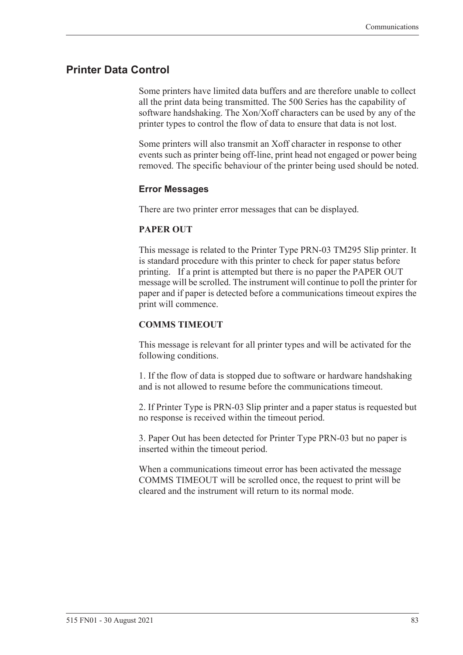## <span id="page-92-0"></span>**Printer Data Control**

Some printers have limited data buffers and are therefore unable to collect all the print data being transmitted. The 500 Series has the capability of software handshaking. The Xon/Xoff characters can be used by any of the printer types to control the flow of data to ensure that data is not lost.

Some printers will also transmit an Xoff character in response to other events such as printer being off-line, print head not engaged or power being removed. The specific behaviour of the printer being used should be noted.

#### <span id="page-92-1"></span>**Error Messages**

There are two printer error messages that can be displayed.

#### **PAPER OUT**

This message is related to the Printer Type PRN-03 TM295 Slip printer. It is standard procedure with this printer to check for paper status before printing. If a print is attempted but there is no paper the PAPER OUT message will be scrolled. The instrument will continue to poll the printer for paper and if paper is detected before a communications timeout expires the print will commence.

#### **COMMS TIMEOUT**

This message is relevant for all printer types and will be activated for the following conditions.

1. If the flow of data is stopped due to software or hardware handshaking and is not allowed to resume before the communications timeout.

2. If Printer Type is PRN-03 Slip printer and a paper status is requested but no response is received within the timeout period.

3. Paper Out has been detected for Printer Type PRN-03 but no paper is inserted within the timeout period.

When a communications timeout error has been activated the message COMMS TIMEOUT will be scrolled once, the request to print will be cleared and the instrument will return to its normal mode.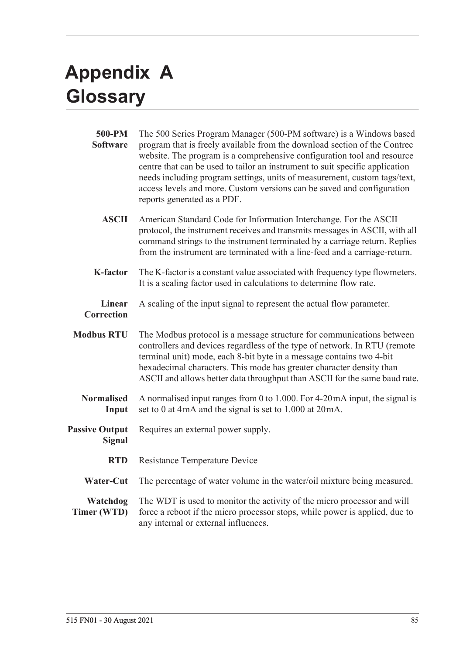# <span id="page-94-1"></span>**Appendix A Glossary**

<span id="page-94-0"></span>

| 500-PM<br><b>Software</b>              | The 500 Series Program Manager (500-PM software) is a Windows based<br>program that is freely available from the download section of the Contrec<br>website. The program is a comprehensive configuration tool and resource<br>centre that can be used to tailor an instrument to suit specific application<br>needs including program settings, units of measurement, custom tags/text,<br>access levels and more. Custom versions can be saved and configuration<br>reports generated as a PDF. |
|----------------------------------------|---------------------------------------------------------------------------------------------------------------------------------------------------------------------------------------------------------------------------------------------------------------------------------------------------------------------------------------------------------------------------------------------------------------------------------------------------------------------------------------------------|
| <b>ASCII</b>                           | American Standard Code for Information Interchange. For the ASCII<br>protocol, the instrument receives and transmits messages in ASCII, with all<br>command strings to the instrument terminated by a carriage return. Replies<br>from the instrument are terminated with a line-feed and a carriage-return.                                                                                                                                                                                      |
| <b>K-factor</b>                        | The K-factor is a constant value associated with frequency type flowmeters.<br>It is a scaling factor used in calculations to determine flow rate.                                                                                                                                                                                                                                                                                                                                                |
| <b>Linear</b><br>Correction            | A scaling of the input signal to represent the actual flow parameter.                                                                                                                                                                                                                                                                                                                                                                                                                             |
| <b>Modbus RTU</b>                      | The Modbus protocol is a message structure for communications between<br>controllers and devices regardless of the type of network. In RTU (remote<br>terminal unit) mode, each 8-bit byte in a message contains two 4-bit<br>hexadecimal characters. This mode has greater character density than<br>ASCII and allows better data throughput than ASCII for the same baud rate.                                                                                                                  |
| <b>Normalised</b><br>Input             | A normalised input ranges from 0 to 1.000. For 4-20 mA input, the signal is<br>set to 0 at 4mA and the signal is set to $1.000$ at $20mA$ .                                                                                                                                                                                                                                                                                                                                                       |
| <b>Passive Output</b><br><b>Signal</b> | Requires an external power supply.                                                                                                                                                                                                                                                                                                                                                                                                                                                                |
| <b>RTD</b>                             | <b>Resistance Temperature Device</b>                                                                                                                                                                                                                                                                                                                                                                                                                                                              |
| <b>Water-Cut</b>                       | The percentage of water volume in the water/oil mixture being measured.                                                                                                                                                                                                                                                                                                                                                                                                                           |
| Watchdog<br>Timer (WTD)                | The WDT is used to monitor the activity of the micro processor and will<br>force a reboot if the micro processor stops, while power is applied, due to<br>any internal or external influences.                                                                                                                                                                                                                                                                                                    |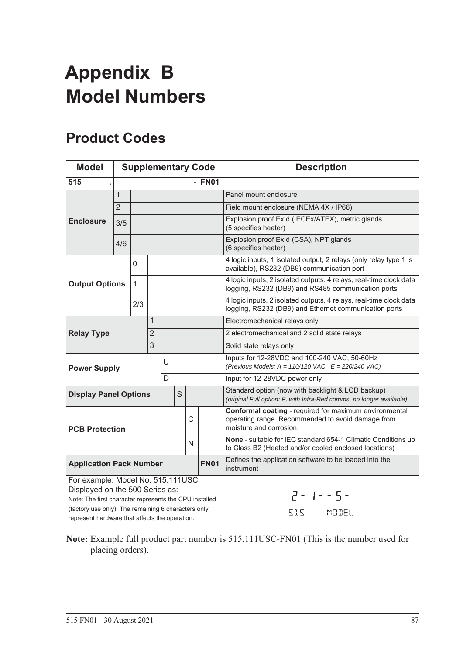# <span id="page-96-1"></span>**Appendix B Model Numbers**

# <span id="page-96-0"></span>**Product Codes**

| <b>Model</b>                                                                                                                                                                          | <b>Supplementary Code</b>                                                              |              |                                                                                                                        |   |                                                                                                                                        | <b>Description</b> |                                                                                                         |                                                                                                                             |
|---------------------------------------------------------------------------------------------------------------------------------------------------------------------------------------|----------------------------------------------------------------------------------------|--------------|------------------------------------------------------------------------------------------------------------------------|---|----------------------------------------------------------------------------------------------------------------------------------------|--------------------|---------------------------------------------------------------------------------------------------------|-----------------------------------------------------------------------------------------------------------------------------|
| 515                                                                                                                                                                                   |                                                                                        |              |                                                                                                                        |   |                                                                                                                                        |                    | - FN01                                                                                                  |                                                                                                                             |
|                                                                                                                                                                                       | $\mathbf{1}$                                                                           |              |                                                                                                                        |   |                                                                                                                                        |                    |                                                                                                         | Panel mount enclosure                                                                                                       |
|                                                                                                                                                                                       | $\overline{2}$                                                                         |              |                                                                                                                        |   |                                                                                                                                        |                    |                                                                                                         | Field mount enclosure (NEMA 4X / IP66)                                                                                      |
| <b>Enclosure</b>                                                                                                                                                                      | 3/5                                                                                    |              |                                                                                                                        |   |                                                                                                                                        |                    |                                                                                                         | Explosion proof Ex d (IECEx/ATEX), metric glands<br>(5 specifies heater)                                                    |
|                                                                                                                                                                                       | 4/6                                                                                    |              |                                                                                                                        |   |                                                                                                                                        |                    |                                                                                                         | Explosion proof Ex d (CSA), NPT glands<br>(6 specifies heater)                                                              |
|                                                                                                                                                                                       |                                                                                        | 0            |                                                                                                                        |   |                                                                                                                                        |                    |                                                                                                         | 4 logic inputs, 1 isolated output, 2 relays (only relay type 1 is<br>available), RS232 (DB9) communication port             |
| <b>Output Options</b>                                                                                                                                                                 |                                                                                        | $\mathbf{1}$ |                                                                                                                        |   |                                                                                                                                        |                    |                                                                                                         | 4 logic inputs, 2 isolated outputs, 4 relays, real-time clock data<br>logging, RS232 (DB9) and RS485 communication ports    |
|                                                                                                                                                                                       |                                                                                        | 2/3          |                                                                                                                        |   |                                                                                                                                        |                    |                                                                                                         | 4 logic inputs, 2 isolated outputs, 4 relays, real-time clock data<br>logging, RS232 (DB9) and Ethernet communication ports |
| 1                                                                                                                                                                                     |                                                                                        |              |                                                                                                                        |   | Electromechanical relays only                                                                                                          |                    |                                                                                                         |                                                                                                                             |
| <b>Relay Type</b>                                                                                                                                                                     |                                                                                        |              | $\overline{2}$                                                                                                         |   |                                                                                                                                        |                    |                                                                                                         | 2 electromechanical and 2 solid state relays                                                                                |
|                                                                                                                                                                                       |                                                                                        |              | $\overline{3}$                                                                                                         |   |                                                                                                                                        |                    |                                                                                                         | Solid state relays only                                                                                                     |
| <b>Power Supply</b>                                                                                                                                                                   |                                                                                        |              |                                                                                                                        | U |                                                                                                                                        |                    | Inputs for 12-28VDC and 100-240 VAC, 50-60Hz<br>(Previous Models: $A = 110/120$ VAC, $E = 220/240$ VAC) |                                                                                                                             |
|                                                                                                                                                                                       |                                                                                        |              |                                                                                                                        | D |                                                                                                                                        |                    |                                                                                                         | Input for 12-28VDC power only                                                                                               |
|                                                                                                                                                                                       | Standard option (now with backlight & LCD backup)<br>S<br><b>Display Panel Options</b> |              | (original Full option: F, with Infra-Red comms, no longer available)                                                   |   |                                                                                                                                        |                    |                                                                                                         |                                                                                                                             |
| C<br><b>PCB Protection</b>                                                                                                                                                            |                                                                                        |              |                                                                                                                        |   | Conformal coating - required for maximum environmental<br>operating range. Recommended to avoid damage from<br>moisture and corrosion. |                    |                                                                                                         |                                                                                                                             |
| N                                                                                                                                                                                     |                                                                                        |              | None - suitable for IEC standard 654-1 Climatic Conditions up<br>to Class B2 (Heated and/or cooled enclosed locations) |   |                                                                                                                                        |                    |                                                                                                         |                                                                                                                             |
| <b>FN01</b><br><b>Application Pack Number</b>                                                                                                                                         |                                                                                        |              |                                                                                                                        |   | Defines the application software to be loaded into the<br>instrument                                                                   |                    |                                                                                                         |                                                                                                                             |
| For example: Model No. 515.111USC<br>Displayed on the 500 Series as:<br>Note: The first character represents the CPU installed<br>(factory use only). The remaining 6 characters only |                                                                                        |              |                                                                                                                        |   |                                                                                                                                        |                    | $2 - 1 - 5 -$<br>MODEL                                                                                  |                                                                                                                             |
| represent hardware that affects the operation.                                                                                                                                        |                                                                                        |              |                                                                                                                        |   |                                                                                                                                        |                    | 515                                                                                                     |                                                                                                                             |

**Note:** Example full product part number is 515.111USC-FN01 (This is the number used for placing orders).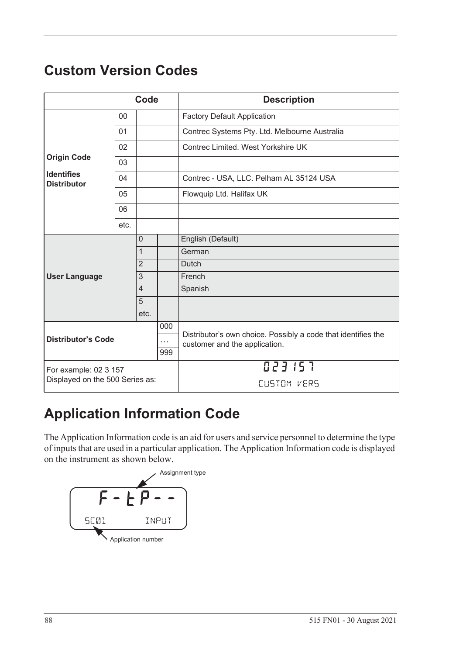# <span id="page-97-1"></span>**Custom Version Codes**

|                                                     | Code |                |                                                               | <b>Description</b>                            |
|-----------------------------------------------------|------|----------------|---------------------------------------------------------------|-----------------------------------------------|
|                                                     | 00   |                |                                                               | <b>Factory Default Application</b>            |
|                                                     | 01   |                |                                                               | Contrec Systems Pty. Ltd. Melbourne Australia |
|                                                     | 02   |                |                                                               | Contrec Limited. West Yorkshire UK            |
| <b>Origin Code</b>                                  | 03   |                |                                                               |                                               |
| <b>Identifies</b><br><b>Distributor</b>             | 04   |                |                                                               | Contrec - USA, LLC. Pelham AL 35124 USA       |
|                                                     | 05   |                |                                                               | Flowquip Ltd. Halifax UK                      |
|                                                     | 06   |                |                                                               |                                               |
|                                                     | etc. |                |                                                               |                                               |
|                                                     |      | $\Omega$       |                                                               | English (Default)                             |
|                                                     |      | $\mathbf{1}$   |                                                               | German                                        |
|                                                     |      | $\overline{2}$ |                                                               | Dutch                                         |
| <b>User Language</b>                                |      | 3              |                                                               | French                                        |
|                                                     |      | $\overline{4}$ |                                                               | Spanish                                       |
|                                                     |      | 5              |                                                               |                                               |
|                                                     |      | etc.           |                                                               |                                               |
| 000<br><b>Distributor's Code</b><br>$\cdots$<br>999 |      |                | Distributor's own choice. Possibly a code that identifies the |                                               |
|                                                     |      |                | customer and the application.                                 |                                               |
|                                                     |      |                |                                                               |                                               |
| For example: 02 3 157                               |      |                |                                                               | 023157                                        |
| Displayed on the 500 Series as:                     |      |                |                                                               | CUSTOM VERS                                   |

# **Application Information Code**

The Application Information code is an aid for users and service personnel to determine the type of inputs that are used in a particular application. The Application Information code is displayed on the instrument as shown below.

<span id="page-97-0"></span>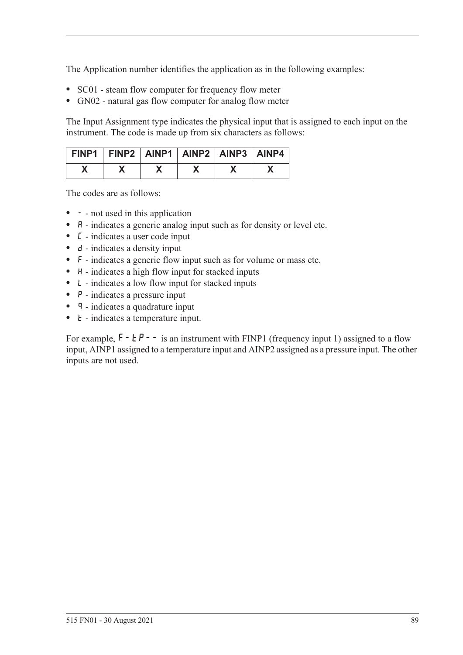The Application number identifies the application as in the following examples:

- **•** SC01 steam flow computer for frequency flow meter
- **•** GN02 natural gas flow computer for analog flow meter

The Input Assignment type indicates the physical input that is assigned to each input on the instrument. The code is made up from six characters as follows:

| FINP1   FINP2   AINP1   AINP2   AINP3   AINP4 |  |  |  |
|-----------------------------------------------|--|--|--|
|                                               |  |  |  |

The codes are as follows:

- - not used in this application
- **A** indicates a generic analog input such as for density or level etc.
- **•** C indicates a user code input
- d indicates a density input
- **•** F indicates a generic flow input such as for volume or mass etc.
- $H$  indicates a high flow input for stacked inputs
- **•** L indicates a low flow input for stacked inputs
- **•** P indicates a pressure input
- **q** indicates a quadrature input
- *k* indicates a temperature input.

For example,  $F - tP - -$  is an instrument with FINP1 (frequency input 1) assigned to a flow input, AINP1 assigned to a temperature input and AINP2 assigned as a pressure input. The other inputs are not used.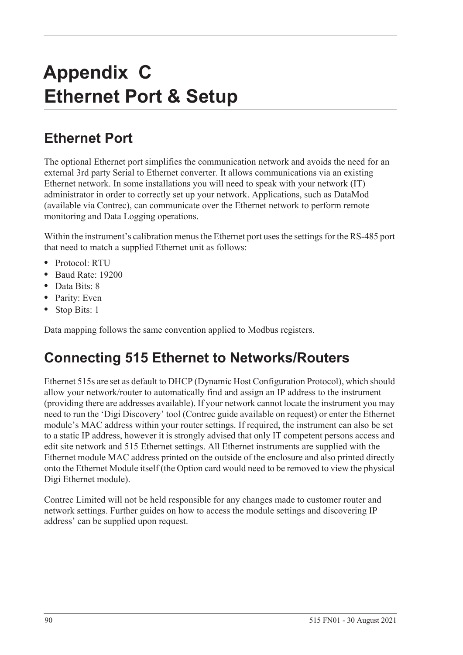# <span id="page-99-0"></span>**Appendix C Ethernet Port & Setup**

# **Ethernet Port**

The optional Ethernet port simplifies the communication network and avoids the need for an external 3rd party Serial to Ethernet converter. It allows communications via an existing Ethernet network. In some installations you will need to speak with your network (IT) administrator in order to correctly set up your network. Applications, such as DataMod (available via Contrec), can communicate over the Ethernet network to perform remote monitoring and Data Logging operations.

Within the instrument's calibration menus the Ethernet port uses the settings for the RS-485 port that need to match a supplied Ethernet unit as follows:

- **•** Protocol: RTU
- **•** Baud Rate: 19200
- **•** Data Bits: 8
- **•** Parity: Even
- **•** Stop Bits: 1

Data mapping follows the same convention applied to Modbus registers.

# **Connecting 515 Ethernet to Networks/Routers**

Ethernet 515s are set as default to DHCP (Dynamic Host Configuration Protocol), which should allow your network/router to automatically find and assign an IP address to the instrument (providing there are addresses available). If your network cannot locate the instrument you may need to run the 'Digi Discovery' tool (Contrec guide available on request) or enter the Ethernet module's MAC address within your router settings. If required, the instrument can also be set to a static IP address, however it is strongly advised that only IT competent persons access and edit site network and 515 Ethernet settings. All Ethernet instruments are supplied with the Ethernet module MAC address printed on the outside of the enclosure and also printed directly onto the Ethernet Module itself (the Option card would need to be removed to view the physical Digi Ethernet module).

Contrec Limited will not be held responsible for any changes made to customer router and network settings. Further guides on how to access the module settings and discovering IP address' can be supplied upon request.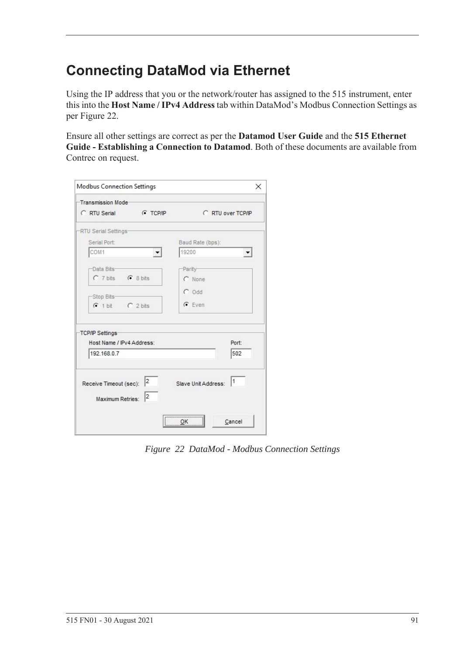# **Connecting DataMod via Ethernet**

Using the IP address that you or the network/router has assigned to the 515 instrument, enter this into the **Host Name / IPv4 Address** tab within DataMod's Modbus Connection Settings as per [Figure 22.](#page-100-0)

Ensure all other settings are correct as per the **Datamod User Guide** and the **515 Ethernet Guide - Establishing a Connection to Datamod**. Both of these documents are available from Contrec on request.

| Transmission Mode-                                            |                      |                     |                      |
|---------------------------------------------------------------|----------------------|---------------------|----------------------|
| C RTU Serial                                                  | <b>C</b> TCP/IP      | C RTU over TCP/IP   |                      |
| -RTU Serial Settings-                                         |                      |                     |                      |
| Serial Port:                                                  |                      | Baud Rate (bps):    |                      |
| COM1                                                          |                      | 19200               | $\blacktriangledown$ |
| -Data Bits-                                                   |                      | -Parity-            |                      |
| C 7 bits C 8 bits                                             |                      | C None              |                      |
|                                                               |                      | $C$ Odd             |                      |
| -Stop Bits-                                                   |                      |                     |                      |
| $C$ 1 bit $C$ 2 bits                                          |                      | $G$ Even            |                      |
|                                                               |                      |                     |                      |
| TCP/IP Settings                                               |                      |                     |                      |
| Host Name / IPv4 Address:                                     |                      |                     | Port:                |
| 192.168.0.7                                                   |                      |                     | 502                  |
|                                                               |                      |                     |                      |
|                                                               |                      |                     | 11                   |
| Receive Timeout (sec): $\begin{vmatrix} 2 \\ 1 \end{vmatrix}$ |                      | Slave Unit Address: |                      |
| Maximum Retries:                                              | $\vert$ <sub>2</sub> |                     |                      |
|                                                               |                      |                     |                      |
|                                                               |                      | <br>$\frac{QK}{2}$  | Cancel               |

<span id="page-100-0"></span>*Figure 22 DataMod - Modbus Connection Settings*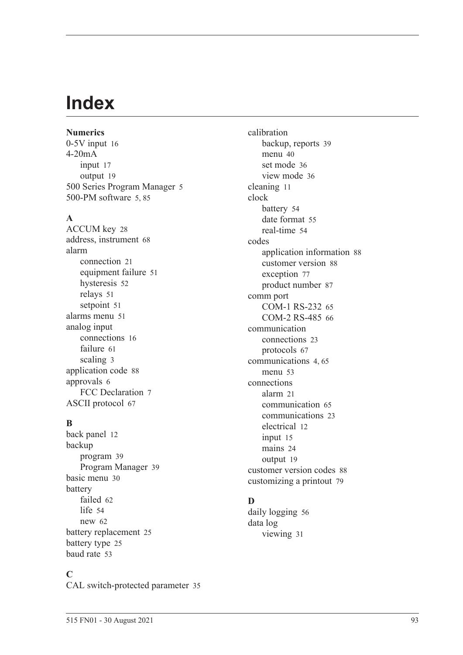# **Index**

**Numerics** 0-5V inpu[t 16](#page-25-0) 4-20mA input [17](#page-26-0) output [19](#page-28-0) 500 Series Program Manage[r 5](#page-14-0) 500-PM software [5,](#page-14-0) [85](#page-94-0)

#### **A**

ACCUM ke[y 28](#page-37-0) address, instrumen[t 68](#page-77-0) alarm connection [21](#page-30-0) equipment failur[e 51](#page-60-0) hysteresi[s 52](#page-61-0) relays [51](#page-60-1) setpoin[t 51](#page-60-2) alarms menu [51](#page-60-3) analog input connection[s 16](#page-25-1) failur[e 61](#page-70-0) scalin[g 3](#page-12-0) application cod[e 88](#page-97-0) approvals [6](#page-15-0) FCC Declaration [7](#page-16-0) ASCII protoco[l 67](#page-76-0)

### **B**

back panel [12](#page-21-0) backup program [39](#page-48-0) Program Manage[r 39](#page-48-1) basic men[u 30](#page-39-0) battery faile[d 62](#page-71-0) lif[e 54](#page-63-1) ne[w 62](#page-71-0) battery replacemen[t 25](#page-34-0) battery typ[e 25](#page-34-1) baud rat[e 53](#page-62-1)

### **C**

CAL switch-protected parameter [35](#page-44-0)

calibration backup, reports [39](#page-48-0) menu [40](#page-49-0) set mode [36](#page-45-0) view mode [36](#page-45-1) cleaning [11](#page-20-0) clock batter[y 54](#page-63-1) date format [55](#page-64-0) real-tim[e 54](#page-63-2) codes application information [88](#page-97-0) customer versio[n 88](#page-97-1) exception [77](#page-86-1) product numbe[r 87](#page-96-0) comm port COM-1 RS-232 [65](#page-74-1) COM-2 RS-485 [66](#page-75-1) communication connection[s 23](#page-32-0) protocols [67](#page-76-1) communication[s 4,](#page-13-1) [65](#page-74-2) menu [53](#page-62-2) connections alar[m 21](#page-30-0) communication [65](#page-74-3) communication[s 23](#page-32-0) electrical [12](#page-21-1) input [15](#page-24-0) mains [24](#page-33-0) output [19](#page-28-1) customer version codes [88](#page-97-1) customizing a printout [79](#page-88-1)

# **D**

daily logging [56](#page-65-0) data log viewing [31](#page-40-0)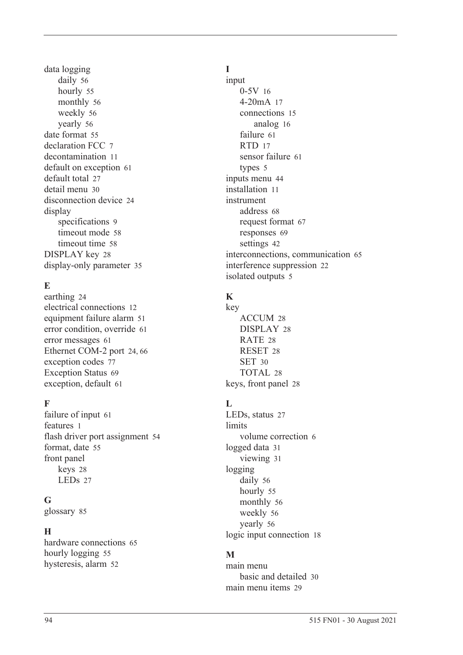data logging daily [56](#page-65-0) hourl[y 55](#page-64-1) monthly [56](#page-65-1) weekl[y 56](#page-65-2) yearly [56](#page-65-3) date format [55](#page-64-0) declaration FCC [7](#page-16-0) decontamination [11](#page-20-0) default on exception [61](#page-70-1) default tota[l 27](#page-36-0) detail men[u 30](#page-39-0) disconnection device [24](#page-33-1) display specifications [9](#page-18-0) timeout mod[e 58](#page-67-0) timeout time [58](#page-67-1) DISPLAY key [28](#page-37-1) display-only parameter [35](#page-44-1)

# **E**

earthin[g 24](#page-33-2) electrical connections [12](#page-21-1) equipment failure alarm [51](#page-60-0) error condition, overrid[e 61](#page-70-2) error message[s 61](#page-70-3) Ethernet COM-2 por[t 24,](#page-33-3) [66](#page-75-2) exception codes [77](#page-86-1) Exception Status [69](#page-78-0) exception, default [61](#page-70-1)

# **F**

failure of input [61](#page-70-0) features [1](#page-10-0) flash driver port assignmen[t 54](#page-63-3) format, date [55](#page-64-0) front panel keys [28](#page-37-2) LEDs [27](#page-36-1)

#### **G**

glossary [85](#page-94-1)

# **H**

hardware connections [65](#page-74-3) hourly logging [55](#page-64-1) hysteresis, alar[m 52](#page-61-0)

# **I**

input 0-5[V 16](#page-25-0) 4-20mA [17](#page-26-0) connections [15](#page-24-0) analog [16](#page-25-1) failure [61](#page-70-0) RTD [17](#page-26-1) sensor failure [61](#page-70-0) types [5](#page-14-1) inputs menu [44](#page-53-0) installation [11](#page-20-1) instrument address [68](#page-77-0) request forma[t 67](#page-76-2) response[s 69](#page-78-1) setting[s 42](#page-51-0) interconnections, communication [65](#page-74-3) interference suppression [22](#page-31-0) isolated output[s 5](#page-14-2)

# **K**

key ACCUM [28](#page-37-0) DISPLA[Y 28](#page-37-1) RATE [28](#page-37-3) RESE[T 28](#page-37-4) SET [30](#page-39-1) TOTAL [28](#page-37-5) keys, front panel [28](#page-37-2)

### **L**

LEDs, status [27](#page-36-1) limits volume correctio[n 6](#page-15-1) logged dat[a 31](#page-40-0) viewin[g 31](#page-40-1) logging daily [56](#page-65-0) hourly [55](#page-64-1) monthly [56](#page-65-1) weekl[y 56](#page-65-2) yearly [56](#page-65-3) logic input connection [18](#page-27-0)

### **M**

main menu basic and detailed [30](#page-39-0) main menu item[s 29](#page-38-0)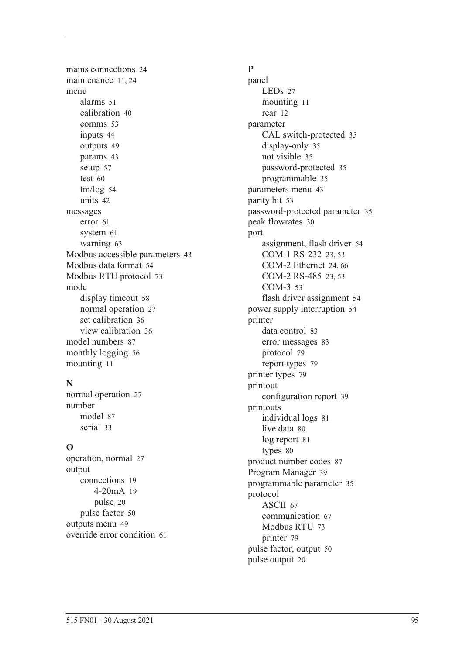mains connection[s 24](#page-33-0) maintenance [11,](#page-20-1) [24](#page-33-4) menu alarm[s 51](#page-60-3) calibratio[n 40](#page-49-0) comms [53](#page-62-2) input[s 44](#page-53-0) output[s 49](#page-58-0) params [43](#page-52-1) setu[p 57](#page-66-0) test [60](#page-69-0) tm/lo[g 54](#page-63-4) unit[s 42](#page-51-1) messages erro[r 61](#page-70-3) syste[m 61](#page-70-4) warnin[g 63](#page-72-0) Modbus accessible parameters [43](#page-52-2) Modbus data forma[t 54](#page-63-5) Modbus RTU protoco[l 73](#page-82-0) mode display timeou[t 58](#page-67-0) normal operatio[n 27](#page-36-2) set calibration [36](#page-45-0) view calibration [36](#page-45-1) model number[s 87](#page-96-1) monthly logging [56](#page-65-1) mountin[g 11](#page-20-2)

# **N**

normal operatio[n 27](#page-36-2) number mode[l 87](#page-96-1) seria[l 33](#page-42-1)

# **O**

operation, norma[l 27](#page-36-2) output connection[s 19](#page-28-1) 4-20m[A 19](#page-28-0) puls[e 20](#page-29-0) pulse facto[r 50](#page-59-0) outputs men[u 49](#page-58-0) override error condition [61](#page-70-2)

# **P**

panel LEDs [27](#page-36-1) mounting [11](#page-20-2) rear [12](#page-21-0) parameter CAL switch-protected [35](#page-44-0) display-only [35](#page-44-1) not visibl[e 35](#page-44-2) password-protected [35](#page-44-3) programmable [35](#page-44-4) parameters men[u 43](#page-52-1) parity bit [53](#page-62-3) password-protected parameter [35](#page-44-3) peak flowrate[s 30](#page-39-2) port assignment, flash driver [54](#page-63-3) COM-1 RS-232 [23,](#page-32-1) [53](#page-62-4) COM-2 Ethernet [24,](#page-33-3) [66](#page-75-2) COM-2 RS-485 [23,](#page-32-2) [53](#page-62-5) COM-[3 53](#page-62-6) flash driver assignment [54](#page-63-3) power supply interruption [54](#page-63-1) printer data control [83](#page-92-0) error messages [83](#page-92-1) protocol [79](#page-88-2) report types [79](#page-88-3) printer type[s 79](#page-88-4) printout configuration repor[t 39](#page-48-2) printouts individual logs [81](#page-90-0) live data [80](#page-89-0) log report [81](#page-90-1) type[s 80](#page-89-1) product number codes [87](#page-96-0) Program Manager [39](#page-48-1) programmable parameter [35](#page-44-4) protocol ASCI[I 67](#page-76-0) communication [67](#page-76-1) Modbus RT[U 73](#page-82-0) printer [79](#page-88-2) pulse factor, output [50](#page-59-0) pulse output [20](#page-29-0)